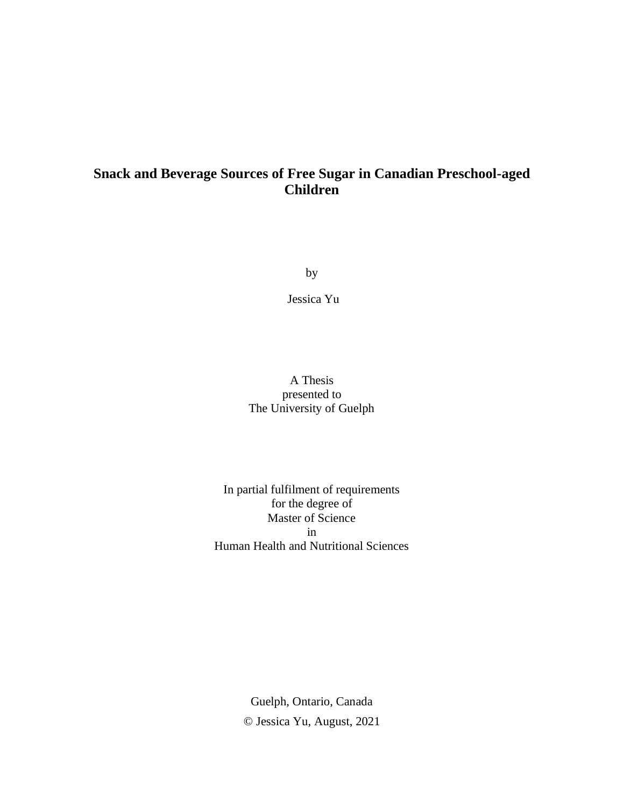# **Snack and Beverage Sources of Free Sugar in Canadian Preschool-aged Children**

by

Jessica Yu

### A Thesis presented to The University of Guelph

### In partial fulfilment of requirements for the degree of Master of Science in Human Health and Nutritional Sciences

Guelph, Ontario, Canada © Jessica Yu, August, 2021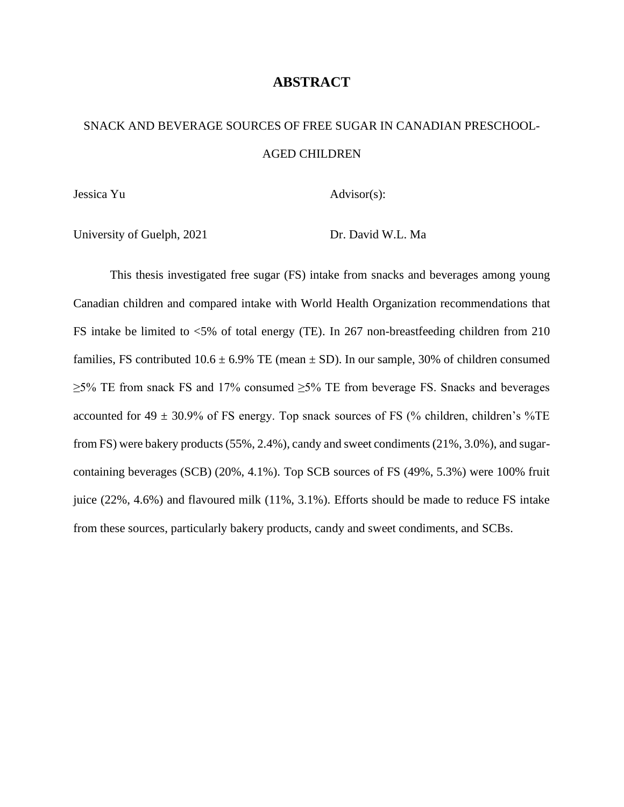### **ABSTRACT**

# <span id="page-1-0"></span>SNACK AND BEVERAGE SOURCES OF FREE SUGAR IN CANADIAN PRESCHOOL-AGED CHILDREN

Jessica Yu

Advisor(s):

University of Guelph, 2021

Dr. David W.L. Ma

This thesis investigated free sugar (FS) intake from snacks and beverages among young Canadian children and compared intake with World Health Organization recommendations that FS intake be limited to <5% of total energy (TE). In 267 non-breastfeeding children from 210 families, FS contributed  $10.6 \pm 6.9\%$  TE (mean  $\pm$  SD). In our sample, 30% of children consumed  $\geq$ 5% TE from snack FS and 17% consumed  $\geq$ 5% TE from beverage FS. Snacks and beverages accounted for 49  $\pm$  30.9% of FS energy. Top snack sources of FS (% children, children's %TE from FS) were bakery products (55%, 2.4%), candy and sweet condiments (21%, 3.0%), and sugarcontaining beverages (SCB) (20%, 4.1%). Top SCB sources of FS (49%, 5.3%) were 100% fruit juice (22%, 4.6%) and flavoured milk (11%, 3.1%). Efforts should be made to reduce FS intake from these sources, particularly bakery products, candy and sweet condiments, and SCBs.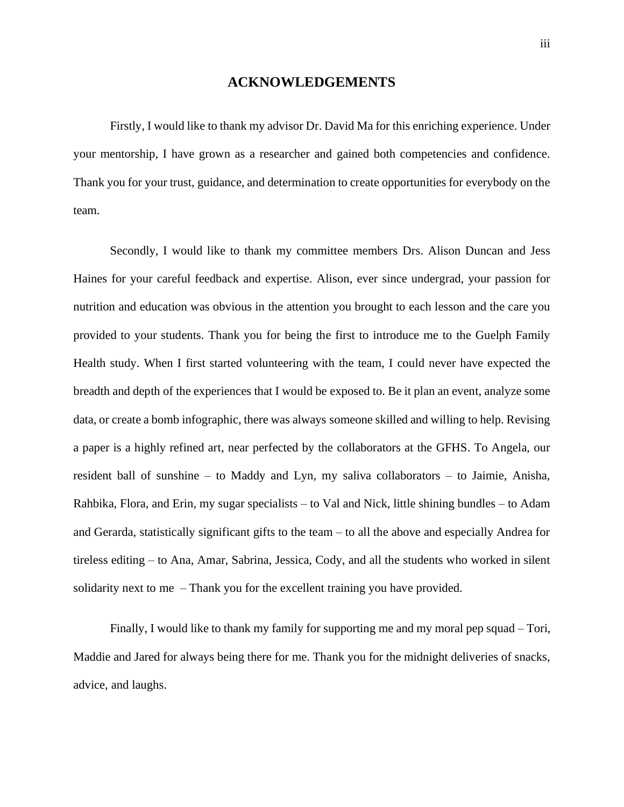#### **ACKNOWLEDGEMENTS**

<span id="page-2-0"></span>Firstly, I would like to thank my advisor Dr. David Ma for this enriching experience. Under your mentorship, I have grown as a researcher and gained both competencies and confidence. Thank you for your trust, guidance, and determination to create opportunities for everybody on the team.

Secondly, I would like to thank my committee members Drs. Alison Duncan and Jess Haines for your careful feedback and expertise. Alison, ever since undergrad, your passion for nutrition and education was obvious in the attention you brought to each lesson and the care you provided to your students. Thank you for being the first to introduce me to the Guelph Family Health study. When I first started volunteering with the team, I could never have expected the breadth and depth of the experiences that I would be exposed to. Be it plan an event, analyze some data, or create a bomb infographic, there was always someone skilled and willing to help. Revising a paper is a highly refined art, near perfected by the collaborators at the GFHS. To Angela, our resident ball of sunshine – to Maddy and Lyn, my saliva collaborators – to Jaimie, Anisha, Rahbika, Flora, and Erin, my sugar specialists – to Val and Nick, little shining bundles – to Adam and Gerarda, statistically significant gifts to the team – to all the above and especially Andrea for tireless editing – to Ana, Amar, Sabrina, Jessica, Cody, and all the students who worked in silent solidarity next to me – Thank you for the excellent training you have provided.

Finally, I would like to thank my family for supporting me and my moral pep squad – Tori, Maddie and Jared for always being there for me. Thank you for the midnight deliveries of snacks, advice, and laughs.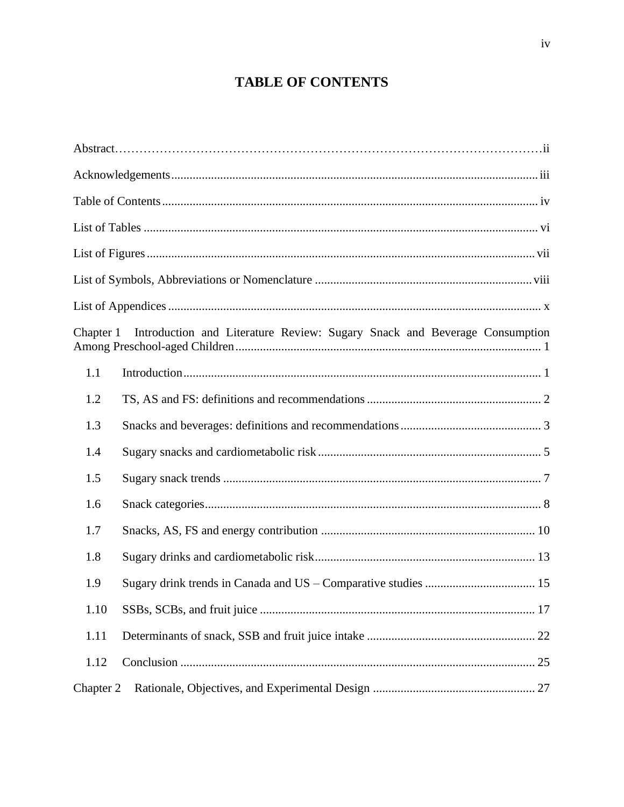# **TABLE OF CONTENTS**

<span id="page-3-0"></span>

| Chapter 1 | Introduction and Literature Review: Sugary Snack and Beverage Consumption |
|-----------|---------------------------------------------------------------------------|
| 1.1       |                                                                           |
| 1.2       |                                                                           |
| 1.3       |                                                                           |
| 1.4       |                                                                           |
| 1.5       |                                                                           |
| 1.6       |                                                                           |
| 1.7       |                                                                           |
| 1.8       |                                                                           |
| 1.9       |                                                                           |
| 1.10      |                                                                           |
| 1.11      |                                                                           |
| 1.12      |                                                                           |
| Chapter 2 |                                                                           |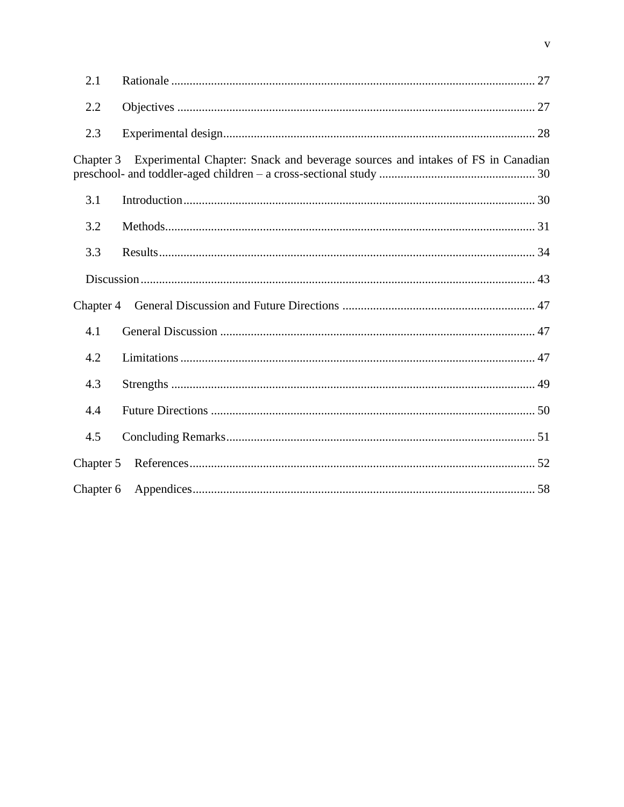| 2.1       |                                                                                |
|-----------|--------------------------------------------------------------------------------|
| 2.2       |                                                                                |
| 2.3       |                                                                                |
| Chapter 3 | Experimental Chapter: Snack and beverage sources and intakes of FS in Canadian |
| 3.1       |                                                                                |
| 3.2       |                                                                                |
| 3.3       |                                                                                |
|           |                                                                                |
|           |                                                                                |
| 4.1       |                                                                                |
| 4.2       |                                                                                |
| 4.3       |                                                                                |
| 4.4       |                                                                                |
| 4.5       |                                                                                |
| Chapter 5 |                                                                                |
| Chapter 6 |                                                                                |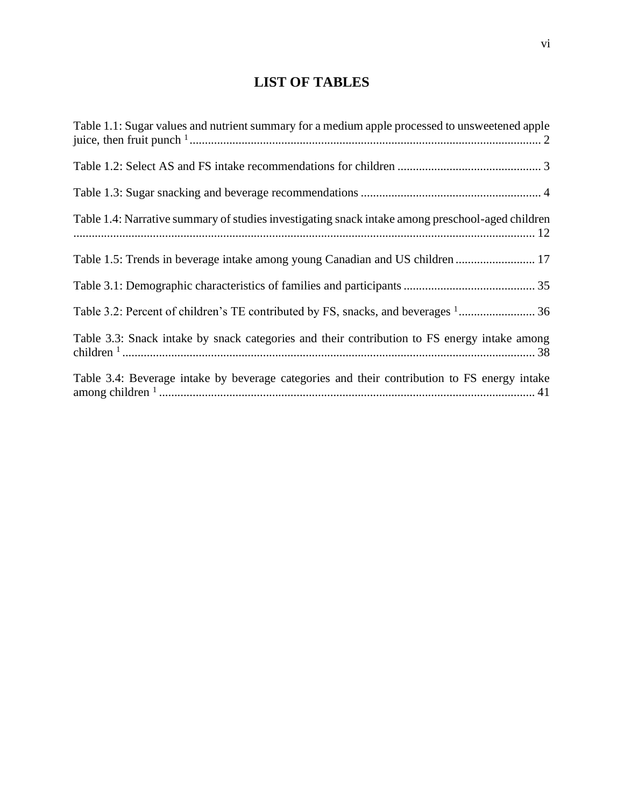# **LIST OF TABLES**

<span id="page-5-0"></span>

| Table 1.1: Sugar values and nutrient summary for a medium apple processed to unsweetened apple   |
|--------------------------------------------------------------------------------------------------|
|                                                                                                  |
|                                                                                                  |
| Table 1.4: Narrative summary of studies investigating snack intake among preschool-aged children |
| Table 1.5: Trends in beverage intake among young Canadian and US children  17                    |
|                                                                                                  |
| Table 3.2: Percent of children's TE contributed by FS, snacks, and beverages <sup>1</sup> 36     |
| Table 3.3: Snack intake by snack categories and their contribution to FS energy intake among     |
| Table 3.4: Beverage intake by beverage categories and their contribution to FS energy intake     |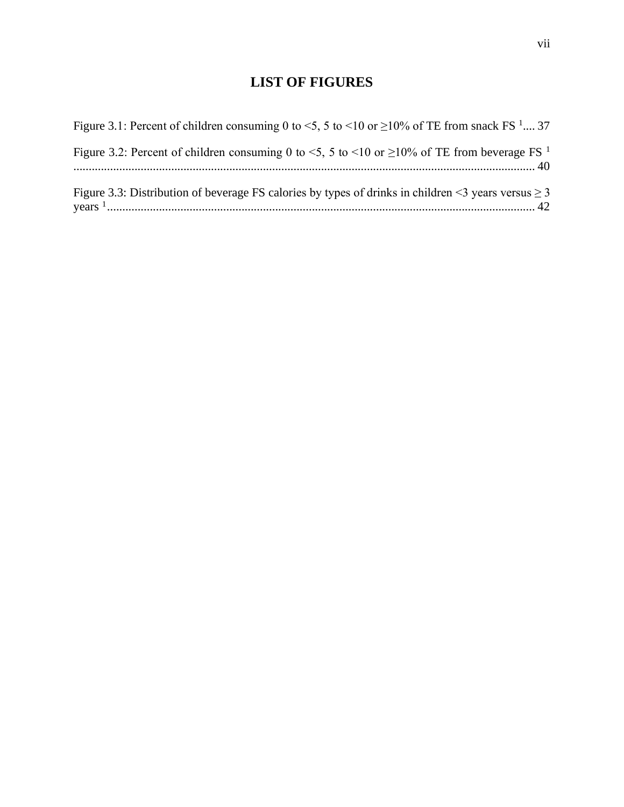# **LIST OF FIGURES**

<span id="page-6-0"></span>

| Figure 3.1: Percent of children consuming 0 to <5, 5 to <10 or $\geq$ 10% of TE from snack FS <sup>1</sup> 37 |  |
|---------------------------------------------------------------------------------------------------------------|--|
| Figure 3.2: Percent of children consuming 0 to <5, 5 to <10 or $\geq$ 10% of TE from beverage FS <sup>1</sup> |  |
| Figure 3.3: Distribution of beverage FS calories by types of drinks in children <3 years versus $\geq$ 3      |  |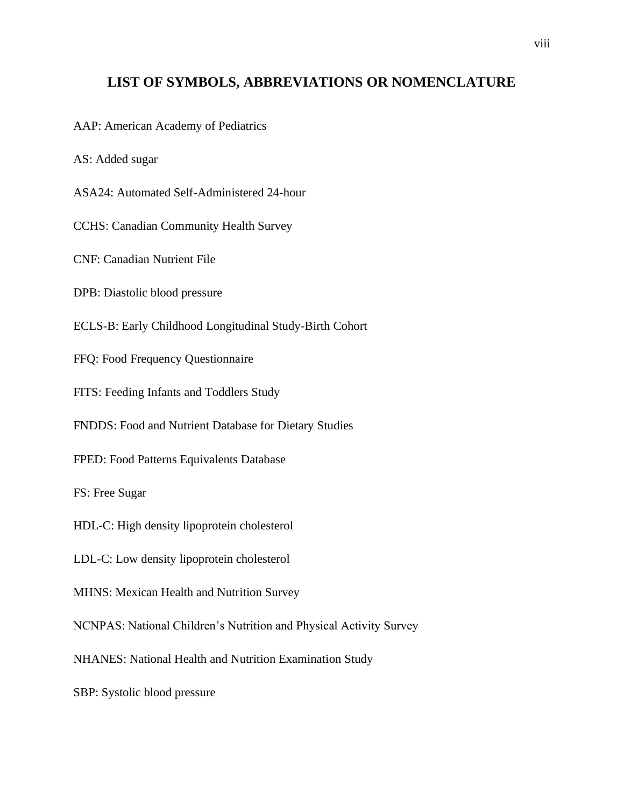## <span id="page-7-0"></span>**LIST OF SYMBOLS, ABBREVIATIONS OR NOMENCLATURE**

AAP: American Academy of Pediatrics

AS: Added sugar

ASA24: Automated Self-Administered 24-hour

CCHS: Canadian Community Health Survey

CNF: Canadian Nutrient File

DPB: Diastolic blood pressure

ECLS-B: Early Childhood Longitudinal Study-Birth Cohort

FFQ: Food Frequency Questionnaire

FITS: Feeding Infants and Toddlers Study

FNDDS: Food and Nutrient Database for Dietary Studies

FPED: Food Patterns Equivalents Database

FS: Free Sugar

HDL-C: High density lipoprotein cholesterol

LDL-C: Low density lipoprotein cholesterol

MHNS: Mexican Health and Nutrition Survey

NCNPAS: National Children's Nutrition and Physical Activity Survey

NHANES: National Health and Nutrition Examination Study

SBP: Systolic blood pressure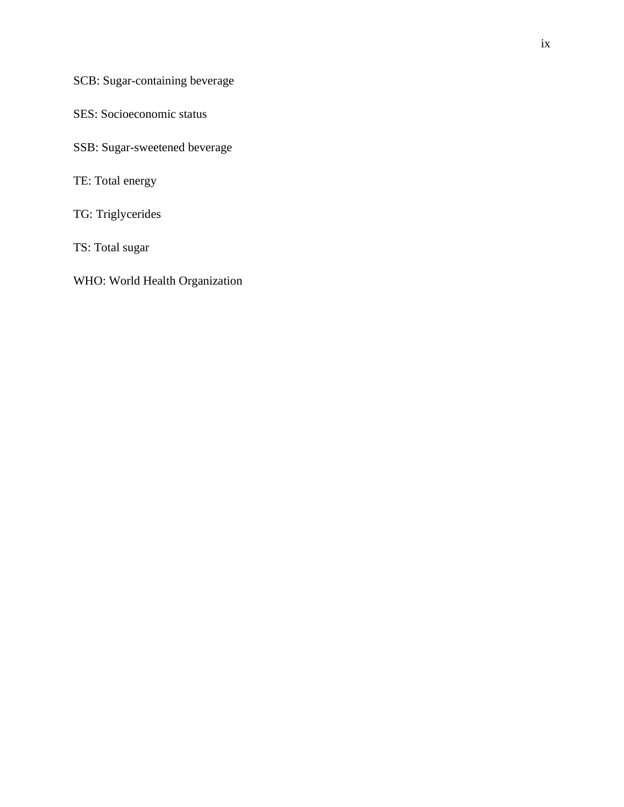SCB: Sugar-containing beverage

SES: Socioeconomic status

SSB: Sugar-sweetened beverage

TE: Total energy

TG: Triglycerides

TS: Total sugar

WHO: World Health Organization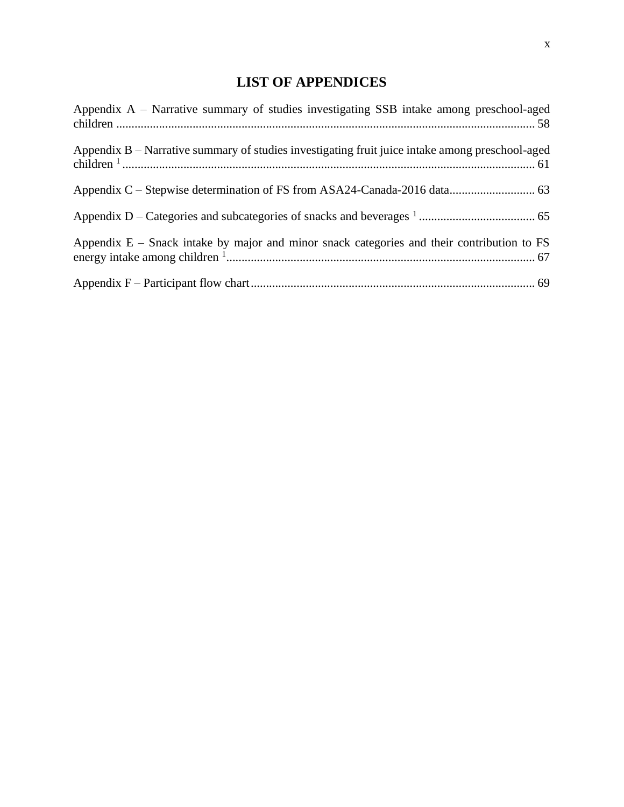# **LIST OF APPENDICES**

<span id="page-9-0"></span>

| Appendix $A$ – Narrative summary of studies investigating SSB intake among preschool-aged       |
|-------------------------------------------------------------------------------------------------|
| Appendix B – Narrative summary of studies investigating fruit juice intake among preschool-aged |
|                                                                                                 |
|                                                                                                 |
| Appendix $E$ – Snack intake by major and minor snack categories and their contribution to FS    |
|                                                                                                 |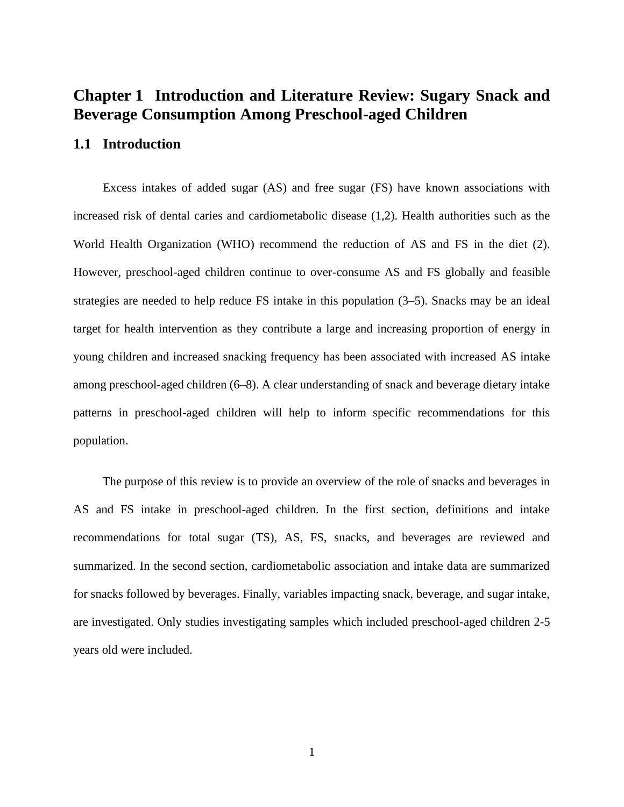# <span id="page-10-0"></span>**Chapter 1 Introduction and Literature Review: Sugary Snack and Beverage Consumption Among Preschool-aged Children**

#### <span id="page-10-1"></span>**1.1 Introduction**

Excess intakes of added sugar (AS) and free sugar (FS) have known associations with increased risk of dental caries and cardiometabolic disease (1,2). Health authorities such as the World Health Organization (WHO) recommend the reduction of AS and FS in the diet (2). However, preschool-aged children continue to over-consume AS and FS globally and feasible strategies are needed to help reduce FS intake in this population (3–5). Snacks may be an ideal target for health intervention as they contribute a large and increasing proportion of energy in young children and increased snacking frequency has been associated with increased AS intake among preschool-aged children (6–8). A clear understanding of snack and beverage dietary intake patterns in preschool-aged children will help to inform specific recommendations for this population.

The purpose of this review is to provide an overview of the role of snacks and beverages in AS and FS intake in preschool-aged children. In the first section, definitions and intake recommendations for total sugar (TS), AS, FS, snacks, and beverages are reviewed and summarized. In the second section, cardiometabolic association and intake data are summarized for snacks followed by beverages. Finally, variables impacting snack, beverage, and sugar intake, are investigated. Only studies investigating samples which included preschool-aged children 2-5 years old were included.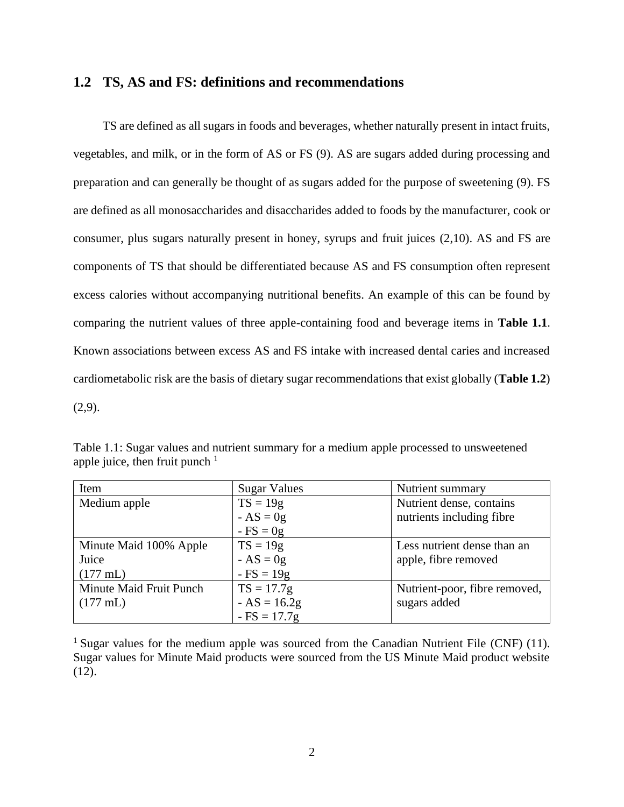#### <span id="page-11-0"></span>**1.2 TS, AS and FS: definitions and recommendations**

TS are defined as all sugars in foods and beverages, whether naturally present in intact fruits, vegetables, and milk, or in the form of AS or FS (9). AS are sugars added during processing and preparation and can generally be thought of as sugars added for the purpose of sweetening (9). FS are defined as all monosaccharides and disaccharides added to foods by the manufacturer, cook or consumer, plus sugars naturally present in honey, syrups and fruit juices (2,10). AS and FS are components of TS that should be differentiated because AS and FS consumption often represent excess calories without accompanying nutritional benefits. An example of this can be found by comparing the nutrient values of three apple-containing food and beverage items in **Table 1.1**. Known associations between excess AS and FS intake with increased dental caries and increased cardiometabolic risk are the basis of dietary sugar recommendations that exist globally (**Table 1.2**)  $(2,9)$ .

| Item                    | <b>Sugar Values</b> | Nutrient summary              |
|-------------------------|---------------------|-------------------------------|
| Medium apple            | $TS = 19g$          | Nutrient dense, contains      |
|                         | $-AS = 0g$          | nutrients including fibre     |
|                         | $-FS = 0g$          |                               |
| Minute Maid 100% Apple  | $TS = 19g$          | Less nutrient dense than an   |
| Juice                   | $-AS = 0g$          | apple, fibre removed          |
| $(177 \text{ mL})$      | $-FS = 19g$         |                               |
| Minute Maid Fruit Punch | $TS = 17.7g$        | Nutrient-poor, fibre removed, |
| $(177 \text{ mL})$      | $-AS = 16.2g$       | sugars added                  |
|                         | $-FS = 17.7g$       |                               |

<span id="page-11-1"></span>Table 1.1: Sugar values and nutrient summary for a medium apple processed to unsweetened apple juice, then fruit punch  $<sup>1</sup>$ </sup>

<sup>1</sup> Sugar values for the medium apple was sourced from the Canadian Nutrient File (CNF) (11). Sugar values for Minute Maid products were sourced from the US Minute Maid product website  $(12)$ .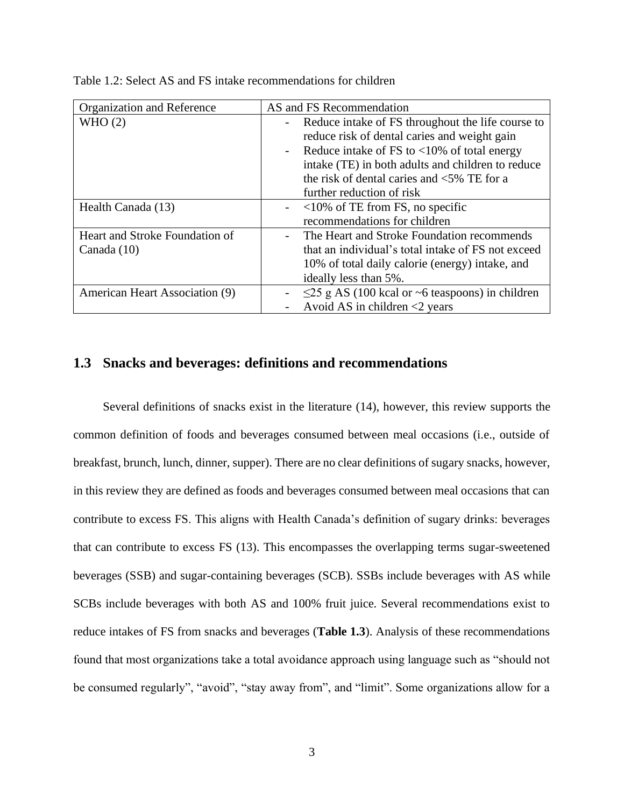| Organization and Reference                    | AS and FS Recommendation                                                                                                                                                                                                                                                                                                                                 |
|-----------------------------------------------|----------------------------------------------------------------------------------------------------------------------------------------------------------------------------------------------------------------------------------------------------------------------------------------------------------------------------------------------------------|
| WHO(2)                                        | Reduce intake of FS throughout the life course to<br>$\overline{\phantom{a}}$<br>reduce risk of dental caries and weight gain<br>Reduce intake of FS to $\langle 10\%$ of total energy<br>$\overline{\phantom{a}}$<br>intake (TE) in both adults and children to reduce<br>the risk of dental caries and $\leq$ 5% TE for a<br>further reduction of risk |
| Health Canada (13)                            | $\sim$ <10% of TE from FS, no specific<br>recommendations for children                                                                                                                                                                                                                                                                                   |
| Heart and Stroke Foundation of<br>Canada (10) | The Heart and Stroke Foundation recommends<br>that an individual's total intake of FS not exceed<br>10% of total daily calorie (energy) intake, and<br>ideally less than 5%.                                                                                                                                                                             |
| American Heart Association (9)                | $\leq$ 25 g AS (100 kcal or ~6 teaspoons) in children<br>Avoid AS in children $\leq$ years                                                                                                                                                                                                                                                               |

<span id="page-12-1"></span>Table 1.2: Select AS and FS intake recommendations for children

#### <span id="page-12-0"></span>**1.3 Snacks and beverages: definitions and recommendations**

Several definitions of snacks exist in the literature (14), however, this review supports the common definition of foods and beverages consumed between meal occasions (i.e., outside of breakfast, brunch, lunch, dinner, supper). There are no clear definitions of sugary snacks, however, in this review they are defined as foods and beverages consumed between meal occasions that can contribute to excess FS. This aligns with Health Canada's definition of sugary drinks: beverages that can contribute to excess FS (13). This encompasses the overlapping terms sugar-sweetened beverages (SSB) and sugar-containing beverages (SCB). SSBs include beverages with AS while SCBs include beverages with both AS and 100% fruit juice. Several recommendations exist to reduce intakes of FS from snacks and beverages (**Table 1.3**). Analysis of these recommendations found that most organizations take a total avoidance approach using language such as "should not be consumed regularly", "avoid", "stay away from", and "limit". Some organizations allow for a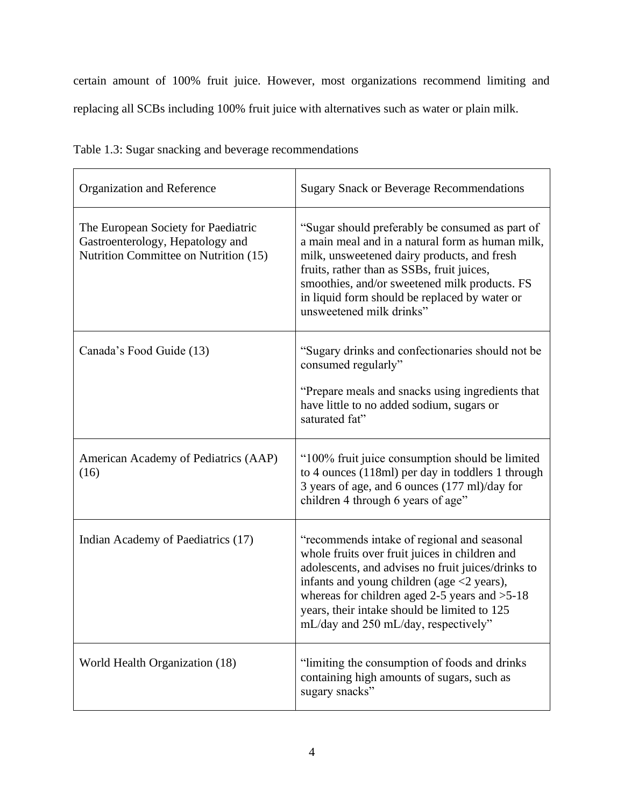certain amount of 100% fruit juice. However, most organizations recommend limiting and replacing all SCBs including 100% fruit juice with alternatives such as water or plain milk.

| Organization and Reference                                                                                       | <b>Sugary Snack or Beverage Recommendations</b>                                                                                                                                                                                                                                                                                                               |
|------------------------------------------------------------------------------------------------------------------|---------------------------------------------------------------------------------------------------------------------------------------------------------------------------------------------------------------------------------------------------------------------------------------------------------------------------------------------------------------|
| The European Society for Paediatric<br>Gastroenterology, Hepatology and<br>Nutrition Committee on Nutrition (15) | "Sugar should preferably be consumed as part of<br>a main meal and in a natural form as human milk,<br>milk, unsweetened dairy products, and fresh<br>fruits, rather than as SSBs, fruit juices,<br>smoothies, and/or sweetened milk products. FS<br>in liquid form should be replaced by water or<br>unsweetened milk drinks"                                |
| Canada's Food Guide (13)                                                                                         | "Sugary drinks and confectionaries should not be<br>consumed regularly"<br>"Prepare meals and snacks using ingredients that<br>have little to no added sodium, sugars or<br>saturated fat"                                                                                                                                                                    |
| American Academy of Pediatrics (AAP)<br>(16)                                                                     | "100% fruit juice consumption should be limited<br>to 4 ounces (118ml) per day in toddlers 1 through<br>3 years of age, and 6 ounces (177 ml)/day for<br>children 4 through 6 years of age"                                                                                                                                                                   |
| Indian Academy of Paediatrics (17)                                                                               | "recommends intake of regional and seasonal<br>whole fruits over fruit juices in children and<br>adolescents, and advises no fruit juices/drinks to<br>infants and young children (age $\langle 2 \rangle$ years),<br>whereas for children aged 2-5 years and $>5-18$<br>years, their intake should be limited to 125<br>mL/day and 250 mL/day, respectively" |
| World Health Organization (18)                                                                                   | "limiting the consumption of foods and drinks"<br>containing high amounts of sugars, such as<br>sugary snacks"                                                                                                                                                                                                                                                |

<span id="page-13-0"></span>

|  |  |  | Table 1.3: Sugar snacking and beverage recommendations |
|--|--|--|--------------------------------------------------------|
|  |  |  |                                                        |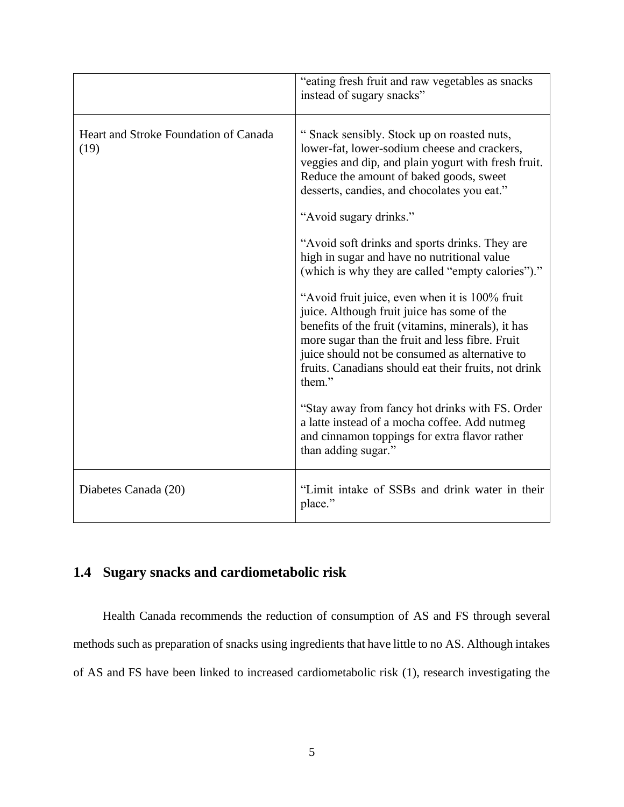|                                               | "eating fresh fruit and raw vegetables as snacks"<br>instead of sugary snacks"                                                                                                                                                                                                                                             |
|-----------------------------------------------|----------------------------------------------------------------------------------------------------------------------------------------------------------------------------------------------------------------------------------------------------------------------------------------------------------------------------|
| Heart and Stroke Foundation of Canada<br>(19) | "Snack sensibly. Stock up on roasted nuts,<br>lower-fat, lower-sodium cheese and crackers,<br>veggies and dip, and plain yogurt with fresh fruit.<br>Reduce the amount of baked goods, sweet<br>desserts, candies, and chocolates you eat."<br>"Avoid sugary drinks."                                                      |
|                                               | "Avoid soft drinks and sports drinks. They are<br>high in sugar and have no nutritional value<br>(which is why they are called "empty calories")."                                                                                                                                                                         |
|                                               | "Avoid fruit juice, even when it is 100% fruit<br>juice. Although fruit juice has some of the<br>benefits of the fruit (vitamins, minerals), it has<br>more sugar than the fruit and less fibre. Fruit<br>juice should not be consumed as alternative to<br>fruits. Canadians should eat their fruits, not drink<br>them." |
|                                               | "Stay away from fancy hot drinks with FS. Order<br>a latte instead of a mocha coffee. Add nutmeg<br>and cinnamon toppings for extra flavor rather<br>than adding sugar."                                                                                                                                                   |
| Diabetes Canada (20)                          | "Limit intake of SSBs and drink water in their<br>place."                                                                                                                                                                                                                                                                  |

## <span id="page-14-0"></span>**1.4 Sugary snacks and cardiometabolic risk**

Health Canada recommends the reduction of consumption of AS and FS through several methods such as preparation of snacks using ingredients that have little to no AS. Although intakes of AS and FS have been linked to increased cardiometabolic risk (1), research investigating the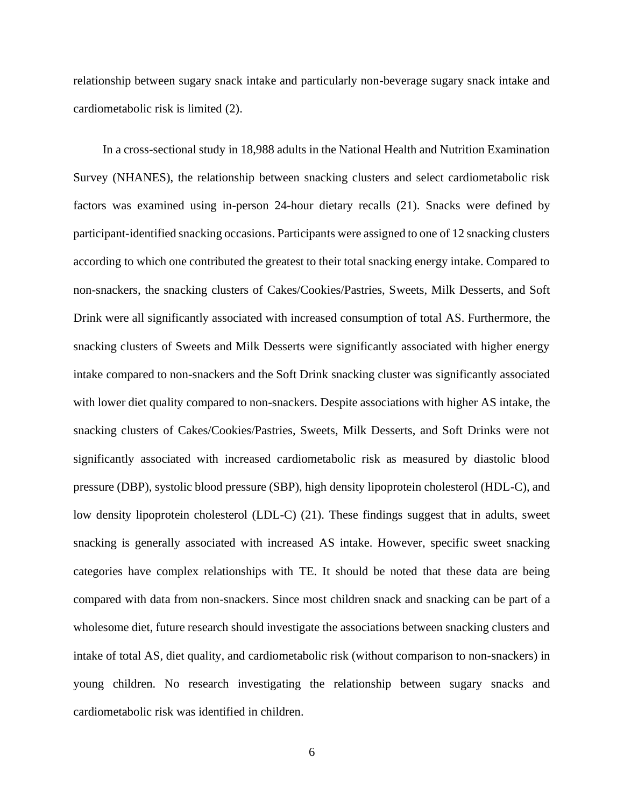relationship between sugary snack intake and particularly non-beverage sugary snack intake and cardiometabolic risk is limited (2).

In a cross-sectional study in 18,988 adults in the National Health and Nutrition Examination Survey (NHANES), the relationship between snacking clusters and select cardiometabolic risk factors was examined using in-person 24-hour dietary recalls (21). Snacks were defined by participant-identified snacking occasions. Participants were assigned to one of 12 snacking clusters according to which one contributed the greatest to their total snacking energy intake. Compared to non-snackers, the snacking clusters of Cakes/Cookies/Pastries, Sweets, Milk Desserts, and Soft Drink were all significantly associated with increased consumption of total AS. Furthermore, the snacking clusters of Sweets and Milk Desserts were significantly associated with higher energy intake compared to non-snackers and the Soft Drink snacking cluster was significantly associated with lower diet quality compared to non-snackers. Despite associations with higher AS intake, the snacking clusters of Cakes/Cookies/Pastries, Sweets, Milk Desserts, and Soft Drinks were not significantly associated with increased cardiometabolic risk as measured by diastolic blood pressure (DBP), systolic blood pressure (SBP), high density lipoprotein cholesterol (HDL-C), and low density lipoprotein cholesterol (LDL-C) (21). These findings suggest that in adults, sweet snacking is generally associated with increased AS intake. However, specific sweet snacking categories have complex relationships with TE. It should be noted that these data are being compared with data from non-snackers. Since most children snack and snacking can be part of a wholesome diet, future research should investigate the associations between snacking clusters and intake of total AS, diet quality, and cardiometabolic risk (without comparison to non-snackers) in young children. No research investigating the relationship between sugary snacks and cardiometabolic risk was identified in children.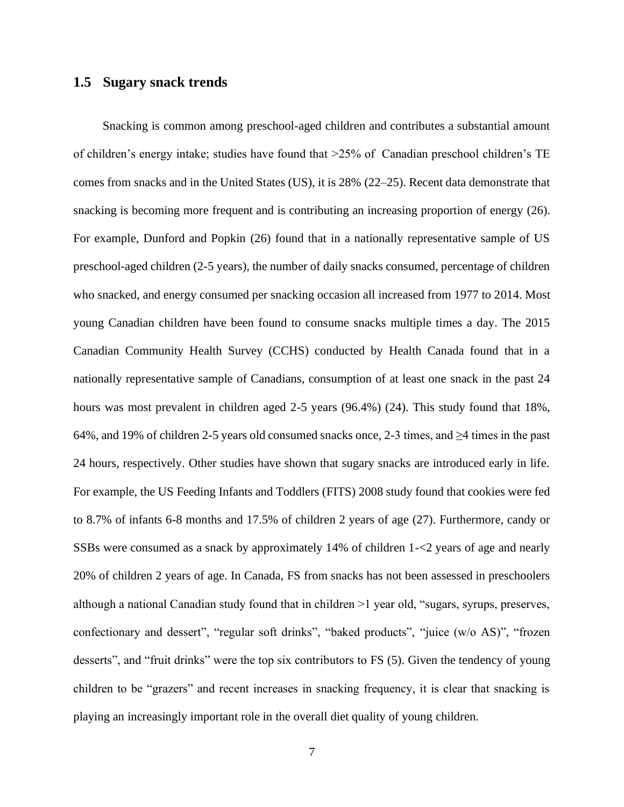#### <span id="page-16-0"></span>**1.5 Sugary snack trends**

Snacking is common among preschool-aged children and contributes a substantial amount of children's energy intake; studies have found that >25% of Canadian preschool children's TE comes from snacks and in the United States (US), it is 28% (22–25). Recent data demonstrate that snacking is becoming more frequent and is contributing an increasing proportion of energy (26). For example, Dunford and Popkin (26) found that in a nationally representative sample of US preschool-aged children (2-5 years), the number of daily snacks consumed, percentage of children who snacked, and energy consumed per snacking occasion all increased from 1977 to 2014. Most young Canadian children have been found to consume snacks multiple times a day. The 2015 Canadian Community Health Survey (CCHS) conducted by Health Canada found that in a nationally representative sample of Canadians, consumption of at least one snack in the past 24 hours was most prevalent in children aged 2-5 years (96.4%) (24). This study found that 18%, 64%, and 19% of children 2-5 years old consumed snacks once, 2-3 times, and  $\geq 4$  times in the past 24 hours, respectively. Other studies have shown that sugary snacks are introduced early in life. For example, the US Feeding Infants and Toddlers (FITS) 2008 study found that cookies were fed to 8.7% of infants 6-8 months and 17.5% of children 2 years of age (27). Furthermore, candy or SSBs were consumed as a snack by approximately 14% of children 1-<2 years of age and nearly 20% of children 2 years of age. In Canada, FS from snacks has not been assessed in preschoolers although a national Canadian study found that in children >1 year old, "sugars, syrups, preserves, confectionary and dessert", "regular soft drinks", "baked products", "juice (w/o AS)", "frozen desserts", and "fruit drinks" were the top six contributors to FS (5). Given the tendency of young children to be "grazers" and recent increases in snacking frequency, it is clear that snacking is playing an increasingly important role in the overall diet quality of young children.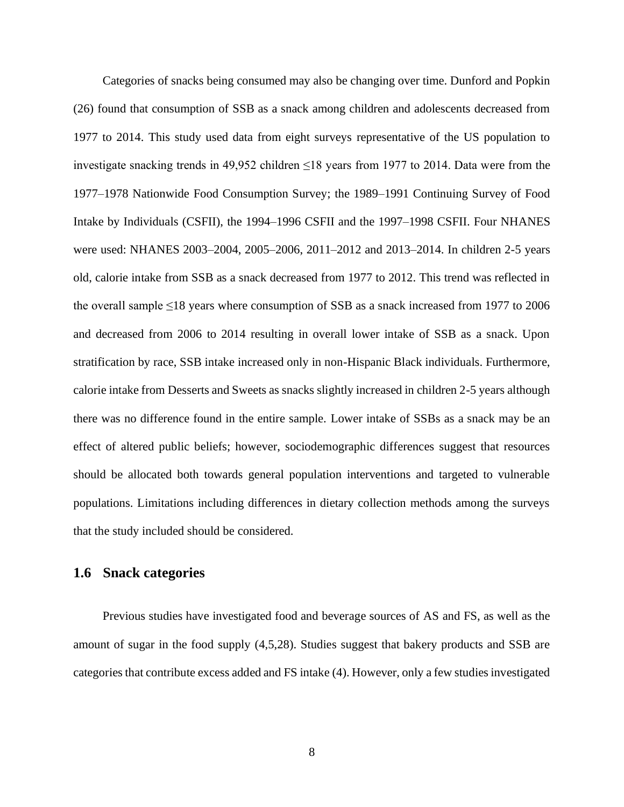Categories of snacks being consumed may also be changing over time. Dunford and Popkin (26) found that consumption of SSB as a snack among children and adolescents decreased from 1977 to 2014. This study used data from eight surveys representative of the US population to investigate snacking trends in 49,952 children ≤18 years from 1977 to 2014. Data were from the 1977–1978 Nationwide Food Consumption Survey; the 1989–1991 Continuing Survey of Food Intake by Individuals (CSFII), the 1994–1996 CSFII and the 1997–1998 CSFII. Four NHANES were used: NHANES 2003–2004, 2005–2006, 2011–2012 and 2013–2014. In children 2-5 years old, calorie intake from SSB as a snack decreased from 1977 to 2012. This trend was reflected in the overall sample ≤18 years where consumption of SSB as a snack increased from 1977 to 2006 and decreased from 2006 to 2014 resulting in overall lower intake of SSB as a snack. Upon stratification by race, SSB intake increased only in non-Hispanic Black individuals. Furthermore, calorie intake from Desserts and Sweets as snacks slightly increased in children 2-5 years although there was no difference found in the entire sample. Lower intake of SSBs as a snack may be an effect of altered public beliefs; however, sociodemographic differences suggest that resources should be allocated both towards general population interventions and targeted to vulnerable populations. Limitations including differences in dietary collection methods among the surveys that the study included should be considered.

#### <span id="page-17-0"></span>**1.6 Snack categories**

Previous studies have investigated food and beverage sources of AS and FS, as well as the amount of sugar in the food supply (4,5,28). Studies suggest that bakery products and SSB are categories that contribute excess added and FS intake (4). However, only a few studies investigated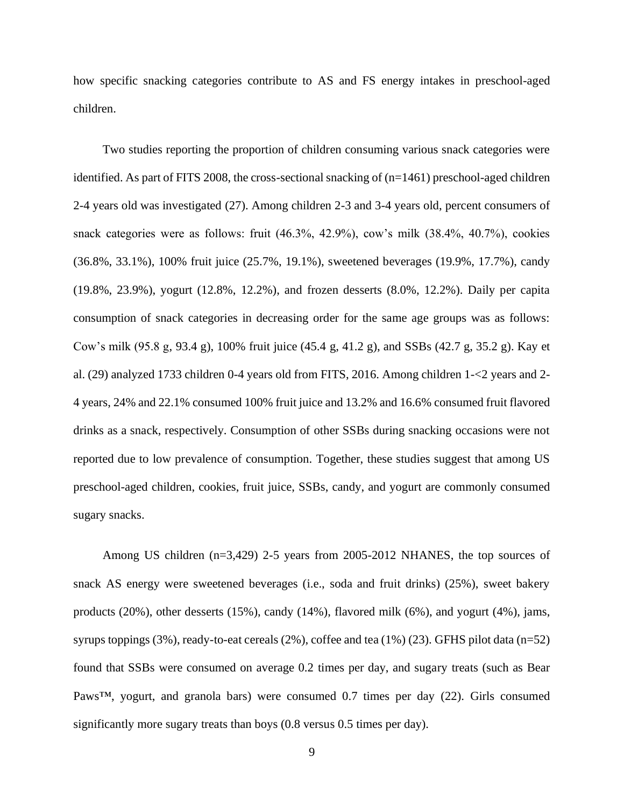how specific snacking categories contribute to AS and FS energy intakes in preschool-aged children.

Two studies reporting the proportion of children consuming various snack categories were identified. As part of FITS 2008, the cross-sectional snacking of (n=1461) preschool-aged children 2-4 years old was investigated (27). Among children 2-3 and 3-4 years old, percent consumers of snack categories were as follows: fruit (46.3%, 42.9%), cow's milk (38.4%, 40.7%), cookies (36.8%, 33.1%), 100% fruit juice (25.7%, 19.1%), sweetened beverages (19.9%, 17.7%), candy (19.8%, 23.9%), yogurt (12.8%, 12.2%), and frozen desserts (8.0%, 12.2%). Daily per capita consumption of snack categories in decreasing order for the same age groups was as follows: Cow's milk (95.8 g, 93.4 g), 100% fruit juice (45.4 g, 41.2 g), and SSBs (42.7 g, 35.2 g). Kay et al. (29) analyzed 1733 children 0-4 years old from FITS, 2016. Among children 1-<2 years and 2- 4 years, 24% and 22.1% consumed 100% fruit juice and 13.2% and 16.6% consumed fruit flavored drinks as a snack, respectively. Consumption of other SSBs during snacking occasions were not reported due to low prevalence of consumption. Together, these studies suggest that among US preschool-aged children, cookies, fruit juice, SSBs, candy, and yogurt are commonly consumed sugary snacks.

Among US children (n=3,429) 2-5 years from 2005-2012 NHANES, the top sources of snack AS energy were sweetened beverages (i.e., soda and fruit drinks) (25%), sweet bakery products (20%), other desserts (15%), candy (14%), flavored milk (6%), and yogurt (4%), jams, syrups toppings (3%), ready-to-eat cereals (2%), coffee and tea (1%) (23). GFHS pilot data (n=52) found that SSBs were consumed on average 0.2 times per day, and sugary treats (such as Bear Paws™, yogurt, and granola bars) were consumed 0.7 times per day (22). Girls consumed significantly more sugary treats than boys (0.8 versus 0.5 times per day).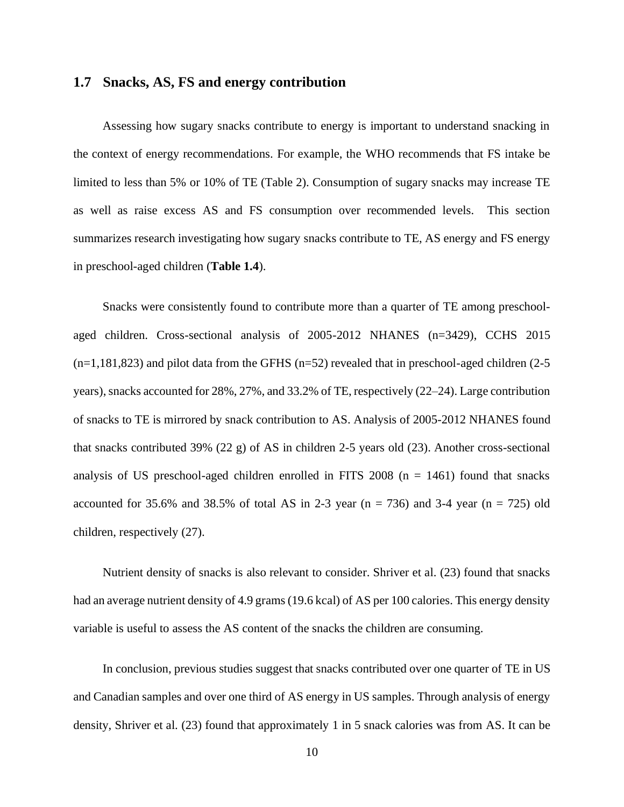#### <span id="page-19-0"></span>**1.7 Snacks, AS, FS and energy contribution**

Assessing how sugary snacks contribute to energy is important to understand snacking in the context of energy recommendations. For example, the WHO recommends that FS intake be limited to less than 5% or 10% of TE (Table 2). Consumption of sugary snacks may increase TE as well as raise excess AS and FS consumption over recommended levels. This section summarizes research investigating how sugary snacks contribute to TE, AS energy and FS energy in preschool-aged children (**Table 1.4**).

Snacks were consistently found to contribute more than a quarter of TE among preschoolaged children. Cross-sectional analysis of 2005-2012 NHANES (n=3429), CCHS 2015  $(n=1,181,823)$  and pilot data from the GFHS  $(n=52)$  revealed that in preschool-aged children (2-5) years), snacks accounted for 28%, 27%, and 33.2% of TE, respectively (22–24). Large contribution of snacks to TE is mirrored by snack contribution to AS. Analysis of 2005-2012 NHANES found that snacks contributed 39% (22 g) of AS in children 2-5 years old (23). Another cross-sectional analysis of US preschool-aged children enrolled in FITS 2008  $(n = 1461)$  found that snacks accounted for 35.6% and 38.5% of total AS in 2-3 year ( $n = 736$ ) and 3-4 year ( $n = 725$ ) old children, respectively (27).

Nutrient density of snacks is also relevant to consider. Shriver et al. (23) found that snacks had an average nutrient density of 4.9 grams (19.6 kcal) of AS per 100 calories. This energy density variable is useful to assess the AS content of the snacks the children are consuming.

In conclusion, previous studies suggest that snacks contributed over one quarter of TE in US and Canadian samples and over one third of AS energy in US samples. Through analysis of energy density, Shriver et al. (23) found that approximately 1 in 5 snack calories was from AS. It can be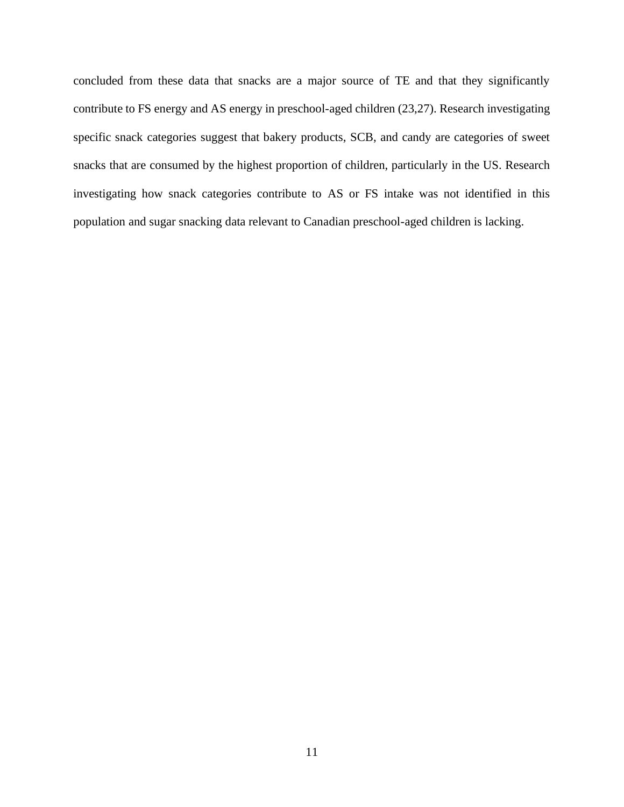concluded from these data that snacks are a major source of TE and that they significantly contribute to FS energy and AS energy in preschool-aged children (23,27). Research investigating specific snack categories suggest that bakery products, SCB, and candy are categories of sweet snacks that are consumed by the highest proportion of children, particularly in the US. Research investigating how snack categories contribute to AS or FS intake was not identified in this population and sugar snacking data relevant to Canadian preschool-aged children is lacking.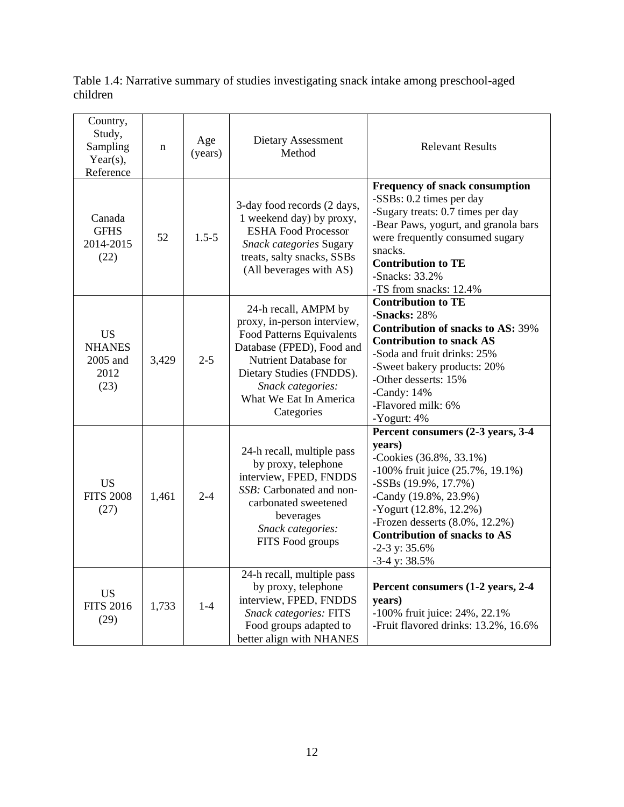<span id="page-21-0"></span>Table 1.4: Narrative summary of studies investigating snack intake among preschool-aged children

| Country,<br>Study,<br>Sampling<br>Year(s),<br>Reference | $\mathbf n$ | Age<br>(years) | Dietary Assessment<br>Method                                                                                                                                                                                                    | <b>Relevant Results</b>                                                                                                                                                                                                                                                                                     |
|---------------------------------------------------------|-------------|----------------|---------------------------------------------------------------------------------------------------------------------------------------------------------------------------------------------------------------------------------|-------------------------------------------------------------------------------------------------------------------------------------------------------------------------------------------------------------------------------------------------------------------------------------------------------------|
| Canada<br><b>GFHS</b><br>2014-2015<br>(22)              | 52          | $1.5 - 5$      | 3-day food records (2 days,<br>1 weekend day) by proxy,<br><b>ESHA Food Processor</b><br>Snack categories Sugary<br>treats, salty snacks, SSBs<br>(All beverages with AS)                                                       | Frequency of snack consumption<br>-SSBs: 0.2 times per day<br>-Sugary treats: 0.7 times per day<br>-Bear Paws, yogurt, and granola bars<br>were frequently consumed sugary<br>snacks.<br><b>Contribution to TE</b><br>-Snacks: 33.2%<br>-TS from snacks: 12.4%                                              |
| <b>US</b><br><b>NHANES</b><br>2005 and<br>2012<br>(23)  | 3,429       | $2 - 5$        | 24-h recall, AMPM by<br>proxy, in-person interview,<br>Food Patterns Equivalents<br>Database (FPED), Food and<br>Nutrient Database for<br>Dietary Studies (FNDDS).<br>Snack categories:<br>What We Eat In America<br>Categories | <b>Contribution to TE</b><br>-Snacks: 28%<br><b>Contribution of snacks to AS: 39%</b><br><b>Contribution to snack AS</b><br>-Soda and fruit drinks: 25%<br>-Sweet bakery products: 20%<br>-Other desserts: 15%<br>-Candy: $14%$<br>-Flavored milk: 6%<br>-Yogurt: 4%                                        |
| <b>US</b><br><b>FITS 2008</b><br>(27)                   | 1,461       | $2 - 4$        | 24-h recall, multiple pass<br>by proxy, telephone<br>interview, FPED, FNDDS<br>SSB: Carbonated and non-<br>carbonated sweetened<br>beverages<br>Snack categories:<br>FITS Food groups                                           | Percent consumers (2-3 years, 3-4<br>years)<br>-Cookies (36.8%, 33.1%)<br>-100% fruit juice (25.7%, 19.1%)<br>$-SSBs(19.9\%, 17.7\%)$<br>-Candy (19.8%, 23.9%)<br>-Yogurt (12.8%, 12.2%)<br>-Frozen desserts $(8.0\%, 12.2\%)$<br><b>Contribution of snacks to AS</b><br>$-2-3$ y: 35.6%<br>$-3-4$ y: 38.5% |
| <b>US</b><br><b>FITS 2016</b><br>(29)                   | 1,733       | $1-4$          | 24-h recall, multiple pass<br>by proxy, telephone<br>interview, FPED, FNDDS<br><b>Snack categories: FITS</b><br>Food groups adapted to<br>better align with NHANES                                                              | Percent consumers (1-2 years, 2-4<br>years)<br>-100% fruit juice: 24%, 22.1%<br>-Fruit flavored drinks: 13.2%, 16.6%                                                                                                                                                                                        |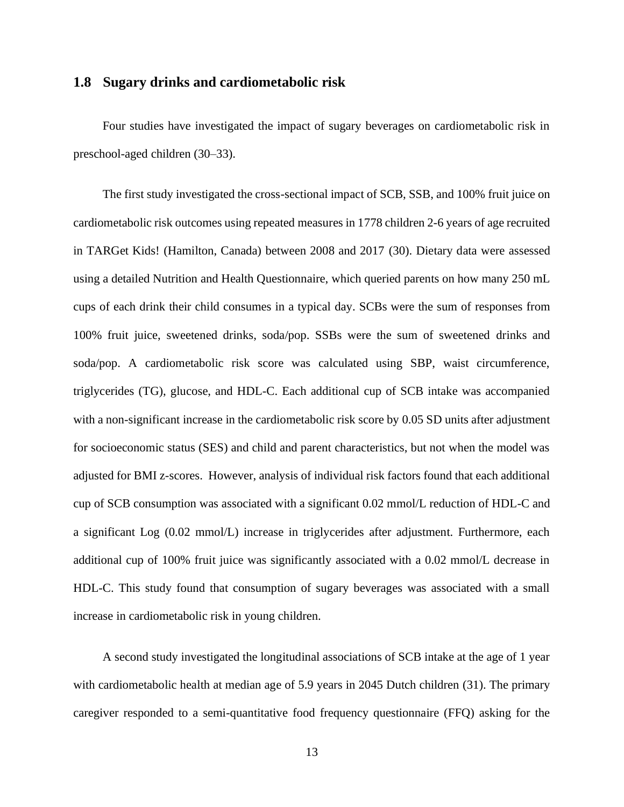#### <span id="page-22-0"></span>**1.8 Sugary drinks and cardiometabolic risk**

Four studies have investigated the impact of sugary beverages on cardiometabolic risk in preschool-aged children (30–33).

The first study investigated the cross-sectional impact of SCB, SSB, and 100% fruit juice on cardiometabolic risk outcomes using repeated measures in 1778 children 2-6 years of age recruited in TARGet Kids! (Hamilton, Canada) between 2008 and 2017 (30). Dietary data were assessed using a detailed Nutrition and Health Questionnaire, which queried parents on how many 250 mL cups of each drink their child consumes in a typical day. SCBs were the sum of responses from 100% fruit juice, sweetened drinks, soda/pop. SSBs were the sum of sweetened drinks and soda/pop. A cardiometabolic risk score was calculated using SBP, waist circumference, triglycerides (TG), glucose, and HDL-C. Each additional cup of SCB intake was accompanied with a non-significant increase in the cardiometabolic risk score by 0.05 SD units after adjustment for socioeconomic status (SES) and child and parent characteristics, but not when the model was adjusted for BMI z-scores. However, analysis of individual risk factors found that each additional cup of SCB consumption was associated with a significant 0.02 mmol/L reduction of HDL-C and a significant Log (0.02 mmol/L) increase in triglycerides after adjustment. Furthermore, each additional cup of 100% fruit juice was significantly associated with a 0.02 mmol/L decrease in HDL-C. This study found that consumption of sugary beverages was associated with a small increase in cardiometabolic risk in young children.

A second study investigated the longitudinal associations of SCB intake at the age of 1 year with cardiometabolic health at median age of 5.9 years in 2045 Dutch children (31). The primary caregiver responded to a semi-quantitative food frequency questionnaire (FFQ) asking for the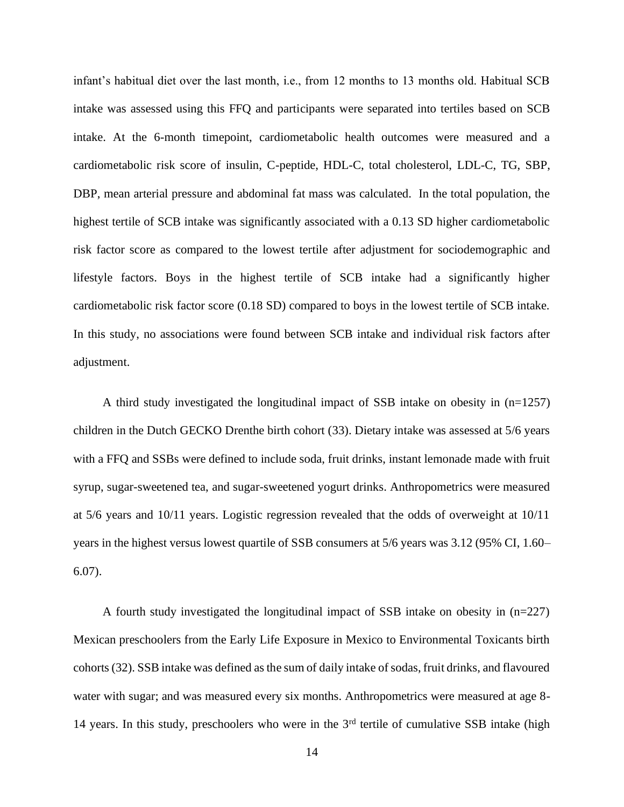infant's habitual diet over the last month, i.e., from 12 months to 13 months old. Habitual SCB intake was assessed using this FFQ and participants were separated into tertiles based on SCB intake. At the 6-month timepoint, cardiometabolic health outcomes were measured and a cardiometabolic risk score of insulin, C-peptide, HDL-C, total cholesterol, LDL-C, TG, SBP, DBP, mean arterial pressure and abdominal fat mass was calculated. In the total population, the highest tertile of SCB intake was significantly associated with a 0.13 SD higher cardiometabolic risk factor score as compared to the lowest tertile after adjustment for sociodemographic and lifestyle factors. Boys in the highest tertile of SCB intake had a significantly higher cardiometabolic risk factor score (0.18 SD) compared to boys in the lowest tertile of SCB intake. In this study, no associations were found between SCB intake and individual risk factors after adjustment.

A third study investigated the longitudinal impact of SSB intake on obesity in (n=1257) children in the Dutch GECKO Drenthe birth cohort (33). Dietary intake was assessed at 5/6 years with a FFQ and SSBs were defined to include soda, fruit drinks, instant lemonade made with fruit syrup, sugar-sweetened tea, and sugar-sweetened yogurt drinks. Anthropometrics were measured at 5/6 years and 10/11 years. Logistic regression revealed that the odds of overweight at 10/11 years in the highest versus lowest quartile of SSB consumers at 5/6 years was 3.12 (95% CI, 1.60– 6.07).

A fourth study investigated the longitudinal impact of SSB intake on obesity in (n=227) Mexican preschoolers from the Early Life Exposure in Mexico to Environmental Toxicants birth cohorts (32). SSB intake was defined as the sum of daily intake of sodas, fruit drinks, and flavoured water with sugar; and was measured every six months. Anthropometrics were measured at age 8- 14 years. In this study, preschoolers who were in the  $3<sup>rd</sup>$  tertile of cumulative SSB intake (high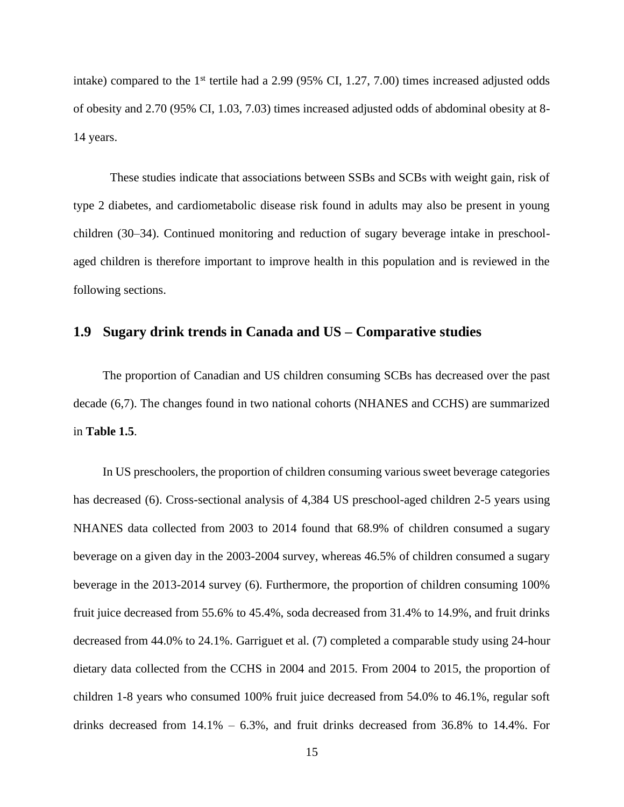intake) compared to the  $1<sup>st</sup>$  tertile had a 2.99 (95% CI, 1.27, 7.00) times increased adjusted odds of obesity and 2.70 (95% CI, 1.03, 7.03) times increased adjusted odds of abdominal obesity at 8- 14 years.

These studies indicate that associations between SSBs and SCBs with weight gain, risk of type 2 diabetes, and cardiometabolic disease risk found in adults may also be present in young children (30–34). Continued monitoring and reduction of sugary beverage intake in preschoolaged children is therefore important to improve health in this population and is reviewed in the following sections.

## <span id="page-24-0"></span>**1.9 Sugary drink trends in Canada and US – Comparative studies**

The proportion of Canadian and US children consuming SCBs has decreased over the past decade (6,7). The changes found in two national cohorts (NHANES and CCHS) are summarized in **Table 1.5**.

In US preschoolers, the proportion of children consuming various sweet beverage categories has decreased (6). Cross-sectional analysis of 4,384 US preschool-aged children 2-5 years using NHANES data collected from 2003 to 2014 found that 68.9% of children consumed a sugary beverage on a given day in the 2003-2004 survey, whereas 46.5% of children consumed a sugary beverage in the 2013-2014 survey (6). Furthermore, the proportion of children consuming 100% fruit juice decreased from 55.6% to 45.4%, soda decreased from 31.4% to 14.9%, and fruit drinks decreased from 44.0% to 24.1%. Garriguet et al. (7) completed a comparable study using 24-hour dietary data collected from the CCHS in 2004 and 2015. From 2004 to 2015, the proportion of children 1-8 years who consumed 100% fruit juice decreased from 54.0% to 46.1%, regular soft drinks decreased from 14.1% – 6.3%, and fruit drinks decreased from 36.8% to 14.4%. For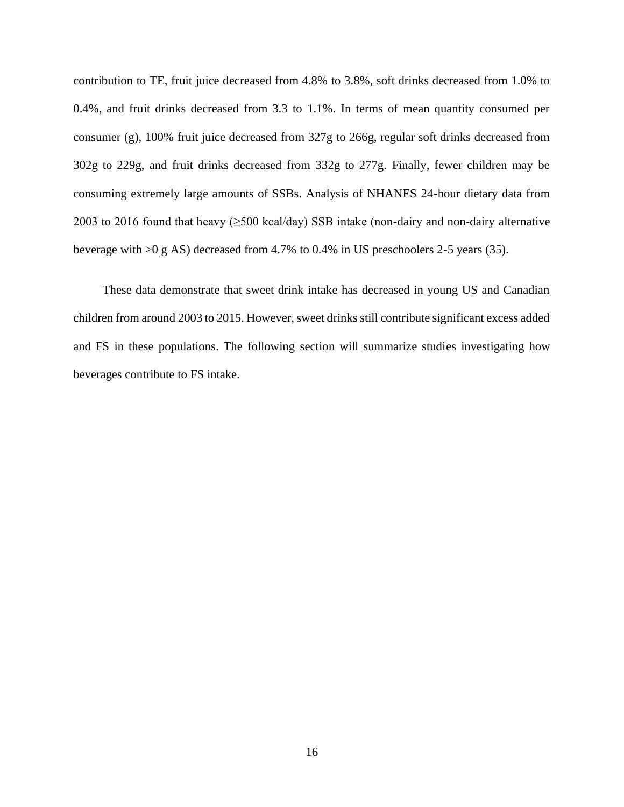contribution to TE, fruit juice decreased from 4.8% to 3.8%, soft drinks decreased from 1.0% to 0.4%, and fruit drinks decreased from 3.3 to 1.1%. In terms of mean quantity consumed per consumer (g), 100% fruit juice decreased from 327g to 266g, regular soft drinks decreased from 302g to 229g, and fruit drinks decreased from 332g to 277g. Finally, fewer children may be consuming extremely large amounts of SSBs. Analysis of NHANES 24-hour dietary data from 2003 to 2016 found that heavy  $(\geq 500 \text{ kcal/day})$  SSB intake (non-dairy and non-dairy alternative beverage with >0 g AS) decreased from 4.7% to 0.4% in US preschoolers 2-5 years (35).

These data demonstrate that sweet drink intake has decreased in young US and Canadian children from around 2003 to 2015. However, sweet drinks still contribute significant excess added and FS in these populations. The following section will summarize studies investigating how beverages contribute to FS intake.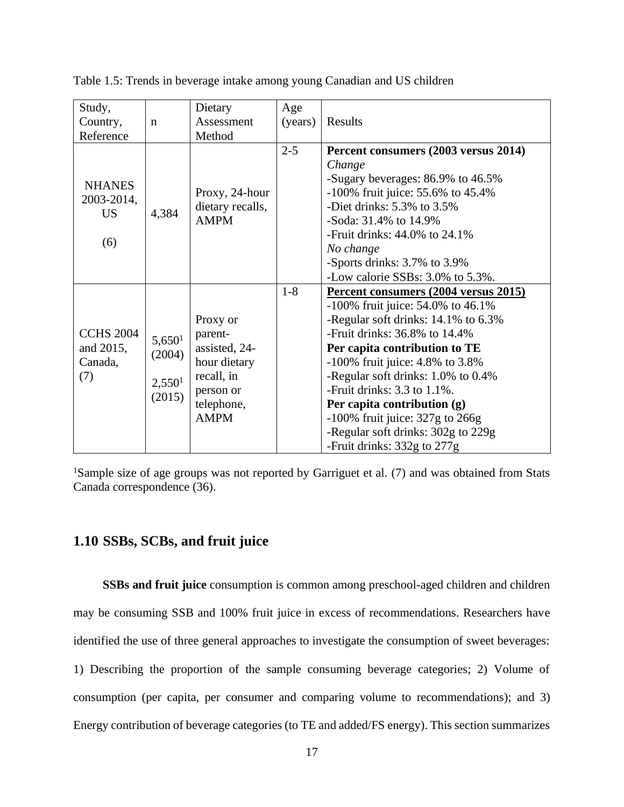| Study,                                          |                                                              | Dietary                                                                                                      | Age     |                                                                                                                                                                                                                                                                                                                                                                                                                                                        |
|-------------------------------------------------|--------------------------------------------------------------|--------------------------------------------------------------------------------------------------------------|---------|--------------------------------------------------------------------------------------------------------------------------------------------------------------------------------------------------------------------------------------------------------------------------------------------------------------------------------------------------------------------------------------------------------------------------------------------------------|
| Country,                                        | $\mathbf n$                                                  | Assessment                                                                                                   | (years) | Results                                                                                                                                                                                                                                                                                                                                                                                                                                                |
| Reference                                       |                                                              | Method                                                                                                       |         |                                                                                                                                                                                                                                                                                                                                                                                                                                                        |
| <b>NHANES</b><br>2003-2014,<br><b>US</b><br>(6) | 4,384                                                        | Proxy, 24-hour<br>dietary recalls,<br><b>AMPM</b>                                                            | $2 - 5$ | Percent consumers (2003 versus 2014)<br>Change<br>-Sugary beverages: 86.9% to 46.5%<br>$-100\%$ fruit juice: 55.6% to 45.4%<br>-Diet drinks: $5.3\%$ to $3.5\%$<br>-Soda: 31.4% to 14.9%<br>-Fruit drinks: $44.0\%$ to $24.1\%$<br>No change<br>-Sports drinks: 3.7% to 3.9%<br>-Low calorie SSBs: 3.0% to 5.3%.                                                                                                                                       |
| <b>CCHS 2004</b><br>and 2015,<br>Canada,<br>(7) | 5,650 <sup>1</sup><br>(2004)<br>2,550 <sup>1</sup><br>(2015) | Proxy or<br>parent-<br>assisted, 24-<br>hour dietary<br>recall, in<br>person or<br>telephone,<br><b>AMPM</b> | $1 - 8$ | Percent consumers (2004 versus 2015)<br>$-100\%$ fruit juice: 54.0% to 46.1%<br>-Regular soft drinks: 14.1% to 6.3%<br>-Fruit drinks: $36.8\%$ to $14.4\%$<br>Per capita contribution to TE<br>$-100\%$ fruit juice: 4.8% to 3.8%<br>-Regular soft drinks: 1.0% to 0.4%<br>-Fruit drinks: $3.3$ to $1.1\%$ .<br>Per capita contribution (g)<br>$-100\%$ fruit juice: 327g to 266g<br>-Regular soft drinks: 302g to 229g<br>-Fruit drinks: 332g to 277g |

<span id="page-26-1"></span>Table 1.5: Trends in beverage intake among young Canadian and US children

<sup>1</sup>Sample size of age groups was not reported by Garriguet et al. (7) and was obtained from Stats Canada correspondence (36).

## <span id="page-26-0"></span>**1.10 SSBs, SCBs, and fruit juice**

**SSBs and fruit juice** consumption is common among preschool-aged children and children may be consuming SSB and 100% fruit juice in excess of recommendations. Researchers have identified the use of three general approaches to investigate the consumption of sweet beverages: 1) Describing the proportion of the sample consuming beverage categories; 2) Volume of consumption (per capita, per consumer and comparing volume to recommendations); and 3) Energy contribution of beverage categories (to TE and added/FS energy). This section summarizes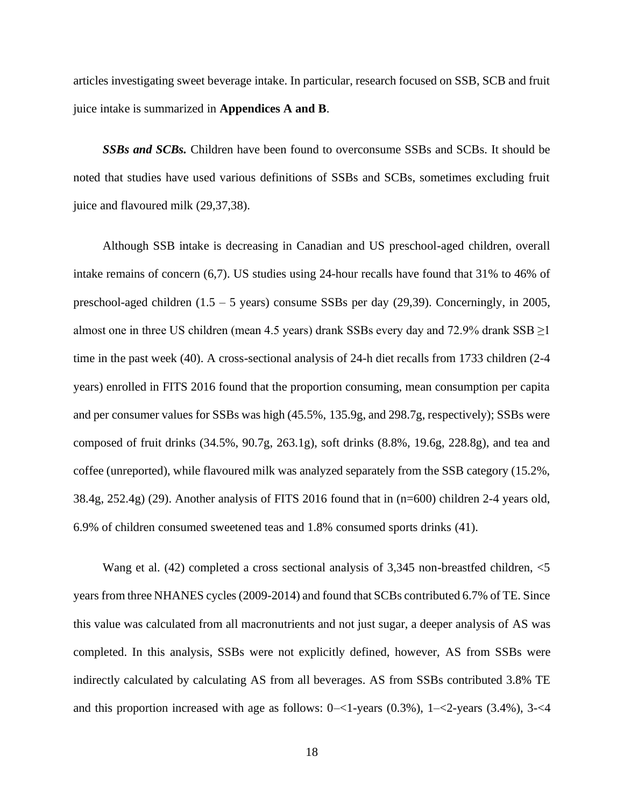articles investigating sweet beverage intake. In particular, research focused on SSB, SCB and fruit juice intake is summarized in **Appendices A and B**.

*SSBs and SCBs.* Children have been found to overconsume SSBs and SCBs. It should be noted that studies have used various definitions of SSBs and SCBs, sometimes excluding fruit juice and flavoured milk (29,37,38).

Although SSB intake is decreasing in Canadian and US preschool-aged children, overall intake remains of concern (6,7). US studies using 24-hour recalls have found that 31% to 46% of preschool-aged children (1.5 – 5 years) consume SSBs per day (29,39). Concerningly, in 2005, almost one in three US children (mean 4.5 years) drank SSBs every day and 72.9% drank  $SSB \ge 1$ time in the past week (40). A cross-sectional analysis of 24-h diet recalls from 1733 children (2-4 years) enrolled in FITS 2016 found that the proportion consuming, mean consumption per capita and per consumer values for SSBs was high (45.5%, 135.9g, and 298.7g, respectively); SSBs were composed of fruit drinks (34.5%, 90.7g, 263.1g), soft drinks (8.8%, 19.6g, 228.8g), and tea and coffee (unreported), while flavoured milk was analyzed separately from the SSB category (15.2%, 38.4g, 252.4g) (29). Another analysis of FITS 2016 found that in (n=600) children 2-4 years old, 6.9% of children consumed sweetened teas and 1.8% consumed sports drinks (41).

Wang et al. (42) completed a cross sectional analysis of 3,345 non-breastfed children,  $\leq$ 5 years from three NHANES cycles (2009-2014) and found that SCBs contributed 6.7% of TE. Since this value was calculated from all macronutrients and not just sugar, a deeper analysis of AS was completed. In this analysis, SSBs were not explicitly defined, however, AS from SSBs were indirectly calculated by calculating AS from all beverages. AS from SSBs contributed 3.8% TE and this proportion increased with age as follows:  $0 - 1$ -years  $(0.3\%)$ ,  $1 - 2$ -years  $(3.4\%)$ ,  $3 - 4$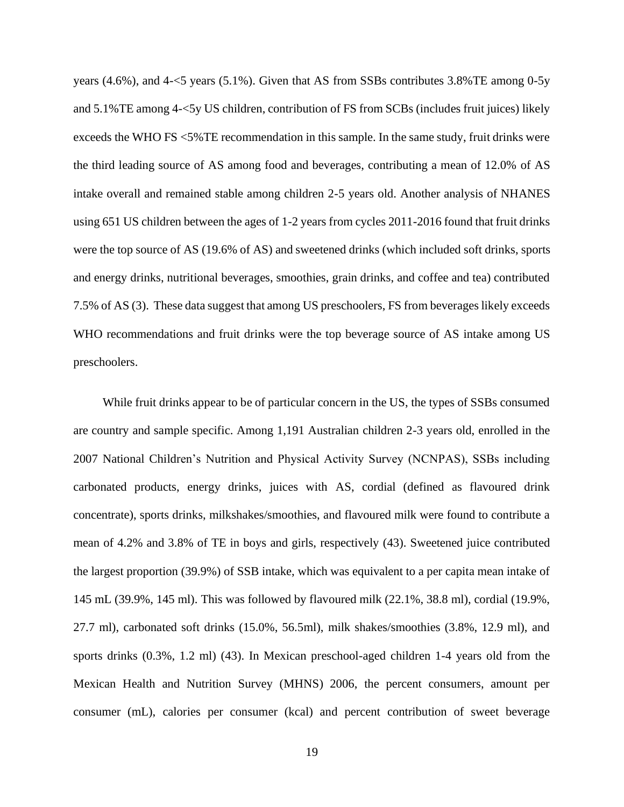years (4.6%), and 4-<5 years (5.1%). Given that AS from SSBs contributes 3.8%TE among 0-5y and 5.1%TE among 4-<5y US children, contribution of FS from SCBs (includes fruit juices) likely exceeds the WHO FS <5%TE recommendation in this sample. In the same study, fruit drinks were the third leading source of AS among food and beverages, contributing a mean of 12.0% of AS intake overall and remained stable among children 2-5 years old. Another analysis of NHANES using 651 US children between the ages of 1-2 years from cycles 2011-2016 found that fruit drinks were the top source of AS (19.6% of AS) and sweetened drinks (which included soft drinks, sports and energy drinks, nutritional beverages, smoothies, grain drinks, and coffee and tea) contributed 7.5% of AS (3). These data suggest that among US preschoolers, FS from beverages likely exceeds WHO recommendations and fruit drinks were the top beverage source of AS intake among US preschoolers.

While fruit drinks appear to be of particular concern in the US, the types of SSBs consumed are country and sample specific. Among 1,191 Australian children 2-3 years old, enrolled in the 2007 National Children's Nutrition and Physical Activity Survey (NCNPAS), SSBs including carbonated products, energy drinks, juices with AS, cordial (defined as flavoured drink concentrate), sports drinks, milkshakes/smoothies, and flavoured milk were found to contribute a mean of 4.2% and 3.8% of TE in boys and girls, respectively (43). Sweetened juice contributed the largest proportion (39.9%) of SSB intake, which was equivalent to a per capita mean intake of 145 mL (39.9%, 145 ml). This was followed by flavoured milk (22.1%, 38.8 ml), cordial (19.9%, 27.7 ml), carbonated soft drinks (15.0%, 56.5ml), milk shakes/smoothies (3.8%, 12.9 ml), and sports drinks (0.3%, 1.2 ml) (43). In Mexican preschool-aged children 1-4 years old from the Mexican Health and Nutrition Survey (MHNS) 2006, the percent consumers, amount per consumer (mL), calories per consumer (kcal) and percent contribution of sweet beverage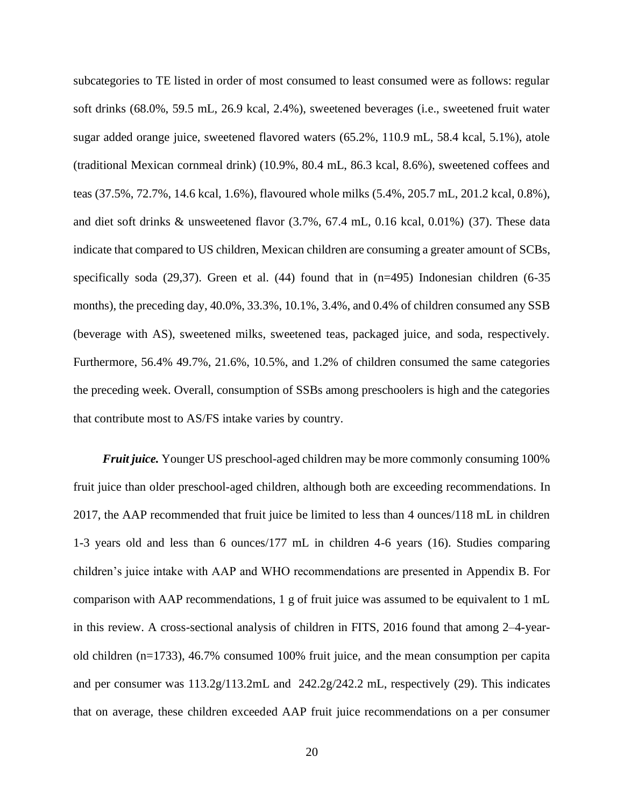subcategories to TE listed in order of most consumed to least consumed were as follows: regular soft drinks (68.0%, 59.5 mL, 26.9 kcal, 2.4%), sweetened beverages (i.e., sweetened fruit water sugar added orange juice, sweetened flavored waters (65.2%, 110.9 mL, 58.4 kcal, 5.1%), atole (traditional Mexican cornmeal drink) (10.9%, 80.4 mL, 86.3 kcal, 8.6%), sweetened coffees and teas (37.5%, 72.7%, 14.6 kcal, 1.6%), flavoured whole milks (5.4%, 205.7 mL, 201.2 kcal, 0.8%), and diet soft drinks & unsweetened flavor (3.7%, 67.4 mL, 0.16 kcal, 0.01%) (37). These data indicate that compared to US children, Mexican children are consuming a greater amount of SCBs, specifically soda (29,37). Green et al. (44) found that in (n=495) Indonesian children (6-35 months), the preceding day, 40.0%, 33.3%, 10.1%, 3.4%, and 0.4% of children consumed any SSB (beverage with AS), sweetened milks, sweetened teas, packaged juice, and soda, respectively. Furthermore, 56.4% 49.7%, 21.6%, 10.5%, and 1.2% of children consumed the same categories the preceding week. Overall, consumption of SSBs among preschoolers is high and the categories that contribute most to AS/FS intake varies by country.

*Fruit juice.* Younger US preschool-aged children may be more commonly consuming 100% fruit juice than older preschool-aged children, although both are exceeding recommendations. In 2017, the AAP recommended that fruit juice be limited to less than 4 ounces/118 mL in children 1-3 years old and less than 6 ounces/177 mL in children 4-6 years (16). Studies comparing children's juice intake with AAP and WHO recommendations are presented in Appendix B. For comparison with AAP recommendations, 1 g of fruit juice was assumed to be equivalent to 1 mL in this review. A cross-sectional analysis of children in FITS, 2016 found that among 2–4-yearold children (n=1733), 46.7% consumed 100% fruit juice, and the mean consumption per capita and per consumer was 113.2g/113.2mL and 242.2g/242.2 mL, respectively (29). This indicates that on average, these children exceeded AAP fruit juice recommendations on a per consumer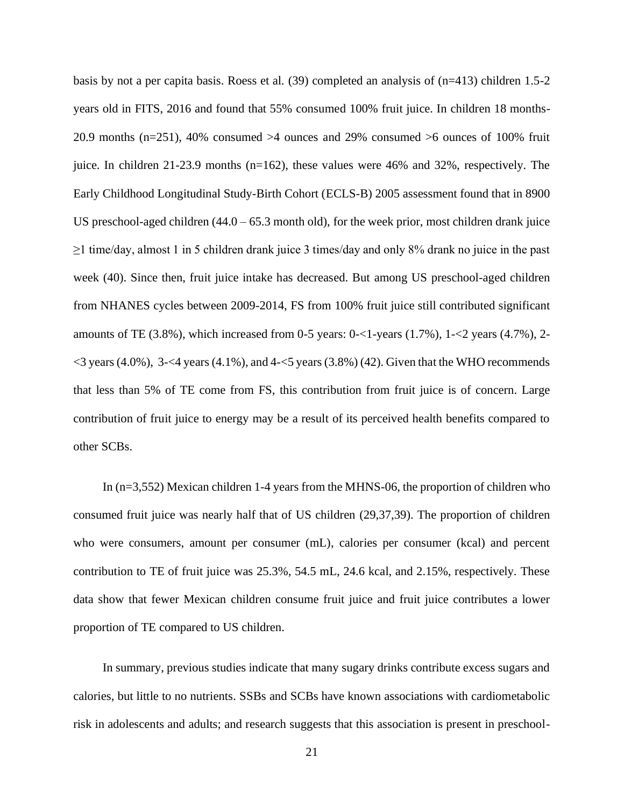basis by not a per capita basis. Roess et al. (39) completed an analysis of (n=413) children 1.5-2 years old in FITS, 2016 and found that 55% consumed 100% fruit juice. In children 18 months-20.9 months (n=251), 40% consumed >4 ounces and 29% consumed >6 ounces of 100% fruit juice. In children 21-23.9 months (n=162), these values were 46% and 32%, respectively. The Early Childhood Longitudinal Study-Birth Cohort (ECLS-B) 2005 assessment found that in 8900 US preschool-aged children (44.0 – 65.3 month old), for the week prior, most children drank juice  $\geq$ 1 time/day, almost 1 in 5 children drank juice 3 times/day and only 8% drank no juice in the past week (40). Since then, fruit juice intake has decreased. But among US preschool-aged children from NHANES cycles between 2009-2014, FS from 100% fruit juice still contributed significant amounts of TE  $(3.8\%)$ , which increased from 0-5 years: 0-<1-years  $(1.7\%)$ , 1-<2 years  $(4.7\%)$ , 2- $\langle$ 3 years (4.0%), 3- $\langle$ 4 years (4.1%), and 4- $\langle$ 5 years (3.8%) (42). Given that the WHO recommends that less than 5% of TE come from FS, this contribution from fruit juice is of concern. Large contribution of fruit juice to energy may be a result of its perceived health benefits compared to other SCBs.

In (n=3,552) Mexican children 1-4 years from the MHNS-06, the proportion of children who consumed fruit juice was nearly half that of US children (29,37,39). The proportion of children who were consumers, amount per consumer (mL), calories per consumer (kcal) and percent contribution to TE of fruit juice was 25.3%, 54.5 mL, 24.6 kcal, and 2.15%, respectively. These data show that fewer Mexican children consume fruit juice and fruit juice contributes a lower proportion of TE compared to US children.

In summary, previous studies indicate that many sugary drinks contribute excess sugars and calories, but little to no nutrients. SSBs and SCBs have known associations with cardiometabolic risk in adolescents and adults; and research suggests that this association is present in preschool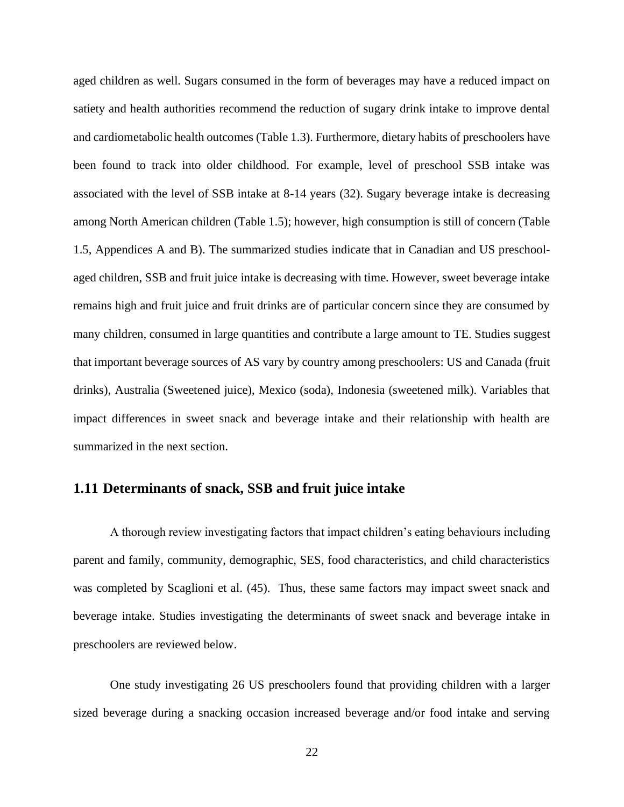aged children as well. Sugars consumed in the form of beverages may have a reduced impact on satiety and health authorities recommend the reduction of sugary drink intake to improve dental and cardiometabolic health outcomes (Table 1.3). Furthermore, dietary habits of preschoolers have been found to track into older childhood. For example, level of preschool SSB intake was associated with the level of SSB intake at 8-14 years (32). Sugary beverage intake is decreasing among North American children (Table 1.5); however, high consumption is still of concern (Table 1.5, Appendices A and B). The summarized studies indicate that in Canadian and US preschoolaged children, SSB and fruit juice intake is decreasing with time. However, sweet beverage intake remains high and fruit juice and fruit drinks are of particular concern since they are consumed by many children, consumed in large quantities and contribute a large amount to TE. Studies suggest that important beverage sources of AS vary by country among preschoolers: US and Canada (fruit drinks), Australia (Sweetened juice), Mexico (soda), Indonesia (sweetened milk). Variables that impact differences in sweet snack and beverage intake and their relationship with health are summarized in the next section.

#### <span id="page-31-0"></span>**1.11 Determinants of snack, SSB and fruit juice intake**

A thorough review investigating factors that impact children's eating behaviours including parent and family, community, demographic, SES, food characteristics, and child characteristics was completed by Scaglioni et al. (45). Thus, these same factors may impact sweet snack and beverage intake. Studies investigating the determinants of sweet snack and beverage intake in preschoolers are reviewed below.

One study investigating 26 US preschoolers found that providing children with a larger sized beverage during a snacking occasion increased beverage and/or food intake and serving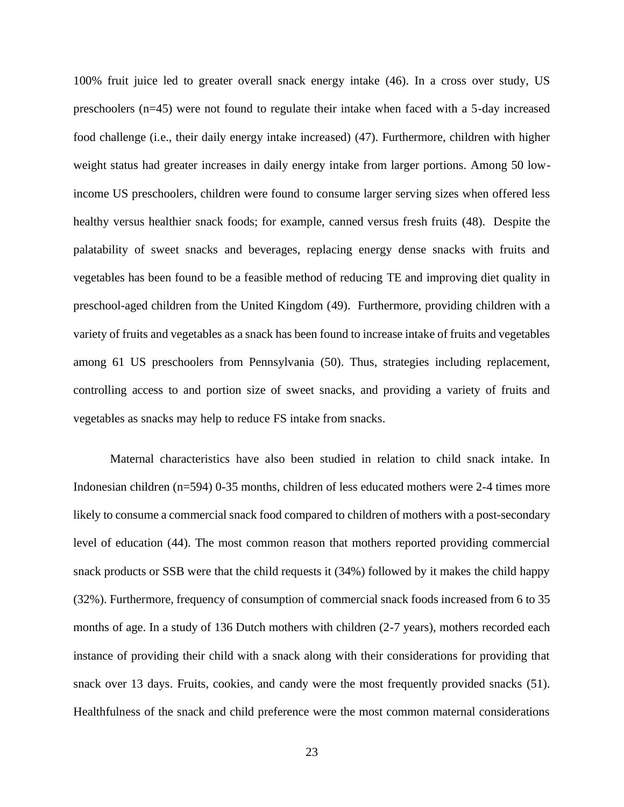100% fruit juice led to greater overall snack energy intake (46). In a cross over study, US preschoolers (n=45) were not found to regulate their intake when faced with a 5-day increased food challenge (i.e., their daily energy intake increased) (47). Furthermore, children with higher weight status had greater increases in daily energy intake from larger portions. Among 50 lowincome US preschoolers, children were found to consume larger serving sizes when offered less healthy versus healthier snack foods; for example, canned versus fresh fruits (48). Despite the palatability of sweet snacks and beverages, replacing energy dense snacks with fruits and vegetables has been found to be a feasible method of reducing TE and improving diet quality in preschool-aged children from the United Kingdom (49). Furthermore, providing children with a variety of fruits and vegetables as a snack has been found to increase intake of fruits and vegetables among 61 US preschoolers from Pennsylvania (50). Thus, strategies including replacement, controlling access to and portion size of sweet snacks, and providing a variety of fruits and vegetables as snacks may help to reduce FS intake from snacks.

Maternal characteristics have also been studied in relation to child snack intake. In Indonesian children (n=594) 0-35 months, children of less educated mothers were 2-4 times more likely to consume a commercial snack food compared to children of mothers with a post-secondary level of education (44). The most common reason that mothers reported providing commercial snack products or SSB were that the child requests it (34%) followed by it makes the child happy (32%). Furthermore, frequency of consumption of commercial snack foods increased from 6 to 35 months of age. In a study of 136 Dutch mothers with children (2-7 years), mothers recorded each instance of providing their child with a snack along with their considerations for providing that snack over 13 days. Fruits, cookies, and candy were the most frequently provided snacks (51). Healthfulness of the snack and child preference were the most common maternal considerations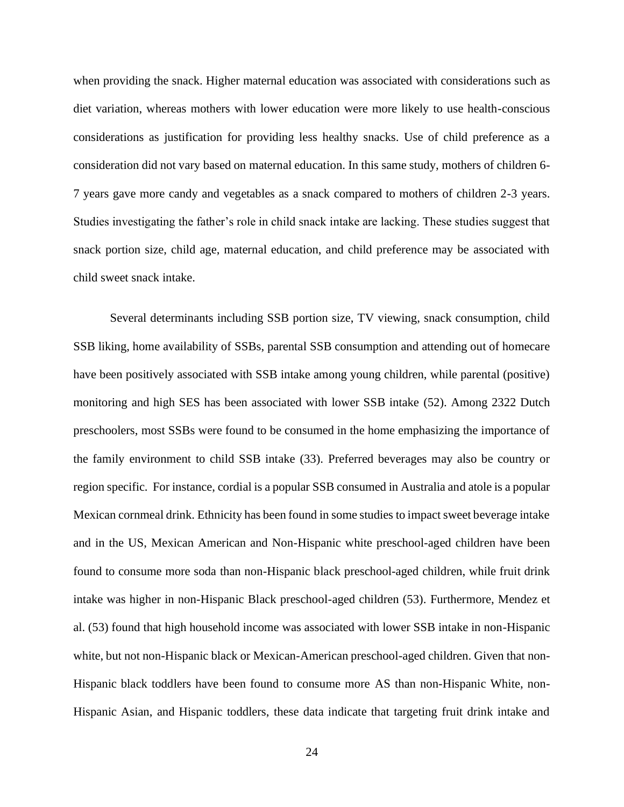when providing the snack. Higher maternal education was associated with considerations such as diet variation, whereas mothers with lower education were more likely to use health-conscious considerations as justification for providing less healthy snacks. Use of child preference as a consideration did not vary based on maternal education. In this same study, mothers of children 6- 7 years gave more candy and vegetables as a snack compared to mothers of children 2-3 years. Studies investigating the father's role in child snack intake are lacking. These studies suggest that snack portion size, child age, maternal education, and child preference may be associated with child sweet snack intake.

Several determinants including SSB portion size, TV viewing, snack consumption, child SSB liking, home availability of SSBs, parental SSB consumption and attending out of homecare have been positively associated with SSB intake among young children, while parental (positive) monitoring and high SES has been associated with lower SSB intake (52). Among 2322 Dutch preschoolers, most SSBs were found to be consumed in the home emphasizing the importance of the family environment to child SSB intake (33). Preferred beverages may also be country or region specific. For instance, cordial is a popular SSB consumed in Australia and atole is a popular Mexican cornmeal drink. Ethnicity has been found in some studies to impact sweet beverage intake and in the US, Mexican American and Non-Hispanic white preschool-aged children have been found to consume more soda than non-Hispanic black preschool-aged children, while fruit drink intake was higher in non-Hispanic Black preschool-aged children (53). Furthermore, Mendez et al. (53) found that high household income was associated with lower SSB intake in non-Hispanic white, but not non-Hispanic black or Mexican-American preschool-aged children. Given that non-Hispanic black toddlers have been found to consume more AS than non-Hispanic White, non-Hispanic Asian, and Hispanic toddlers, these data indicate that targeting fruit drink intake and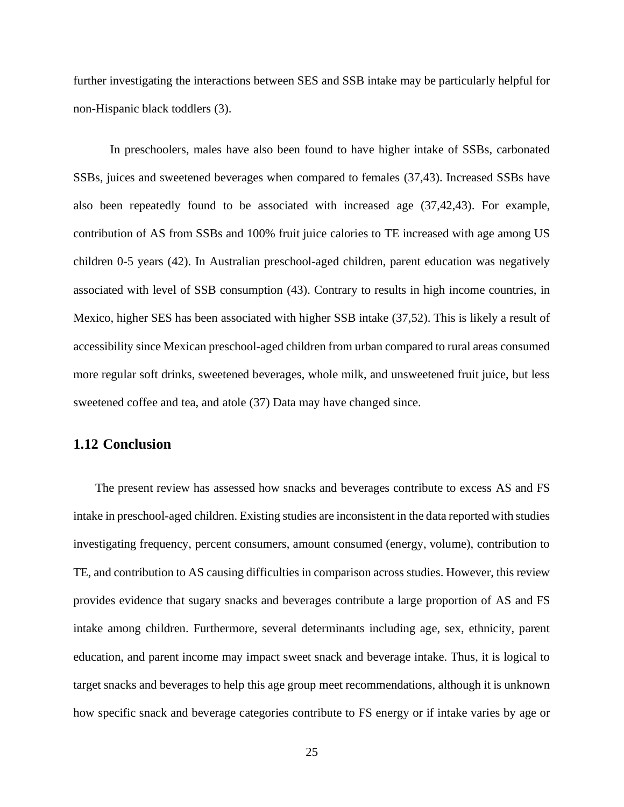further investigating the interactions between SES and SSB intake may be particularly helpful for non-Hispanic black toddlers (3).

In preschoolers, males have also been found to have higher intake of SSBs, carbonated SSBs, juices and sweetened beverages when compared to females (37,43). Increased SSBs have also been repeatedly found to be associated with increased age (37,42,43). For example, contribution of AS from SSBs and 100% fruit juice calories to TE increased with age among US children 0-5 years (42). In Australian preschool-aged children, parent education was negatively associated with level of SSB consumption (43). Contrary to results in high income countries, in Mexico, higher SES has been associated with higher SSB intake (37,52). This is likely a result of accessibility since Mexican preschool-aged children from urban compared to rural areas consumed more regular soft drinks, sweetened beverages, whole milk, and unsweetened fruit juice, but less sweetened coffee and tea, and atole (37) Data may have changed since.

### <span id="page-34-0"></span>**1.12 Conclusion**

The present review has assessed how snacks and beverages contribute to excess AS and FS intake in preschool-aged children. Existing studies are inconsistent in the data reported with studies investigating frequency, percent consumers, amount consumed (energy, volume), contribution to TE, and contribution to AS causing difficulties in comparison across studies. However, this review provides evidence that sugary snacks and beverages contribute a large proportion of AS and FS intake among children. Furthermore, several determinants including age, sex, ethnicity, parent education, and parent income may impact sweet snack and beverage intake. Thus, it is logical to target snacks and beverages to help this age group meet recommendations, although it is unknown how specific snack and beverage categories contribute to FS energy or if intake varies by age or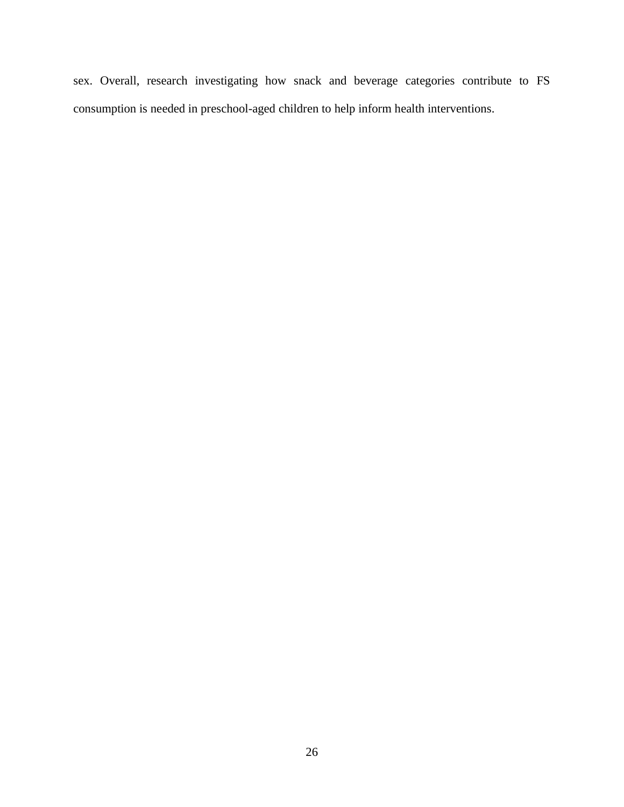sex. Overall, research investigating how snack and beverage categories contribute to FS consumption is needed in preschool-aged children to help inform health interventions.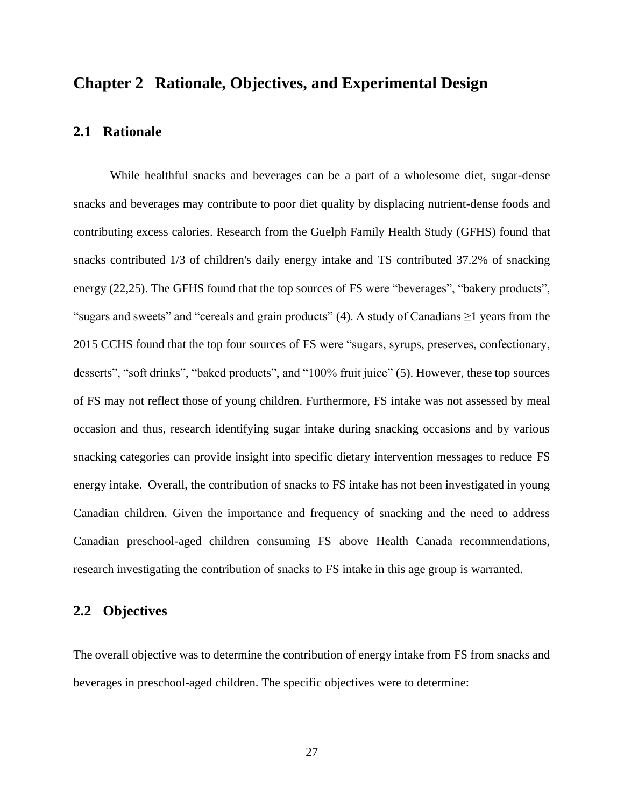## **Chapter 2 Rationale, Objectives, and Experimental Design**

## **2.1 Rationale**

While healthful snacks and beverages can be a part of a wholesome diet, sugar-dense snacks and beverages may contribute to poor diet quality by displacing nutrient-dense foods and contributing excess calories. Research from the Guelph Family Health Study (GFHS) found that snacks contributed 1/3 of children's daily energy intake and TS contributed 37.2% of snacking energy (22,25). The GFHS found that the top sources of FS were "beverages", "bakery products", "sugars and sweets" and "cereals and grain products" (4). A study of Canadians  $\geq 1$  years from the 2015 CCHS found that the top four sources of FS were "sugars, syrups, preserves, confectionary, desserts", "soft drinks", "baked products", and "100% fruit juice" (5). However, these top sources of FS may not reflect those of young children. Furthermore, FS intake was not assessed by meal occasion and thus, research identifying sugar intake during snacking occasions and by various snacking categories can provide insight into specific dietary intervention messages to reduce FS energy intake. Overall, the contribution of snacks to FS intake has not been investigated in young Canadian children. Given the importance and frequency of snacking and the need to address Canadian preschool-aged children consuming FS above Health Canada recommendations, research investigating the contribution of snacks to FS intake in this age group is warranted.

## **2.2 Objectives**

The overall objective was to determine the contribution of energy intake from FS from snacks and beverages in preschool-aged children. The specific objectives were to determine: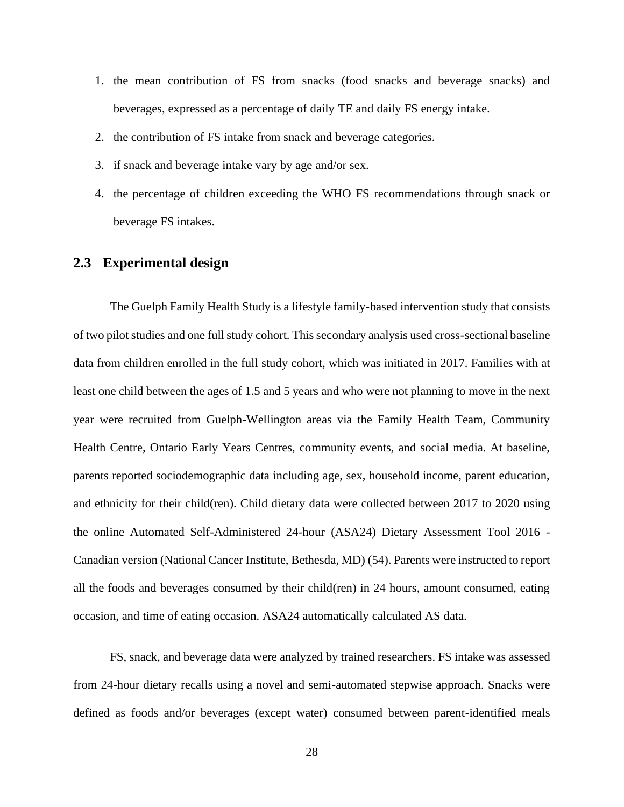- 1. the mean contribution of FS from snacks (food snacks and beverage snacks) and beverages, expressed as a percentage of daily TE and daily FS energy intake.
- 2. the contribution of FS intake from snack and beverage categories.
- 3. if snack and beverage intake vary by age and/or sex.
- 4. the percentage of children exceeding the WHO FS recommendations through snack or beverage FS intakes.

## **2.3 Experimental design**

The Guelph Family Health Study is a lifestyle family-based intervention study that consists of two pilot studies and one full study cohort. This secondary analysis used cross-sectional baseline data from children enrolled in the full study cohort, which was initiated in 2017. Families with at least one child between the ages of 1.5 and 5 years and who were not planning to move in the next year were recruited from Guelph-Wellington areas via the Family Health Team, Community Health Centre, Ontario Early Years Centres, community events, and social media. At baseline, parents reported sociodemographic data including age, sex, household income, parent education, and ethnicity for their child(ren). Child dietary data were collected between 2017 to 2020 using the online Automated Self-Administered 24-hour (ASA24) Dietary Assessment Tool 2016 - Canadian version (National Cancer Institute, Bethesda, MD) (54). Parents were instructed to report all the foods and beverages consumed by their child(ren) in 24 hours, amount consumed, eating occasion, and time of eating occasion. ASA24 automatically calculated AS data.

FS, snack, and beverage data were analyzed by trained researchers. FS intake was assessed from 24-hour dietary recalls using a novel and semi-automated stepwise approach. Snacks were defined as foods and/or beverages (except water) consumed between parent-identified meals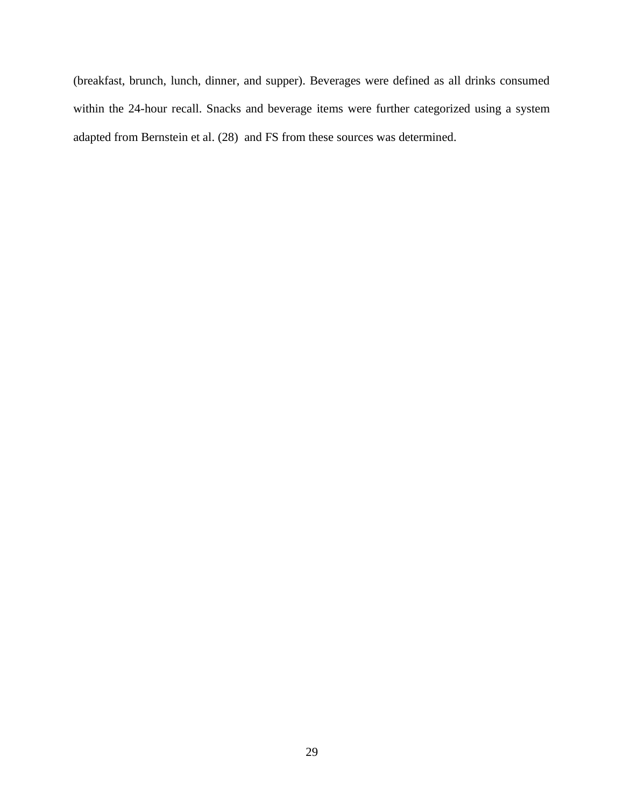(breakfast, brunch, lunch, dinner, and supper). Beverages were defined as all drinks consumed within the 24-hour recall. Snacks and beverage items were further categorized using a system adapted from Bernstein et al. (28) and FS from these sources was determined.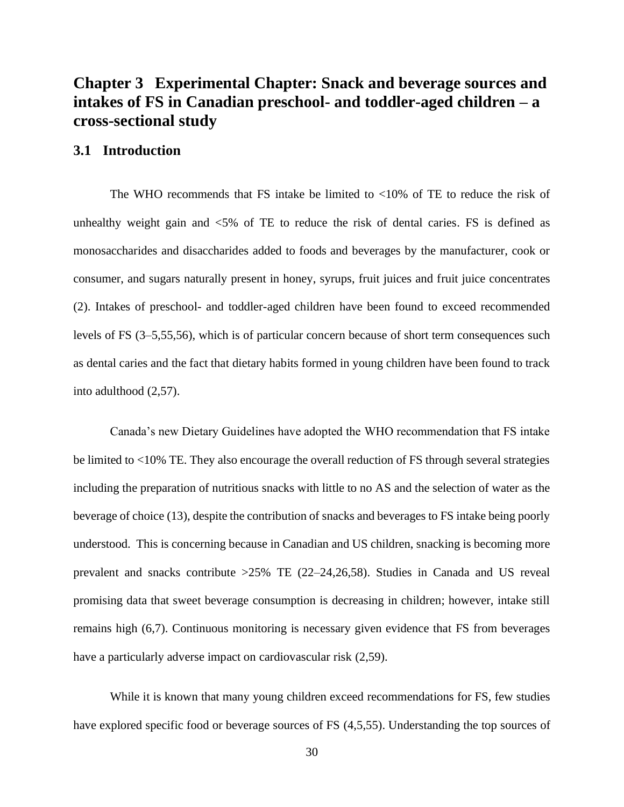## **Chapter 3 Experimental Chapter: Snack and beverage sources and intakes of FS in Canadian preschool- and toddler-aged children – a cross-sectional study**

## **3.1 Introduction**

The WHO recommends that FS intake be limited to  $< 10\%$  of TE to reduce the risk of unhealthy weight gain and <5% of TE to reduce the risk of dental caries. FS is defined as monosaccharides and disaccharides added to foods and beverages by the manufacturer, cook or consumer, and sugars naturally present in honey, syrups, fruit juices and fruit juice concentrates (2). Intakes of preschool- and toddler-aged children have been found to exceed recommended levels of FS (3–5,55,56), which is of particular concern because of short term consequences such as dental caries and the fact that dietary habits formed in young children have been found to track into adulthood (2,57).

Canada's new Dietary Guidelines have adopted the WHO recommendation that FS intake be limited to <10% TE. They also encourage the overall reduction of FS through several strategies including the preparation of nutritious snacks with little to no AS and the selection of water as the beverage of choice (13), despite the contribution of snacks and beverages to FS intake being poorly understood. This is concerning because in Canadian and US children, snacking is becoming more prevalent and snacks contribute >25% TE (22–24,26,58). Studies in Canada and US reveal promising data that sweet beverage consumption is decreasing in children; however, intake still remains high (6,7). Continuous monitoring is necessary given evidence that FS from beverages have a particularly adverse impact on cardiovascular risk (2,59).

While it is known that many young children exceed recommendations for FS, few studies have explored specific food or beverage sources of FS (4,5,55). Understanding the top sources of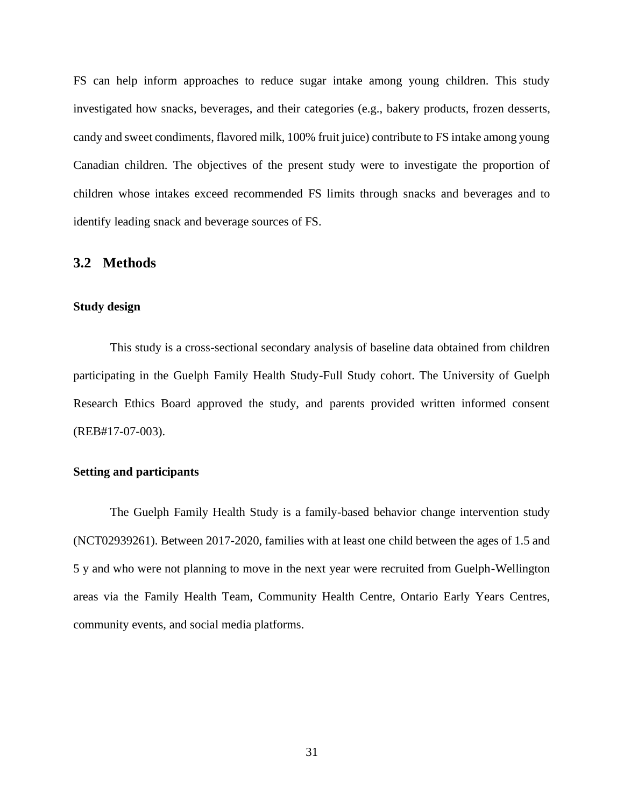FS can help inform approaches to reduce sugar intake among young children. This study investigated how snacks, beverages, and their categories (e.g., bakery products, frozen desserts, candy and sweet condiments, flavored milk, 100% fruit juice) contribute to FS intake among young Canadian children. The objectives of the present study were to investigate the proportion of children whose intakes exceed recommended FS limits through snacks and beverages and to identify leading snack and beverage sources of FS.

#### **3.2 Methods**

#### **Study design**

This study is a cross-sectional secondary analysis of baseline data obtained from children participating in the Guelph Family Health Study-Full Study cohort. The University of Guelph Research Ethics Board approved the study, and parents provided written informed consent (REB#17-07-003).

#### **Setting and participants**

The Guelph Family Health Study is a family-based behavior change intervention study (NCT02939261). Between 2017-2020, families with at least one child between the ages of 1.5 and 5 y and who were not planning to move in the next year were recruited from Guelph-Wellington areas via the Family Health Team, Community Health Centre, Ontario Early Years Centres, community events, and social media platforms.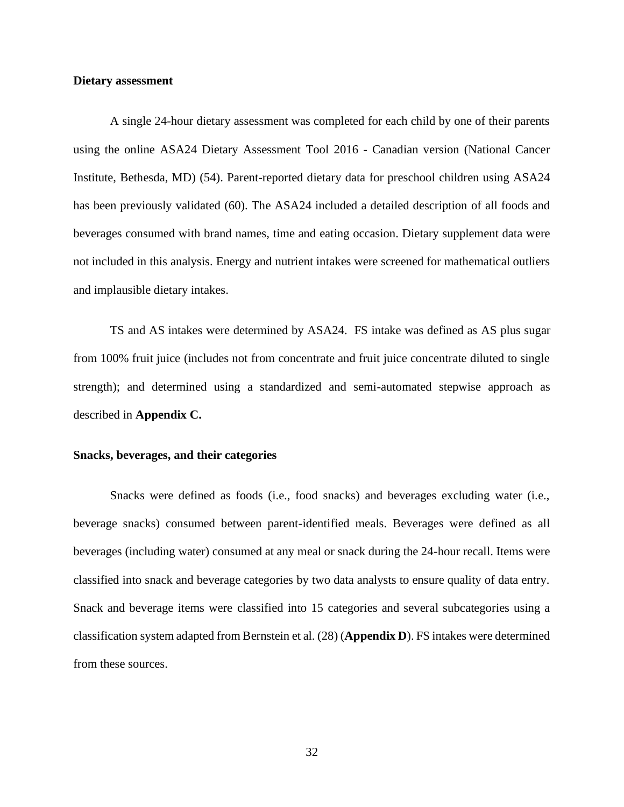#### **Dietary assessment**

A single 24-hour dietary assessment was completed for each child by one of their parents using the online ASA24 Dietary Assessment Tool 2016 - Canadian version (National Cancer Institute, Bethesda, MD) (54). Parent-reported dietary data for preschool children using ASA24 has been previously validated (60). The ASA24 included a detailed description of all foods and beverages consumed with brand names, time and eating occasion. Dietary supplement data were not included in this analysis. Energy and nutrient intakes were screened for mathematical outliers and implausible dietary intakes.

TS and AS intakes were determined by ASA24. FS intake was defined as AS plus sugar from 100% fruit juice (includes not from concentrate and fruit juice concentrate diluted to single strength); and determined using a standardized and semi-automated stepwise approach as described in **Appendix C.**

#### **Snacks, beverages, and their categories**

Snacks were defined as foods (i.e., food snacks) and beverages excluding water (i.e., beverage snacks) consumed between parent-identified meals. Beverages were defined as all beverages (including water) consumed at any meal or snack during the 24-hour recall. Items were classified into snack and beverage categories by two data analysts to ensure quality of data entry. Snack and beverage items were classified into 15 categories and several subcategories using a classification system adapted from Bernstein et al. (28) (**Appendix D**). FS intakes were determined from these sources.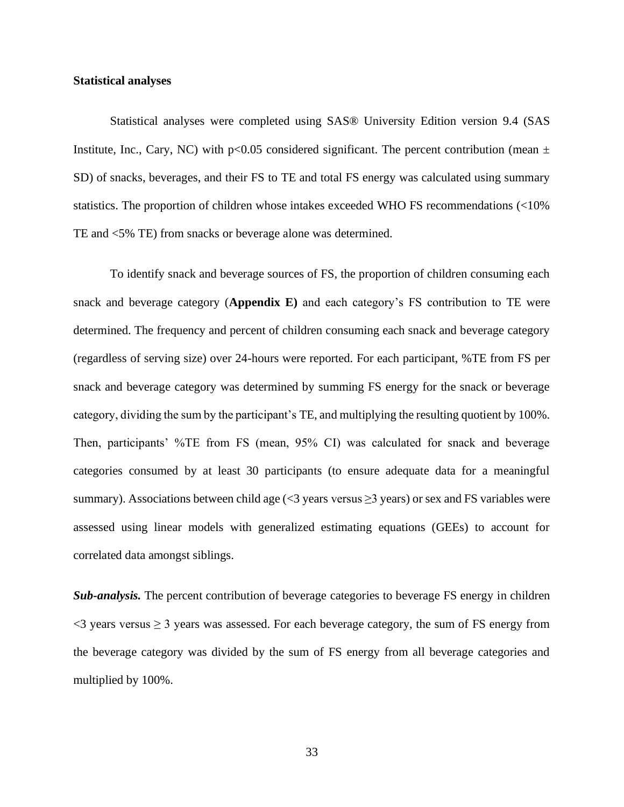#### **Statistical analyses**

Statistical analyses were completed using SAS® University Edition version 9.4 (SAS Institute, Inc., Cary, NC) with  $p<0.05$  considered significant. The percent contribution (mean  $\pm$ SD) of snacks, beverages, and their FS to TE and total FS energy was calculated using summary statistics. The proportion of children whose intakes exceeded WHO FS recommendations (<10% TE and <5% TE) from snacks or beverage alone was determined.

To identify snack and beverage sources of FS, the proportion of children consuming each snack and beverage category (**Appendix E)** and each category's FS contribution to TE were determined. The frequency and percent of children consuming each snack and beverage category (regardless of serving size) over 24-hours were reported. For each participant, %TE from FS per snack and beverage category was determined by summing FS energy for the snack or beverage category, dividing the sum by the participant's TE, and multiplying the resulting quotient by 100%. Then, participants' %TE from FS (mean, 95% CI) was calculated for snack and beverage categories consumed by at least 30 participants (to ensure adequate data for a meaningful summary). Associations between child age  $\leq$ 3 years versus  $\geq$ 3 years) or sex and FS variables were assessed using linear models with generalized estimating equations (GEEs) to account for correlated data amongst siblings.

*Sub-analysis.* The percent contribution of beverage categories to beverage FS energy in children  $\leq$  3 years versus  $\geq$  3 years was assessed. For each beverage category, the sum of FS energy from the beverage category was divided by the sum of FS energy from all beverage categories and multiplied by 100%.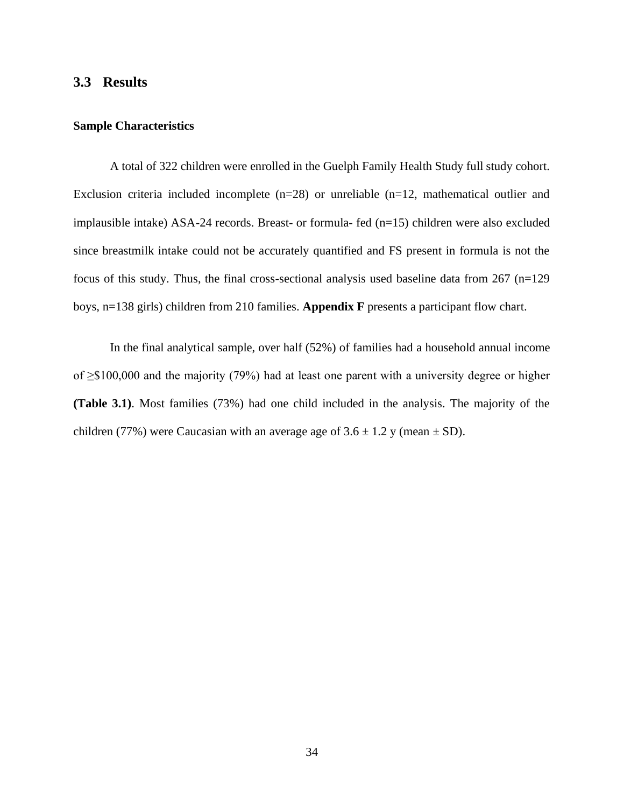## **3.3 Results**

#### **Sample Characteristics**

A total of 322 children were enrolled in the Guelph Family Health Study full study cohort. Exclusion criteria included incomplete  $(n=28)$  or unreliable  $(n=12,$  mathematical outlier and implausible intake) ASA-24 records. Breast- or formula- fed (n=15) children were also excluded since breastmilk intake could not be accurately quantified and FS present in formula is not the focus of this study. Thus, the final cross-sectional analysis used baseline data from 267 (n=129 boys, n=138 girls) children from 210 families. **Appendix F** presents a participant flow chart.

In the final analytical sample, over half (52%) of families had a household annual income of ≥\$100,000 and the majority (79%) had at least one parent with a university degree or higher **(Table 3.1)**. Most families (73%) had one child included in the analysis. The majority of the children (77%) were Caucasian with an average age of  $3.6 \pm 1.2$  y (mean  $\pm$  SD).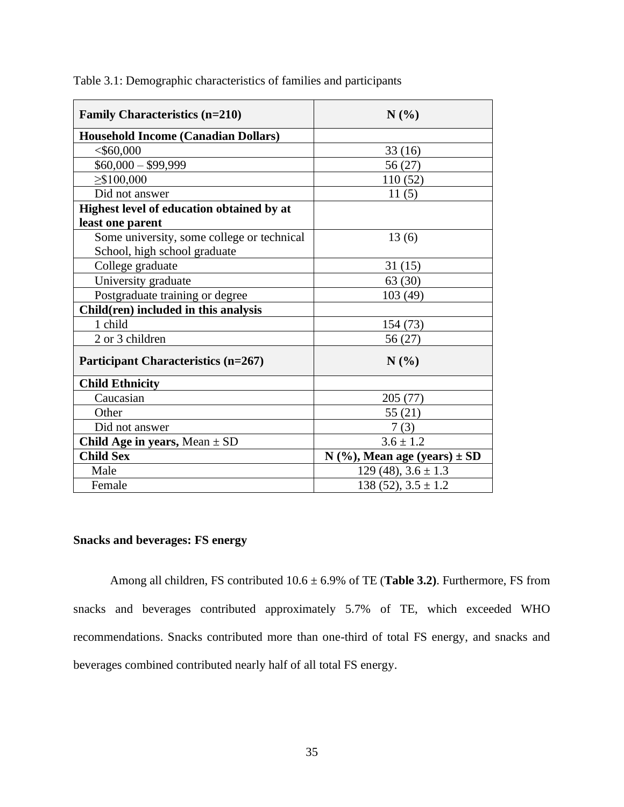| <b>Family Characteristics (n=210)</b>      | N(%)                               |
|--------------------------------------------|------------------------------------|
| <b>Household Income (Canadian Dollars)</b> |                                    |
| $<$ \$60,000                               | 33(16)                             |
| $$60,000 - $99,999$                        | 56 (27)                            |
| $\geq$ \$100,000                           | 110(52)                            |
| Did not answer                             | 11(5)                              |
| Highest level of education obtained by at  |                                    |
| least one parent                           |                                    |
| Some university, some college or technical | 13(6)                              |
| School, high school graduate               |                                    |
| College graduate                           | 31(15)                             |
| University graduate                        | 63(30)                             |
| Postgraduate training or degree            | 103(49)                            |
| Child(ren) included in this analysis       |                                    |
| 1 child                                    | 154 (73)                           |
| 2 or 3 children                            | 56 (27)                            |
| <b>Participant Characteristics (n=267)</b> | N(%)                               |
| <b>Child Ethnicity</b>                     |                                    |
| Caucasian                                  | 205(77)                            |
| Other                                      | 55(21)                             |
| Did not answer                             | 7(3)                               |
| Child Age in years, Mean $\pm$ SD          | $3.6 \pm 1.2$                      |
| <b>Child Sex</b>                           | $N$ (%), Mean age (years) $\pm SD$ |
| Male                                       | $129(48), 3.6 \pm 1.3$             |
| Female                                     | $138(52), 3.5 \pm 1.2$             |

Table 3.1: Demographic characteristics of families and participants

## **Snacks and beverages: FS energy**

Among all children, FS contributed 10.6 ± 6.9% of TE (**Table 3.2)**. Furthermore, FS from snacks and beverages contributed approximately 5.7% of TE, which exceeded WHO recommendations. Snacks contributed more than one-third of total FS energy, and snacks and beverages combined contributed nearly half of all total FS energy.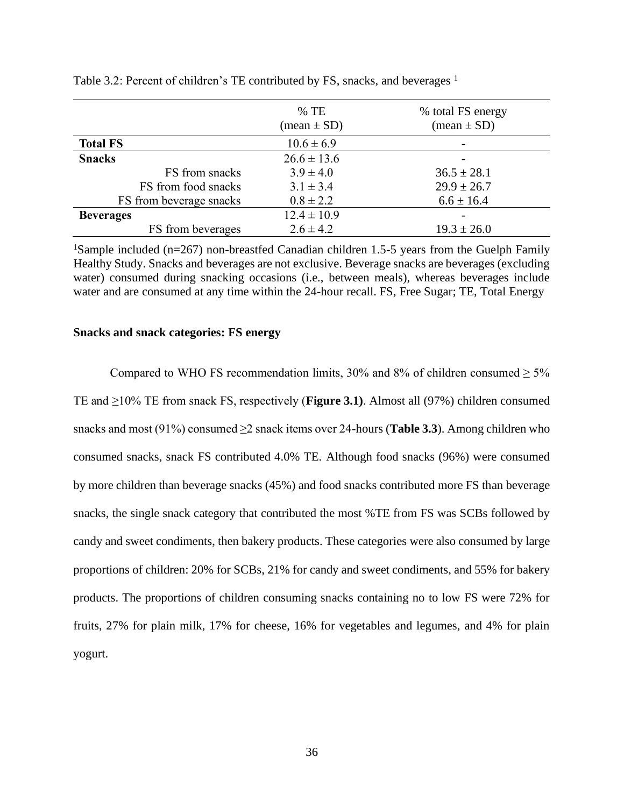|                         | $%$ TE<br>$(\text{mean} \pm \text{SD})$ | % total FS energy<br>$(\text{mean} \pm \text{SD})$ |
|-------------------------|-----------------------------------------|----------------------------------------------------|
| <b>Total FS</b>         | $10.6 \pm 6.9$                          |                                                    |
| <b>Snacks</b>           | $26.6 \pm 13.6$                         |                                                    |
| FS from snacks          | $3.9 \pm 4.0$                           | $36.5 \pm 28.1$                                    |
| FS from food snacks     | $3.1 \pm 3.4$                           | $29.9 \pm 26.7$                                    |
| FS from beverage snacks | $0.8 \pm 2.2$                           | $6.6 \pm 16.4$                                     |
| <b>Beverages</b>        | $12.4 \pm 10.9$                         |                                                    |
| FS from beverages       | $2.6 \pm 4.2$                           | $19.3 \pm 26.0$                                    |

Table 3.2: Percent of children's TE contributed by FS, snacks, and beverages  $<sup>1</sup>$ </sup>

<sup>1</sup>Sample included (n=267) non-breastfed Canadian children 1.5-5 years from the Guelph Family Healthy Study. Snacks and beverages are not exclusive. Beverage snacks are beverages (excluding water) consumed during snacking occasions (i.e., between meals), whereas beverages include water and are consumed at any time within the 24-hour recall. FS, Free Sugar; TE, Total Energy

#### **Snacks and snack categories: FS energy**

Compared to WHO FS recommendation limits, 30% and 8% of children consumed  $\geq 5\%$ TE and ≥10% TE from snack FS, respectively (**Figure 3.1)**. Almost all (97%) children consumed snacks and most (91%) consumed ≥2 snack items over 24-hours (**Table 3.3**). Among children who consumed snacks, snack FS contributed 4.0% TE. Although food snacks (96%) were consumed by more children than beverage snacks (45%) and food snacks contributed more FS than beverage snacks, the single snack category that contributed the most %TE from FS was SCBs followed by candy and sweet condiments, then bakery products. These categories were also consumed by large proportions of children: 20% for SCBs, 21% for candy and sweet condiments, and 55% for bakery products. The proportions of children consuming snacks containing no to low FS were 72% for fruits, 27% for plain milk, 17% for cheese, 16% for vegetables and legumes, and 4% for plain yogurt.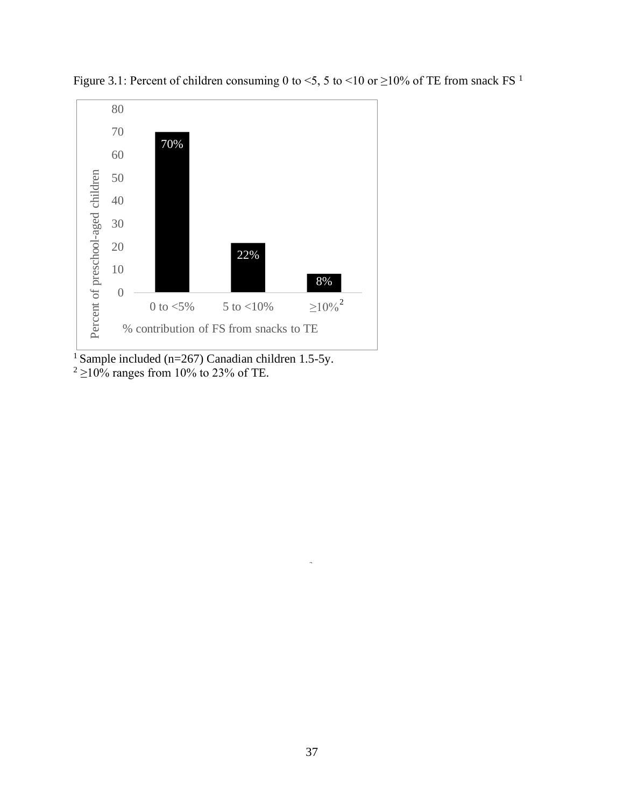

Figure 3.1: Percent of children consuming 0 to <5, 5 to <10 or  $\geq$ 10% of TE from snack FS<sup>1</sup>

<sup>1</sup> Sample included (n=267) Canadian children 1.5-5y.  $2 \ge 10\%$  ranges from 10% to 23% of TE.

a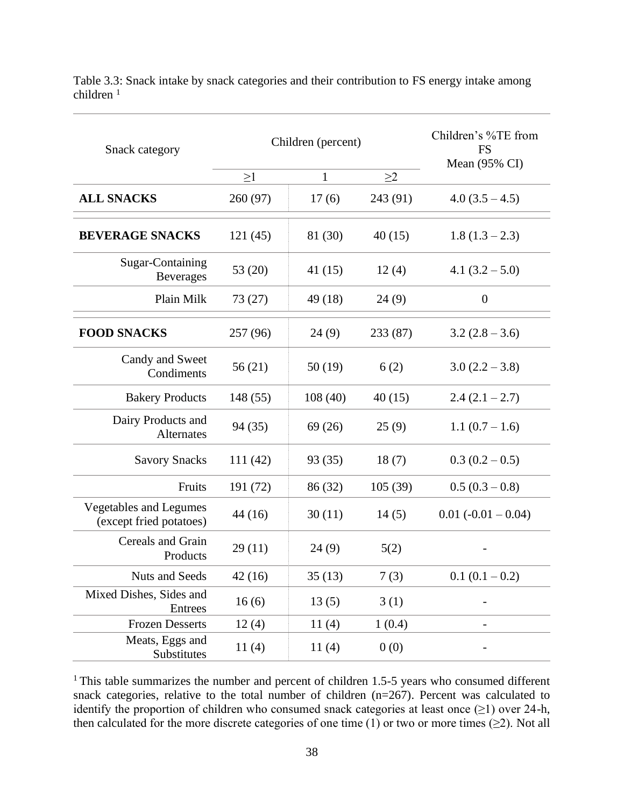| Snack category                                           |          | Children (percent) | Children's %TE from<br><b>FS</b><br>Mean $(95\% \text{ CI})$ |                       |
|----------------------------------------------------------|----------|--------------------|--------------------------------------------------------------|-----------------------|
|                                                          | $\geq$ 1 | $\mathbf{1}$       | $\geq$ 2                                                     |                       |
| <b>ALL SNACKS</b>                                        | 260 (97) | 17(6)              | 243 (91)                                                     | $4.0(3.5-4.5)$        |
| <b>BEVERAGE SNACKS</b>                                   | 121(45)  | 81 (30)            | 40(15)                                                       | $1.8(1.3-2.3)$        |
| Sugar-Containing<br><b>Beverages</b>                     | 53 (20)  | 41 (15)            | 12(4)                                                        | 4.1 $(3.2 - 5.0)$     |
| Plain Milk                                               | 73 (27)  | 49 (18)            | 24(9)                                                        | $\boldsymbol{0}$      |
| <b>FOOD SNACKS</b>                                       | 257 (96) | 24(9)              | 233 (87)                                                     | $3.2(2.8-3.6)$        |
| Candy and Sweet<br>Condiments                            | 56 (21)  | 50 (19)            | 6(2)                                                         | $3.0(2.2 - 3.8)$      |
| <b>Bakery Products</b>                                   | 148 (55) | 108(40)            | 40(15)                                                       | $2.4(2.1 - 2.7)$      |
| Dairy Products and<br>Alternates                         | 94 (35)  | 69 (26)            | 25(9)                                                        | $1.1(0.7-1.6)$        |
| <b>Savory Snacks</b>                                     | 111 (42) | 93 (35)            | 18(7)                                                        | $0.3(0.2-0.5)$        |
| Fruits                                                   | 191 (72) | 86 (32)            | 105(39)                                                      | $0.5(0.3-0.8)$        |
| <b>Vegetables and Legumes</b><br>(except fried potatoes) | 44 (16)  | 30(11)             | 14(5)                                                        | $0.01 (-0.01 - 0.04)$ |
| Cereals and Grain<br>Products                            | 29 (11)  | 24 (9)             | 5(2)                                                         |                       |
| Nuts and Seeds                                           | 42(16)   | 35(13)             | 7(3)                                                         | $0.1(0.1-0.2)$        |
| Mixed Dishes, Sides and<br><b>Entrees</b>                | 16(6)    | 13(5)              | 3(1)                                                         |                       |
| <b>Frozen Desserts</b>                                   | 12(4)    | 11(4)              | 1(0.4)                                                       |                       |
| Meats, Eggs and<br>Substitutes                           | 11(4)    | 11(4)              | 0(0)                                                         |                       |

Table 3.3: Snack intake by snack categories and their contribution to FS energy intake among children <sup>1</sup>

<sup>1</sup>This table summarizes the number and percent of children 1.5-5 years who consumed different snack categories, relative to the total number of children  $(n=267)$ . Percent was calculated to identify the proportion of children who consumed snack categories at least once  $(\geq 1)$  over 24-h, then calculated for the more discrete categories of one time  $(1)$  or two or more times  $(\geq 2)$ . Not all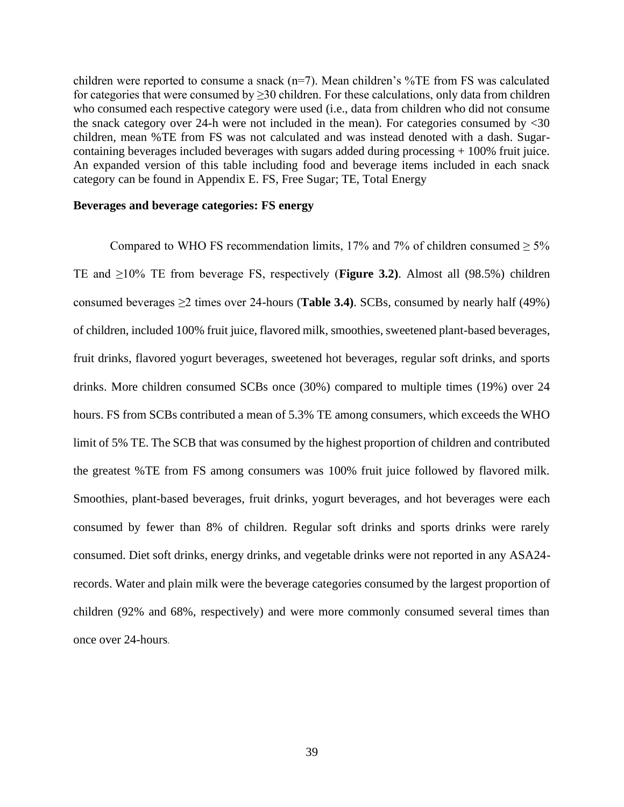children were reported to consume a snack  $(n=7)$ . Mean children's %TE from FS was calculated for categories that were consumed by  $\geq$ 30 children. For these calculations, only data from children who consumed each respective category were used (i.e., data from children who did not consume the snack category over 24-h were not included in the mean). For categories consumed by  $<30$ children, mean %TE from FS was not calculated and was instead denoted with a dash. Sugarcontaining beverages included beverages with sugars added during processing + 100% fruit juice. An expanded version of this table including food and beverage items included in each snack category can be found in Appendix E. FS, Free Sugar; TE, Total Energy

#### **Beverages and beverage categories: FS energy**

Compared to WHO FS recommendation limits, 17% and 7% of children consumed  $\geq 5\%$ TE and ≥10% TE from beverage FS, respectively (**Figure 3.2)**. Almost all (98.5%) children consumed beverages ≥2 times over 24-hours (**Table 3.4)**. SCBs, consumed by nearly half (49%) of children, included 100% fruit juice, flavored milk, smoothies, sweetened plant-based beverages, fruit drinks, flavored yogurt beverages, sweetened hot beverages, regular soft drinks, and sports drinks. More children consumed SCBs once (30%) compared to multiple times (19%) over 24 hours. FS from SCBs contributed a mean of 5.3% TE among consumers, which exceeds the WHO limit of 5% TE. The SCB that was consumed by the highest proportion of children and contributed the greatest %TE from FS among consumers was 100% fruit juice followed by flavored milk. Smoothies, plant-based beverages, fruit drinks, yogurt beverages, and hot beverages were each consumed by fewer than 8% of children. Regular soft drinks and sports drinks were rarely consumed. Diet soft drinks, energy drinks, and vegetable drinks were not reported in any ASA24 records. Water and plain milk were the beverage categories consumed by the largest proportion of children (92% and 68%, respectively) and were more commonly consumed several times than once over 24-hours.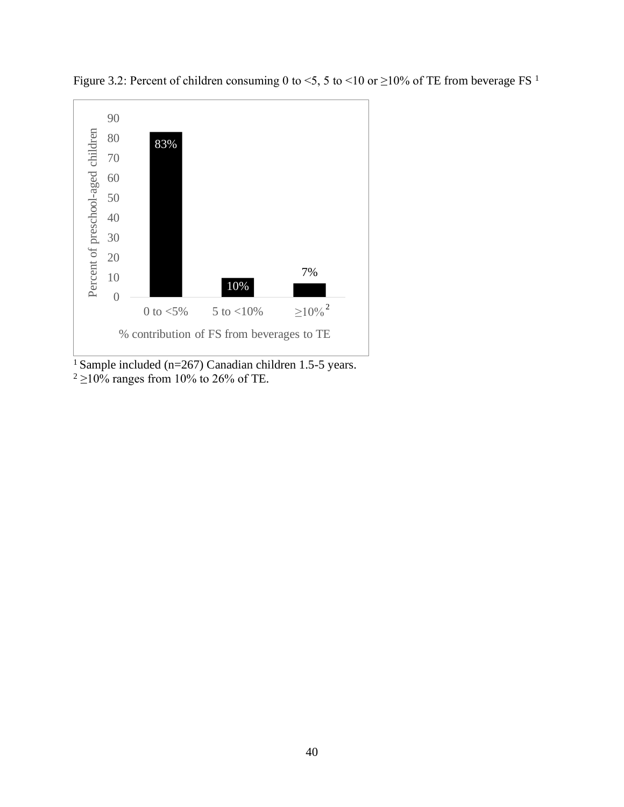

Figure 3.2: Percent of children consuming 0 to <5, 5 to <10 or  $\geq$ 10% of TE from beverage FS<sup>1</sup>

<sup>1</sup> Sample included (n=267) Canadian children 1.5-5 years.  $2 \ge 10\%$  ranges from 10% to 26% of TE.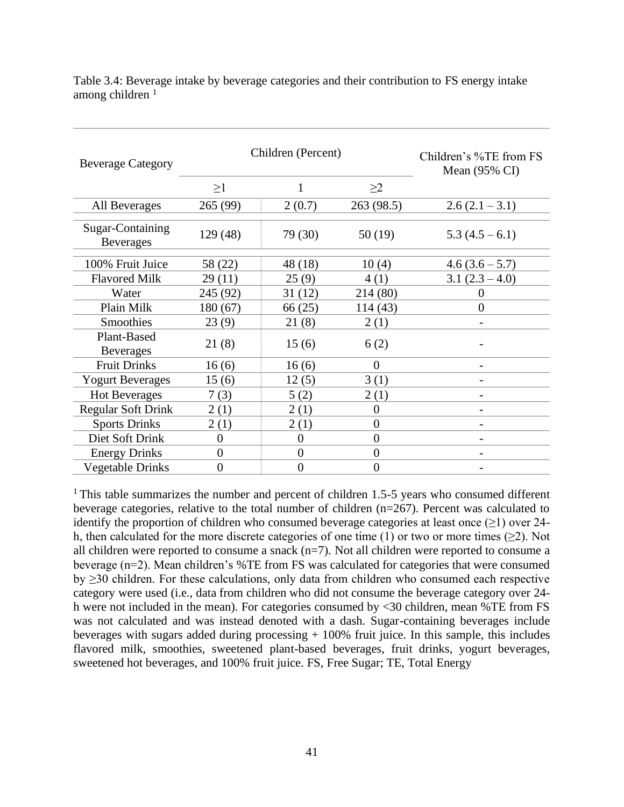| <b>Beverage Category</b>             |                | Children (Percent) | Children's %TE from FS<br>Mean $(95\% \text{ CI})$ |                |
|--------------------------------------|----------------|--------------------|----------------------------------------------------|----------------|
|                                      | $\geq$ 1       | 1                  | $\geq$ 2                                           |                |
| All Beverages                        | 265 (99)       | 2(0.7)             | 263 (98.5)                                         | $2.6(2.1-3.1)$ |
| Sugar-Containing<br><b>Beverages</b> | 129 (48)       | 79 (30)            | 50(19)                                             | $5.3(4.5-6.1)$ |
| 100% Fruit Juice                     | 58 (22)        | 48 (18)            | 10(4)                                              | $4.6(3.6-5.7)$ |
| <b>Flavored Milk</b>                 | 29(11)         | 25(9)              | 4(1)                                               | $3.1(2.3-4.0)$ |
| Water                                | 245 (92)       | 31(12)             | 214 (80)                                           | $\theta$       |
| Plain Milk                           | 180(67)        | 66 (25)            | 114(43)                                            | $\overline{0}$ |
| Smoothies                            | 23(9)          | 21(8)              | 2(1)                                               |                |
| Plant-Based<br><b>Beverages</b>      | 21(8)          | 15(6)              | 6(2)                                               |                |
| <b>Fruit Drinks</b>                  | 16(6)          | 16(6)              | $\overline{0}$                                     |                |
| <b>Yogurt Beverages</b>              | 15(6)          | 12(5)              | 3(1)                                               |                |
| <b>Hot Beverages</b>                 | 7(3)           | 5(2)               | 2(1)                                               |                |
| <b>Regular Soft Drink</b>            | 2(1)           | 2(1)               | 0                                                  |                |
| <b>Sports Drinks</b>                 | 2(1)           | 2(1)               | 0                                                  |                |
| Diet Soft Drink                      | $\overline{0}$ | 0                  | $\overline{0}$                                     |                |
| <b>Energy Drinks</b>                 | $\overline{0}$ | $\overline{0}$     | $\theta$                                           |                |
| Vegetable Drinks                     | $\overline{0}$ | $\theta$           | $\theta$                                           |                |

Table 3.4: Beverage intake by beverage categories and their contribution to FS energy intake among children  $<sup>1</sup>$ </sup>

<sup>1</sup>This table summarizes the number and percent of children 1.5-5 years who consumed different beverage categories, relative to the total number of children (n=267). Percent was calculated to identify the proportion of children who consumed beverage categories at least once  $(\geq 1)$  over 24h, then calculated for the more discrete categories of one time (1) or two or more times ( $\geq$ 2). Not all children were reported to consume a snack  $(n=7)$ . Not all children were reported to consume a beverage (n=2). Mean children's %TE from FS was calculated for categories that were consumed by ≥30 children. For these calculations, only data from children who consumed each respective category were used (i.e., data from children who did not consume the beverage category over 24 h were not included in the mean). For categories consumed by <30 children, mean %TE from FS was not calculated and was instead denoted with a dash. Sugar-containing beverages include beverages with sugars added during processing  $+100\%$  fruit juice. In this sample, this includes flavored milk, smoothies, sweetened plant-based beverages, fruit drinks, yogurt beverages, sweetened hot beverages, and 100% fruit juice. FS, Free Sugar; TE, Total Energy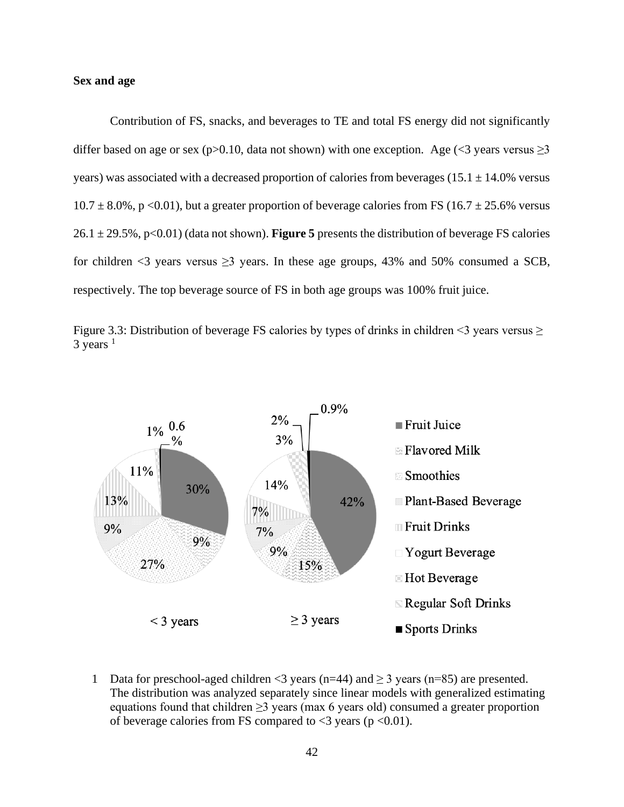#### **Sex and age**

Contribution of FS, snacks, and beverages to TE and total FS energy did not significantly differ based on age or sex (p>0.10, data not shown) with one exception. Age (<3 years versus  $\geq$ 3 years) was associated with a decreased proportion of calories from beverages ( $15.1 \pm 14.0\%$  versus  $10.7 \pm 8.0\%$ , p <0.01), but a greater proportion of beverage calories from FS (16.7  $\pm$  25.6% versus 26.1 ± 29.5%, p<0.01) (data not shown). **Figure 5** presents the distribution of beverage FS calories for children <3 years versus  $\geq$ 3 years. In these age groups, 43% and 50% consumed a SCB, respectively. The top beverage source of FS in both age groups was 100% fruit juice.





1 Data for preschool-aged children <3 years (n=44) and  $\geq$  3 years (n=85) are presented. The distribution was analyzed separately since linear models with generalized estimating equations found that children ≥3 years (max 6 years old) consumed a greater proportion of beverage calories from FS compared to  $\langle 3 \rangle$  years (p  $\langle 0.01 \rangle$ ).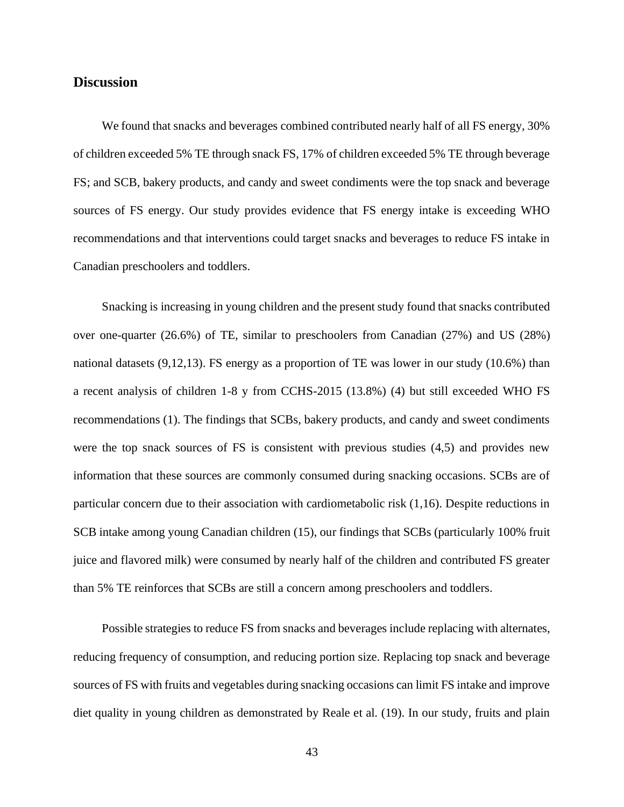## **Discussion**

We found that snacks and beverages combined contributed nearly half of all FS energy, 30% of children exceeded 5% TE through snack FS, 17% of children exceeded 5% TE through beverage FS; and SCB, bakery products, and candy and sweet condiments were the top snack and beverage sources of FS energy. Our study provides evidence that FS energy intake is exceeding WHO recommendations and that interventions could target snacks and beverages to reduce FS intake in Canadian preschoolers and toddlers.

Snacking is increasing in young children and the present study found that snacks contributed over one-quarter (26.6%) of TE, similar to preschoolers from Canadian (27%) and US (28%) national datasets (9,12,13). FS energy as a proportion of TE was lower in our study (10.6%) than a recent analysis of children 1-8 y from CCHS-2015 (13.8%) (4) but still exceeded WHO FS recommendations (1). The findings that SCBs, bakery products, and candy and sweet condiments were the top snack sources of FS is consistent with previous studies (4,5) and provides new information that these sources are commonly consumed during snacking occasions. SCBs are of particular concern due to their association with cardiometabolic risk (1,16). Despite reductions in SCB intake among young Canadian children (15), our findings that SCBs (particularly 100% fruit juice and flavored milk) were consumed by nearly half of the children and contributed FS greater than 5% TE reinforces that SCBs are still a concern among preschoolers and toddlers.

Possible strategies to reduce FS from snacks and beverages include replacing with alternates, reducing frequency of consumption, and reducing portion size. Replacing top snack and beverage sources of FS with fruits and vegetables during snacking occasions can limit FS intake and improve diet quality in young children as demonstrated by Reale et al. (19). In our study, fruits and plain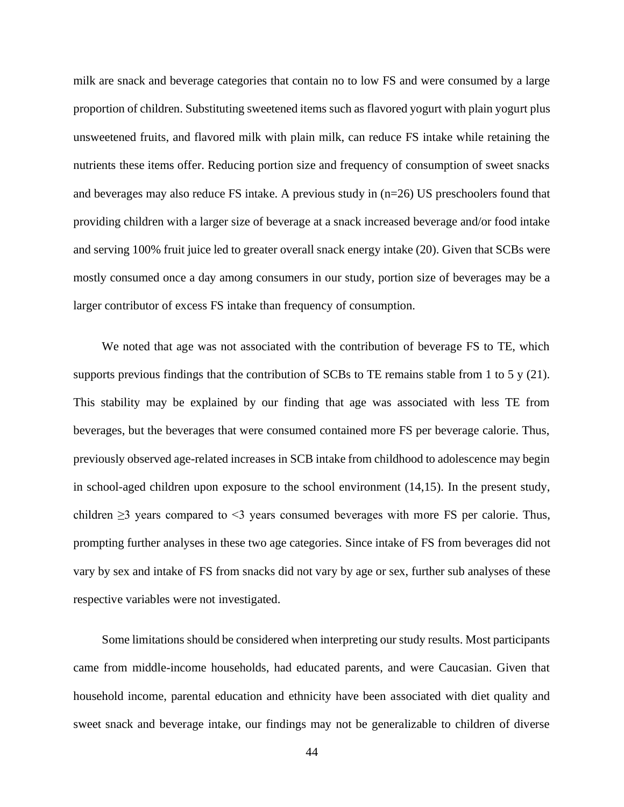milk are snack and beverage categories that contain no to low FS and were consumed by a large proportion of children. Substituting sweetened items such as flavored yogurt with plain yogurt plus unsweetened fruits, and flavored milk with plain milk, can reduce FS intake while retaining the nutrients these items offer. Reducing portion size and frequency of consumption of sweet snacks and beverages may also reduce FS intake. A previous study in  $(n=26)$  US preschoolers found that providing children with a larger size of beverage at a snack increased beverage and/or food intake and serving 100% fruit juice led to greater overall snack energy intake (20). Given that SCBs were mostly consumed once a day among consumers in our study, portion size of beverages may be a larger contributor of excess FS intake than frequency of consumption.

We noted that age was not associated with the contribution of beverage FS to TE, which supports previous findings that the contribution of SCBs to TE remains stable from 1 to 5 y (21). This stability may be explained by our finding that age was associated with less TE from beverages, but the beverages that were consumed contained more FS per beverage calorie. Thus, previously observed age-related increases in SCB intake from childhood to adolescence may begin in school-aged children upon exposure to the school environment (14,15). In the present study, children  $\geq$ 3 years compared to  $\leq$ 3 years consumed beverages with more FS per calorie. Thus, prompting further analyses in these two age categories. Since intake of FS from beverages did not vary by sex and intake of FS from snacks did not vary by age or sex, further sub analyses of these respective variables were not investigated.

Some limitations should be considered when interpreting our study results. Most participants came from middle-income households, had educated parents, and were Caucasian. Given that household income, parental education and ethnicity have been associated with diet quality and sweet snack and beverage intake, our findings may not be generalizable to children of diverse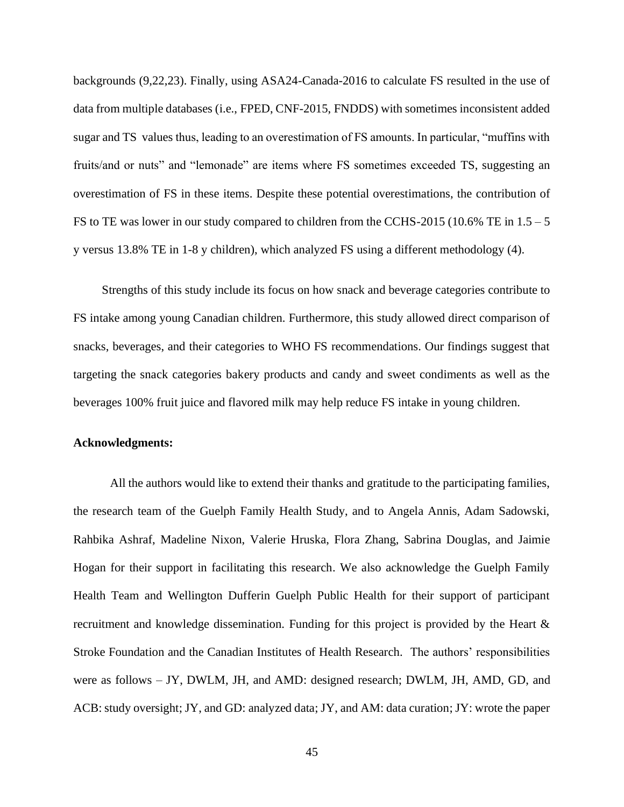backgrounds (9,22,23). Finally, using ASA24-Canada-2016 to calculate FS resulted in the use of data from multiple databases (i.e., FPED, CNF-2015, FNDDS) with sometimes inconsistent added sugar and TS values thus, leading to an overestimation of FS amounts. In particular, "muffins with fruits/and or nuts" and "lemonade" are items where FS sometimes exceeded TS, suggesting an overestimation of FS in these items. Despite these potential overestimations, the contribution of FS to TE was lower in our study compared to children from the CCHS-2015 (10.6% TE in  $1.5 - 5$ ) y versus 13.8% TE in 1-8 y children), which analyzed FS using a different methodology (4).

Strengths of this study include its focus on how snack and beverage categories contribute to FS intake among young Canadian children. Furthermore, this study allowed direct comparison of snacks, beverages, and their categories to WHO FS recommendations. Our findings suggest that targeting the snack categories bakery products and candy and sweet condiments as well as the beverages 100% fruit juice and flavored milk may help reduce FS intake in young children.

#### **Acknowledgments:**

All the authors would like to extend their thanks and gratitude to the participating families, the research team of the Guelph Family Health Study, and to Angela Annis, Adam Sadowski, Rahbika Ashraf, Madeline Nixon, Valerie Hruska, Flora Zhang, Sabrina Douglas, and Jaimie Hogan for their support in facilitating this research. We also acknowledge the Guelph Family Health Team and Wellington Dufferin Guelph Public Health for their support of participant recruitment and knowledge dissemination. Funding for this project is provided by the Heart & Stroke Foundation and the Canadian Institutes of Health Research. The authors' responsibilities were as follows – JY, DWLM, JH, and AMD: designed research; DWLM, JH, AMD, GD, and ACB: study oversight; JY, and GD: analyzed data; JY, and AM: data curation; JY: wrote the paper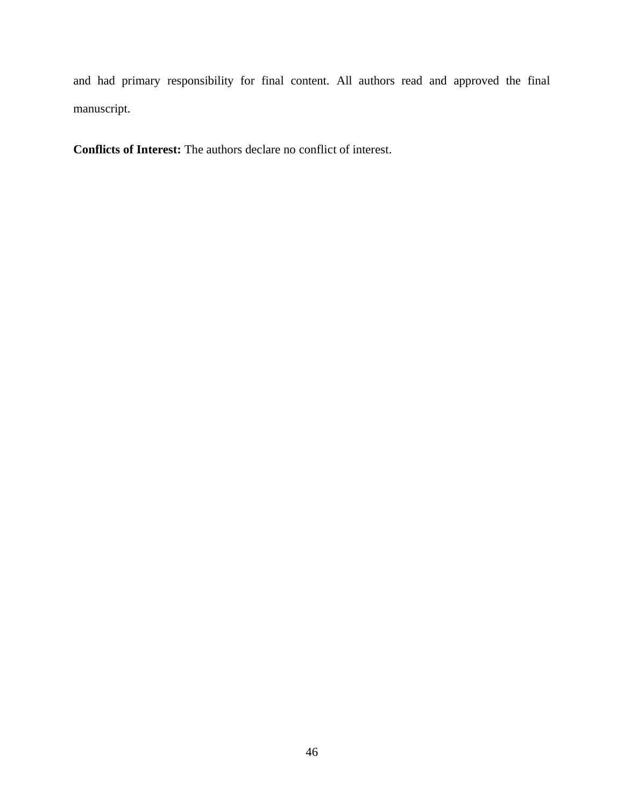and had primary responsibility for final content. All authors read and approved the final manuscript.

**Conflicts of Interest:** The authors declare no conflict of interest.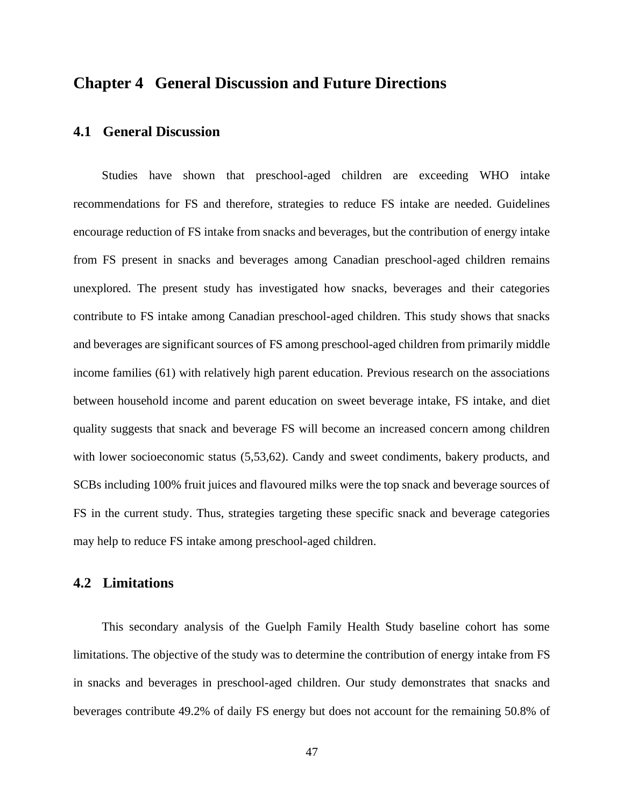## **Chapter 4 General Discussion and Future Directions**

## **4.1 General Discussion**

Studies have shown that preschool-aged children are exceeding WHO intake recommendations for FS and therefore, strategies to reduce FS intake are needed. Guidelines encourage reduction of FS intake from snacks and beverages, but the contribution of energy intake from FS present in snacks and beverages among Canadian preschool-aged children remains unexplored. The present study has investigated how snacks, beverages and their categories contribute to FS intake among Canadian preschool-aged children. This study shows that snacks and beverages are significant sources of FS among preschool-aged children from primarily middle income families (61) with relatively high parent education. Previous research on the associations between household income and parent education on sweet beverage intake, FS intake, and diet quality suggests that snack and beverage FS will become an increased concern among children with lower socioeconomic status (5,53,62). Candy and sweet condiments, bakery products, and SCBs including 100% fruit juices and flavoured milks were the top snack and beverage sources of FS in the current study. Thus, strategies targeting these specific snack and beverage categories may help to reduce FS intake among preschool-aged children.

#### **4.2 Limitations**

This secondary analysis of the Guelph Family Health Study baseline cohort has some limitations. The objective of the study was to determine the contribution of energy intake from FS in snacks and beverages in preschool-aged children. Our study demonstrates that snacks and beverages contribute 49.2% of daily FS energy but does not account for the remaining 50.8% of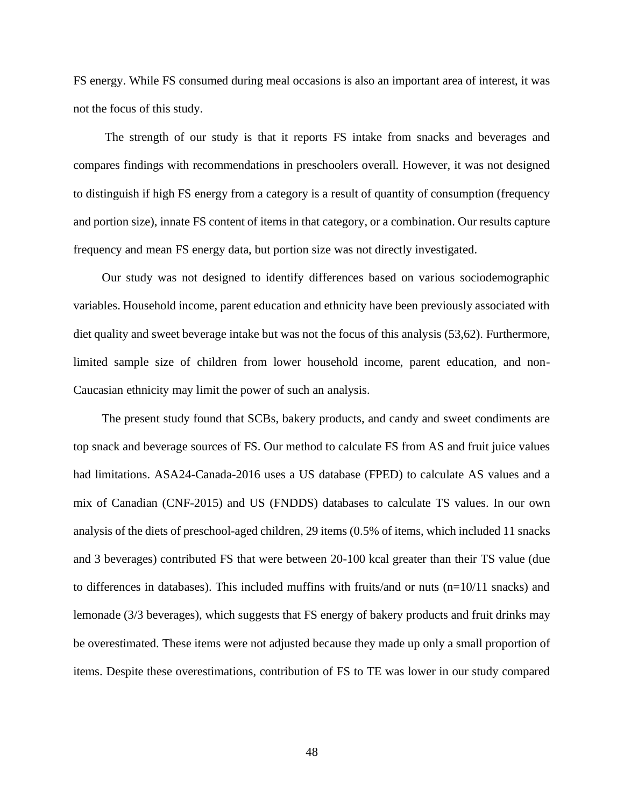FS energy. While FS consumed during meal occasions is also an important area of interest, it was not the focus of this study.

The strength of our study is that it reports FS intake from snacks and beverages and compares findings with recommendations in preschoolers overall. However, it was not designed to distinguish if high FS energy from a category is a result of quantity of consumption (frequency and portion size), innate FS content of items in that category, or a combination. Our results capture frequency and mean FS energy data, but portion size was not directly investigated.

Our study was not designed to identify differences based on various sociodemographic variables. Household income, parent education and ethnicity have been previously associated with diet quality and sweet beverage intake but was not the focus of this analysis (53,62). Furthermore, limited sample size of children from lower household income, parent education, and non-Caucasian ethnicity may limit the power of such an analysis.

The present study found that SCBs, bakery products, and candy and sweet condiments are top snack and beverage sources of FS. Our method to calculate FS from AS and fruit juice values had limitations. ASA24-Canada-2016 uses a US database (FPED) to calculate AS values and a mix of Canadian (CNF-2015) and US (FNDDS) databases to calculate TS values. In our own analysis of the diets of preschool-aged children, 29 items (0.5% of items, which included 11 snacks and 3 beverages) contributed FS that were between 20-100 kcal greater than their TS value (due to differences in databases). This included muffins with fruits/and or nuts  $(n=10/11 \text{ snacks})$  and lemonade (3/3 beverages), which suggests that FS energy of bakery products and fruit drinks may be overestimated. These items were not adjusted because they made up only a small proportion of items. Despite these overestimations, contribution of FS to TE was lower in our study compared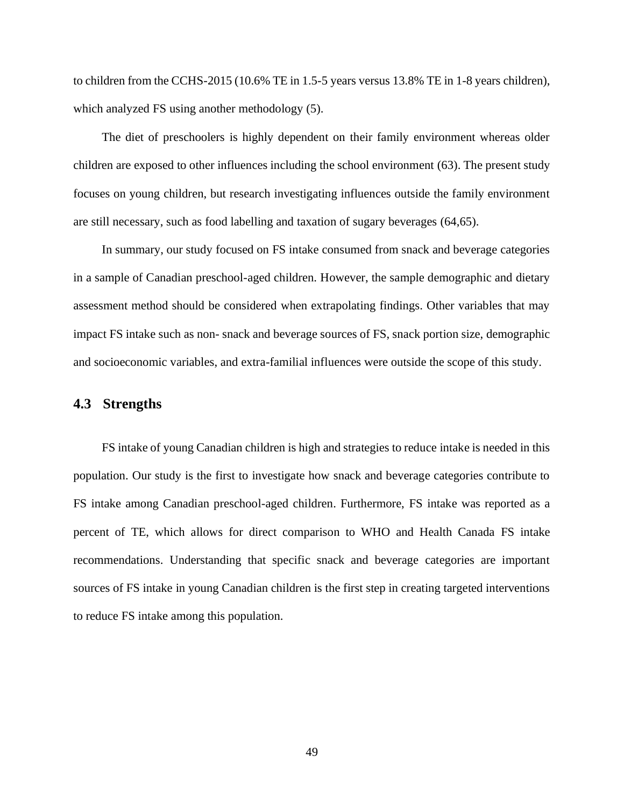to children from the CCHS-2015 (10.6% TE in 1.5-5 years versus 13.8% TE in 1-8 years children), which analyzed FS using another methodology  $(5)$ .

The diet of preschoolers is highly dependent on their family environment whereas older children are exposed to other influences including the school environment (63). The present study focuses on young children, but research investigating influences outside the family environment are still necessary, such as food labelling and taxation of sugary beverages (64,65).

In summary, our study focused on FS intake consumed from snack and beverage categories in a sample of Canadian preschool-aged children. However, the sample demographic and dietary assessment method should be considered when extrapolating findings. Other variables that may impact FS intake such as non- snack and beverage sources of FS, snack portion size, demographic and socioeconomic variables, and extra-familial influences were outside the scope of this study.

## **4.3 Strengths**

FS intake of young Canadian children is high and strategies to reduce intake is needed in this population. Our study is the first to investigate how snack and beverage categories contribute to FS intake among Canadian preschool-aged children. Furthermore, FS intake was reported as a percent of TE, which allows for direct comparison to WHO and Health Canada FS intake recommendations. Understanding that specific snack and beverage categories are important sources of FS intake in young Canadian children is the first step in creating targeted interventions to reduce FS intake among this population.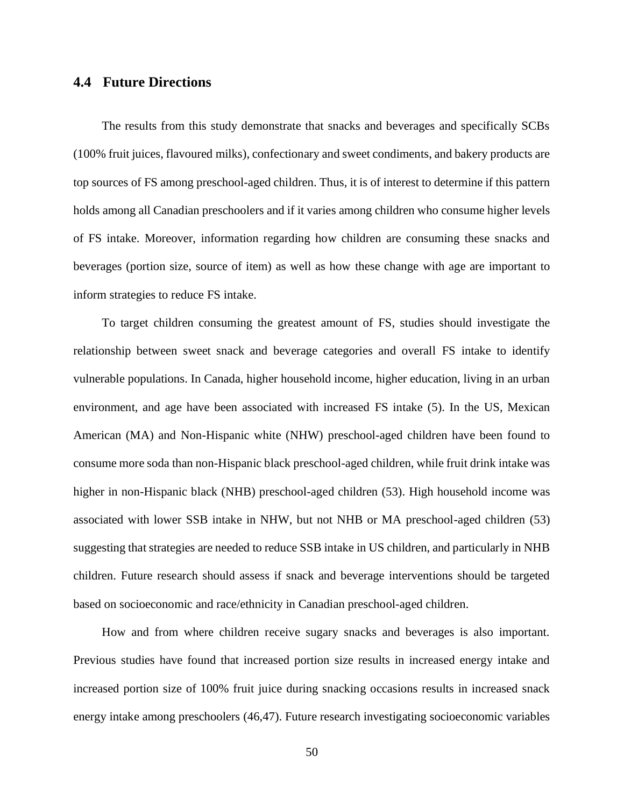## **4.4 Future Directions**

The results from this study demonstrate that snacks and beverages and specifically SCBs (100% fruit juices, flavoured milks), confectionary and sweet condiments, and bakery products are top sources of FS among preschool-aged children. Thus, it is of interest to determine if this pattern holds among all Canadian preschoolers and if it varies among children who consume higher levels of FS intake. Moreover, information regarding how children are consuming these snacks and beverages (portion size, source of item) as well as how these change with age are important to inform strategies to reduce FS intake.

To target children consuming the greatest amount of FS, studies should investigate the relationship between sweet snack and beverage categories and overall FS intake to identify vulnerable populations. In Canada, higher household income, higher education, living in an urban environment, and age have been associated with increased FS intake (5). In the US, Mexican American (MA) and Non-Hispanic white (NHW) preschool-aged children have been found to consume more soda than non-Hispanic black preschool-aged children, while fruit drink intake was higher in non-Hispanic black (NHB) preschool-aged children (53). High household income was associated with lower SSB intake in NHW, but not NHB or MA preschool-aged children (53) suggesting that strategies are needed to reduce SSB intake in US children, and particularly in NHB children. Future research should assess if snack and beverage interventions should be targeted based on socioeconomic and race/ethnicity in Canadian preschool-aged children.

How and from where children receive sugary snacks and beverages is also important. Previous studies have found that increased portion size results in increased energy intake and increased portion size of 100% fruit juice during snacking occasions results in increased snack energy intake among preschoolers (46,47). Future research investigating socioeconomic variables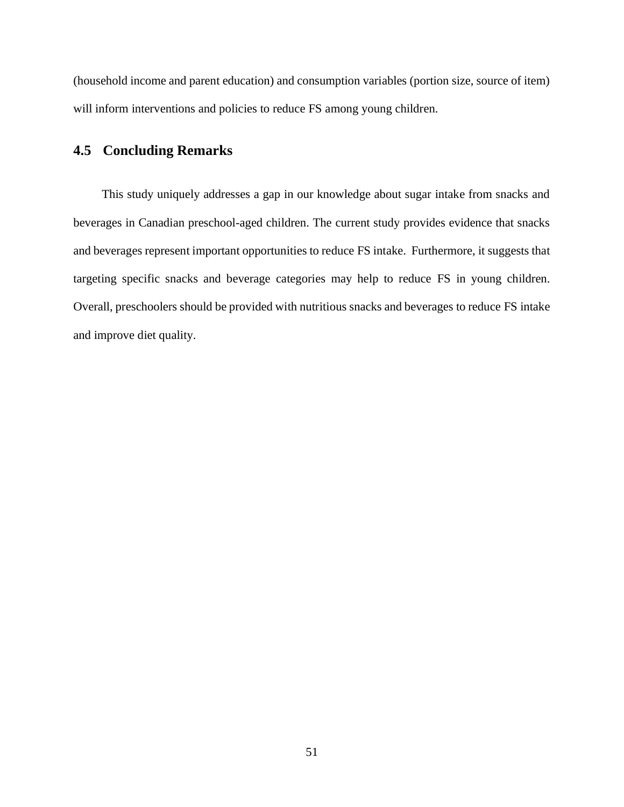(household income and parent education) and consumption variables (portion size, source of item) will inform interventions and policies to reduce FS among young children.

## **4.5 Concluding Remarks**

This study uniquely addresses a gap in our knowledge about sugar intake from snacks and beverages in Canadian preschool-aged children. The current study provides evidence that snacks and beverages represent important opportunities to reduce FS intake. Furthermore, it suggests that targeting specific snacks and beverage categories may help to reduce FS in young children. Overall, preschoolers should be provided with nutritious snacks and beverages to reduce FS intake and improve diet quality.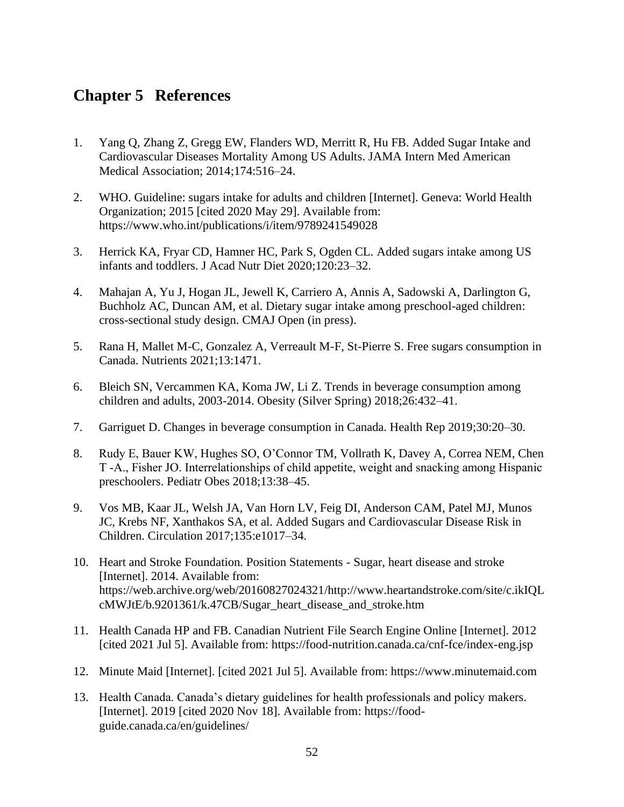## **Chapter 5 References**

- 1. Yang Q, Zhang Z, Gregg EW, Flanders WD, Merritt R, Hu FB. Added Sugar Intake and Cardiovascular Diseases Mortality Among US Adults. JAMA Intern Med American Medical Association; 2014;174:516–24.
- 2. WHO. Guideline: sugars intake for adults and children [Internet]. Geneva: World Health Organization; 2015 [cited 2020 May 29]. Available from: https://www.who.int/publications/i/item/9789241549028
- 3. Herrick KA, Fryar CD, Hamner HC, Park S, Ogden CL. Added sugars intake among US infants and toddlers. J Acad Nutr Diet 2020;120:23–32.
- 4. Mahajan A, Yu J, Hogan JL, Jewell K, Carriero A, Annis A, Sadowski A, Darlington G, Buchholz AC, Duncan AM, et al. Dietary sugar intake among preschool-aged children: cross-sectional study design. CMAJ Open (in press).
- 5. Rana H, Mallet M-C, Gonzalez A, Verreault M-F, St-Pierre S. Free sugars consumption in Canada. Nutrients 2021;13:1471.
- 6. Bleich SN, Vercammen KA, Koma JW, Li Z. Trends in beverage consumption among children and adults, 2003-2014. Obesity (Silver Spring) 2018;26:432–41.
- 7. Garriguet D. Changes in beverage consumption in Canada. Health Rep 2019;30:20–30.
- 8. Rudy E, Bauer KW, Hughes SO, O'Connor TM, Vollrath K, Davey A, Correa NEM, Chen T ‐A., Fisher JO. Interrelationships of child appetite, weight and snacking among Hispanic preschoolers. Pediatr Obes 2018;13:38–45.
- 9. Vos MB, Kaar JL, Welsh JA, Van Horn LV, Feig DI, Anderson CAM, Patel MJ, Munos JC, Krebs NF, Xanthakos SA, et al. Added Sugars and Cardiovascular Disease Risk in Children. Circulation 2017;135:e1017–34.
- 10. Heart and Stroke Foundation. Position Statements Sugar, heart disease and stroke [Internet]. 2014. Available from: https://web.archive.org/web/20160827024321/http://www.heartandstroke.com/site/c.ikIQL cMWJtE/b.9201361/k.47CB/Sugar\_heart\_disease\_and\_stroke.htm
- 11. Health Canada HP and FB. Canadian Nutrient File Search Engine Online [Internet]. 2012 [cited 2021 Jul 5]. Available from: https://food-nutrition.canada.ca/cnf-fce/index-eng.jsp
- 12. Minute Maid [Internet]. [cited 2021 Jul 5]. Available from: https://www.minutemaid.com
- 13. Health Canada. Canada's dietary guidelines for health professionals and policy makers. [Internet]. 2019 [cited 2020 Nov 18]. Available from: https://foodguide.canada.ca/en/guidelines/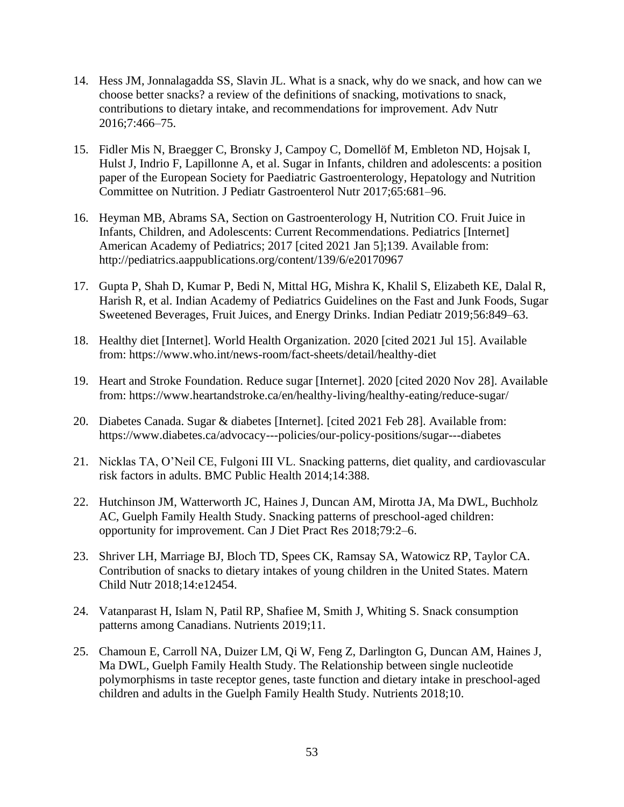- 14. Hess JM, Jonnalagadda SS, Slavin JL. What is a snack, why do we snack, and how can we choose better snacks? a review of the definitions of snacking, motivations to snack, contributions to dietary intake, and recommendations for improvement. Adv Nutr 2016;7:466–75.
- 15. Fidler Mis N, Braegger C, Bronsky J, Campoy C, Domellöf M, Embleton ND, Hojsak I, Hulst J, Indrio F, Lapillonne A, et al. Sugar in Infants, children and adolescents: a position paper of the European Society for Paediatric Gastroenterology, Hepatology and Nutrition Committee on Nutrition. J Pediatr Gastroenterol Nutr 2017;65:681–96.
- 16. Heyman MB, Abrams SA, Section on Gastroenterology H, Nutrition CO. Fruit Juice in Infants, Children, and Adolescents: Current Recommendations. Pediatrics [Internet] American Academy of Pediatrics; 2017 [cited 2021 Jan 5];139. Available from: http://pediatrics.aappublications.org/content/139/6/e20170967
- 17. Gupta P, Shah D, Kumar P, Bedi N, Mittal HG, Mishra K, Khalil S, Elizabeth KE, Dalal R, Harish R, et al. Indian Academy of Pediatrics Guidelines on the Fast and Junk Foods, Sugar Sweetened Beverages, Fruit Juices, and Energy Drinks. Indian Pediatr 2019;56:849–63.
- 18. Healthy diet [Internet]. World Health Organization. 2020 [cited 2021 Jul 15]. Available from: https://www.who.int/news-room/fact-sheets/detail/healthy-diet
- 19. Heart and Stroke Foundation. Reduce sugar [Internet]. 2020 [cited 2020 Nov 28]. Available from: https://www.heartandstroke.ca/en/healthy-living/healthy-eating/reduce-sugar/
- 20. Diabetes Canada. Sugar & diabetes [Internet]. [cited 2021 Feb 28]. Available from: https://www.diabetes.ca/advocacy---policies/our-policy-positions/sugar---diabetes
- 21. Nicklas TA, O'Neil CE, Fulgoni III VL. Snacking patterns, diet quality, and cardiovascular risk factors in adults. BMC Public Health 2014;14:388.
- 22. Hutchinson JM, Watterworth JC, Haines J, Duncan AM, Mirotta JA, Ma DWL, Buchholz AC, Guelph Family Health Study. Snacking patterns of preschool-aged children: opportunity for improvement. Can J Diet Pract Res 2018;79:2–6.
- 23. Shriver LH, Marriage BJ, Bloch TD, Spees CK, Ramsay SA, Watowicz RP, Taylor CA. Contribution of snacks to dietary intakes of young children in the United States. Matern Child Nutr 2018;14:e12454.
- 24. Vatanparast H, Islam N, Patil RP, Shafiee M, Smith J, Whiting S. Snack consumption patterns among Canadians. Nutrients 2019;11.
- 25. Chamoun E, Carroll NA, Duizer LM, Qi W, Feng Z, Darlington G, Duncan AM, Haines J, Ma DWL, Guelph Family Health Study. The Relationship between single nucleotide polymorphisms in taste receptor genes, taste function and dietary intake in preschool-aged children and adults in the Guelph Family Health Study. Nutrients 2018;10.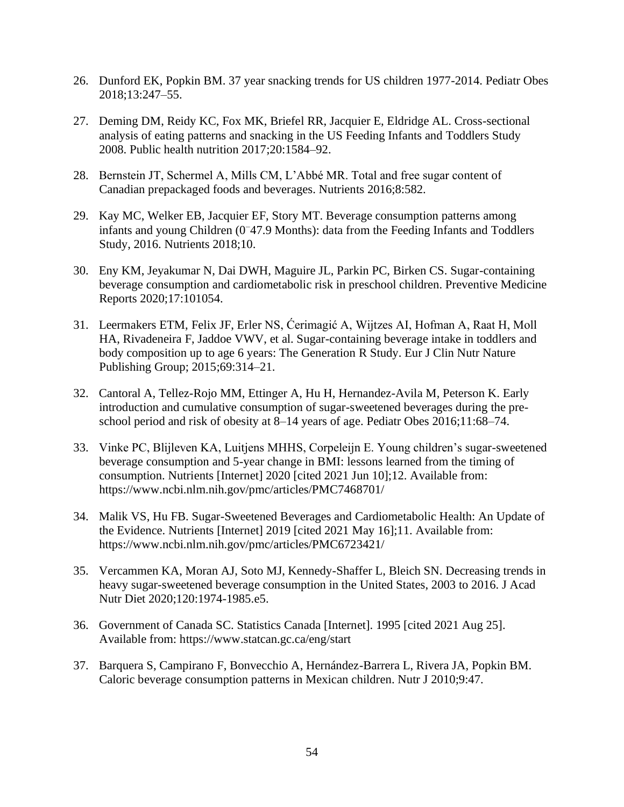- 26. Dunford EK, Popkin BM. 37 year snacking trends for US children 1977-2014. Pediatr Obes 2018;13:247–55.
- 27. Deming DM, Reidy KC, Fox MK, Briefel RR, Jacquier E, Eldridge AL. Cross-sectional analysis of eating patterns and snacking in the US Feeding Infants and Toddlers Study 2008. Public health nutrition 2017;20:1584–92.
- 28. Bernstein JT, Schermel A, Mills CM, L'Abbé MR. Total and free sugar content of Canadian prepackaged foods and beverages. Nutrients 2016;8:582.
- 29. Kay MC, Welker EB, Jacquier EF, Story MT. Beverage consumption patterns among infants and young Children (0<sup>−</sup>47.9 Months): data from the Feeding Infants and Toddlers Study, 2016. Nutrients 2018;10.
- 30. Eny KM, Jeyakumar N, Dai DWH, Maguire JL, Parkin PC, Birken CS. Sugar-containing beverage consumption and cardiometabolic risk in preschool children. Preventive Medicine Reports 2020;17:101054.
- 31. Leermakers ETM, Felix JF, Erler NS, Ćerimagić A, Wijtzes AI, Hofman A, Raat H, Moll HA, Rivadeneira F, Jaddoe VWV, et al. Sugar-containing beverage intake in toddlers and body composition up to age 6 years: The Generation R Study. Eur J Clin Nutr Nature Publishing Group; 2015;69:314–21.
- 32. Cantoral A, Tellez-Rojo MM, Ettinger A, Hu H, Hernandez-Avila M, Peterson K. Early introduction and cumulative consumption of sugar-sweetened beverages during the preschool period and risk of obesity at 8–14 years of age. Pediatr Obes 2016;11:68–74.
- 33. Vinke PC, Blijleven KA, Luitjens MHHS, Corpeleijn E. Young children's sugar-sweetened beverage consumption and 5-year change in BMI: lessons learned from the timing of consumption. Nutrients [Internet] 2020 [cited 2021 Jun 10];12. Available from: https://www.ncbi.nlm.nih.gov/pmc/articles/PMC7468701/
- 34. Malik VS, Hu FB. Sugar-Sweetened Beverages and Cardiometabolic Health: An Update of the Evidence. Nutrients [Internet] 2019 [cited 2021 May 16];11. Available from: https://www.ncbi.nlm.nih.gov/pmc/articles/PMC6723421/
- 35. Vercammen KA, Moran AJ, Soto MJ, Kennedy-Shaffer L, Bleich SN. Decreasing trends in heavy sugar-sweetened beverage consumption in the United States, 2003 to 2016. J Acad Nutr Diet 2020;120:1974-1985.e5.
- 36. Government of Canada SC. Statistics Canada [Internet]. 1995 [cited 2021 Aug 25]. Available from: https://www.statcan.gc.ca/eng/start
- 37. Barquera S, Campirano F, Bonvecchio A, Hernández-Barrera L, Rivera JA, Popkin BM. Caloric beverage consumption patterns in Mexican children. Nutr J 2010;9:47.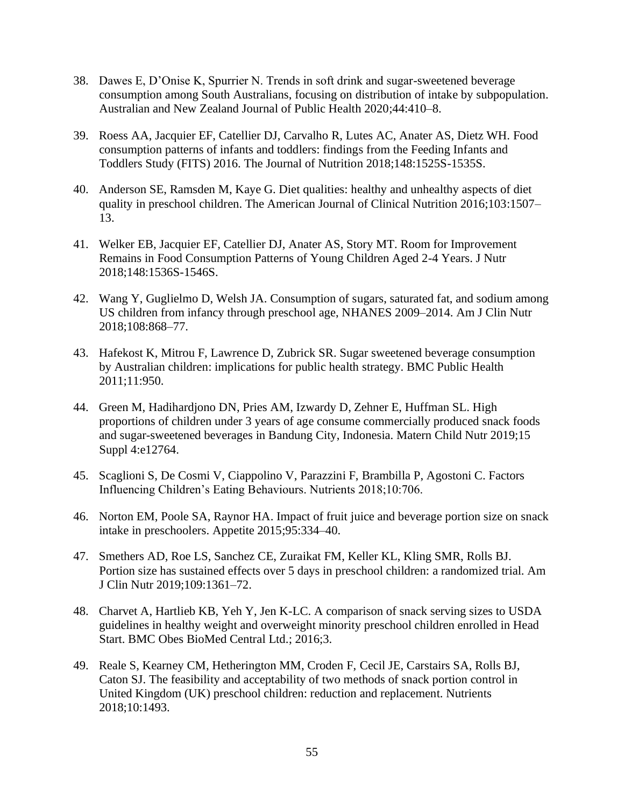- 38. Dawes E, D'Onise K, Spurrier N. Trends in soft drink and sugar-sweetened beverage consumption among South Australians, focusing on distribution of intake by subpopulation. Australian and New Zealand Journal of Public Health 2020;44:410–8.
- 39. Roess AA, Jacquier EF, Catellier DJ, Carvalho R, Lutes AC, Anater AS, Dietz WH. Food consumption patterns of infants and toddlers: findings from the Feeding Infants and Toddlers Study (FITS) 2016. The Journal of Nutrition 2018;148:1525S-1535S.
- 40. Anderson SE, Ramsden M, Kaye G. Diet qualities: healthy and unhealthy aspects of diet quality in preschool children. The American Journal of Clinical Nutrition 2016;103:1507– 13.
- 41. Welker EB, Jacquier EF, Catellier DJ, Anater AS, Story MT. Room for Improvement Remains in Food Consumption Patterns of Young Children Aged 2-4 Years. J Nutr 2018;148:1536S-1546S.
- 42. Wang Y, Guglielmo D, Welsh JA. Consumption of sugars, saturated fat, and sodium among US children from infancy through preschool age, NHANES 2009–2014. Am J Clin Nutr 2018;108:868–77.
- 43. Hafekost K, Mitrou F, Lawrence D, Zubrick SR. Sugar sweetened beverage consumption by Australian children: implications for public health strategy. BMC Public Health 2011;11:950.
- 44. Green M, Hadihardjono DN, Pries AM, Izwardy D, Zehner E, Huffman SL. High proportions of children under 3 years of age consume commercially produced snack foods and sugar-sweetened beverages in Bandung City, Indonesia. Matern Child Nutr 2019;15 Suppl 4:e12764.
- 45. Scaglioni S, De Cosmi V, Ciappolino V, Parazzini F, Brambilla P, Agostoni C. Factors Influencing Children's Eating Behaviours. Nutrients 2018;10:706.
- 46. Norton EM, Poole SA, Raynor HA. Impact of fruit juice and beverage portion size on snack intake in preschoolers. Appetite 2015;95:334–40.
- 47. Smethers AD, Roe LS, Sanchez CE, Zuraikat FM, Keller KL, Kling SMR, Rolls BJ. Portion size has sustained effects over 5 days in preschool children: a randomized trial. Am J Clin Nutr 2019;109:1361–72.
- 48. Charvet A, Hartlieb KB, Yeh Y, Jen K-LC. A comparison of snack serving sizes to USDA guidelines in healthy weight and overweight minority preschool children enrolled in Head Start. BMC Obes BioMed Central Ltd.; 2016;3.
- 49. Reale S, Kearney CM, Hetherington MM, Croden F, Cecil JE, Carstairs SA, Rolls BJ, Caton SJ. The feasibility and acceptability of two methods of snack portion control in United Kingdom (UK) preschool children: reduction and replacement. Nutrients 2018;10:1493.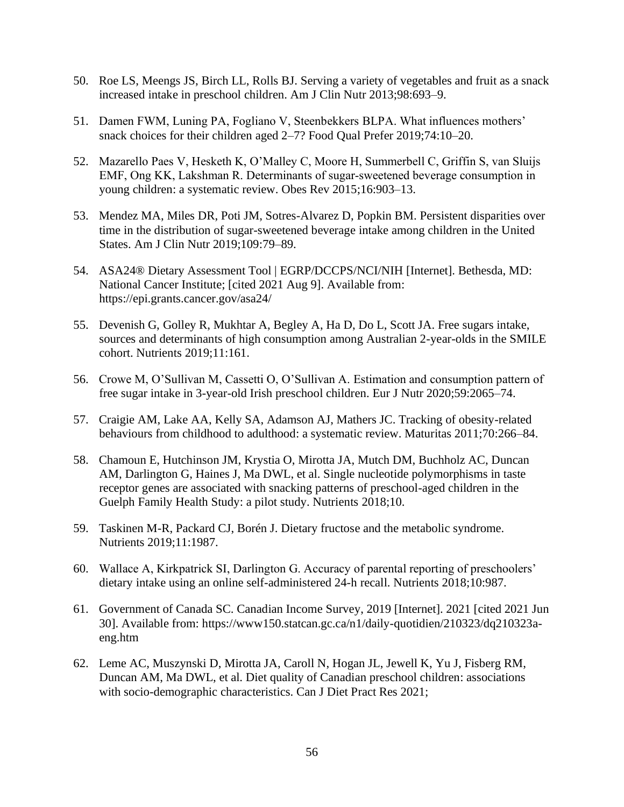- 50. Roe LS, Meengs JS, Birch LL, Rolls BJ. Serving a variety of vegetables and fruit as a snack increased intake in preschool children. Am J Clin Nutr 2013;98:693–9.
- 51. Damen FWM, Luning PA, Fogliano V, Steenbekkers BLPA. What influences mothers' snack choices for their children aged 2–7? Food Qual Prefer 2019;74:10–20.
- 52. Mazarello Paes V, Hesketh K, O'Malley C, Moore H, Summerbell C, Griffin S, van Sluijs EMF, Ong KK, Lakshman R. Determinants of sugar‐sweetened beverage consumption in young children: a systematic review. Obes Rev 2015;16:903–13.
- 53. Mendez MA, Miles DR, Poti JM, Sotres-Alvarez D, Popkin BM. Persistent disparities over time in the distribution of sugar-sweetened beverage intake among children in the United States. Am J Clin Nutr 2019;109:79–89.
- 54. ASA24® Dietary Assessment Tool | EGRP/DCCPS/NCI/NIH [Internet]. Bethesda, MD: National Cancer Institute; [cited 2021 Aug 9]. Available from: https://epi.grants.cancer.gov/asa24/
- 55. Devenish G, Golley R, Mukhtar A, Begley A, Ha D, Do L, Scott JA. Free sugars intake, sources and determinants of high consumption among Australian 2-year-olds in the SMILE cohort. Nutrients 2019;11:161.
- 56. Crowe M, O'Sullivan M, Cassetti O, O'Sullivan A. Estimation and consumption pattern of free sugar intake in 3-year-old Irish preschool children. Eur J Nutr 2020;59:2065–74.
- 57. Craigie AM, Lake AA, Kelly SA, Adamson AJ, Mathers JC. Tracking of obesity-related behaviours from childhood to adulthood: a systematic review. Maturitas 2011;70:266–84.
- 58. Chamoun E, Hutchinson JM, Krystia O, Mirotta JA, Mutch DM, Buchholz AC, Duncan AM, Darlington G, Haines J, Ma DWL, et al. Single nucleotide polymorphisms in taste receptor genes are associated with snacking patterns of preschool-aged children in the Guelph Family Health Study: a pilot study. Nutrients 2018;10.
- 59. Taskinen M-R, Packard CJ, Borén J. Dietary fructose and the metabolic syndrome. Nutrients 2019;11:1987.
- 60. Wallace A, Kirkpatrick SI, Darlington G. Accuracy of parental reporting of preschoolers' dietary intake using an online self-administered 24-h recall. Nutrients 2018;10:987.
- 61. Government of Canada SC. Canadian Income Survey, 2019 [Internet]. 2021 [cited 2021 Jun 30]. Available from: https://www150.statcan.gc.ca/n1/daily-quotidien/210323/dq210323aeng.htm
- 62. Leme AC, Muszynski D, Mirotta JA, Caroll N, Hogan JL, Jewell K, Yu J, Fisberg RM, Duncan AM, Ma DWL, et al. Diet quality of Canadian preschool children: associations with socio-demographic characteristics. Can J Diet Pract Res 2021;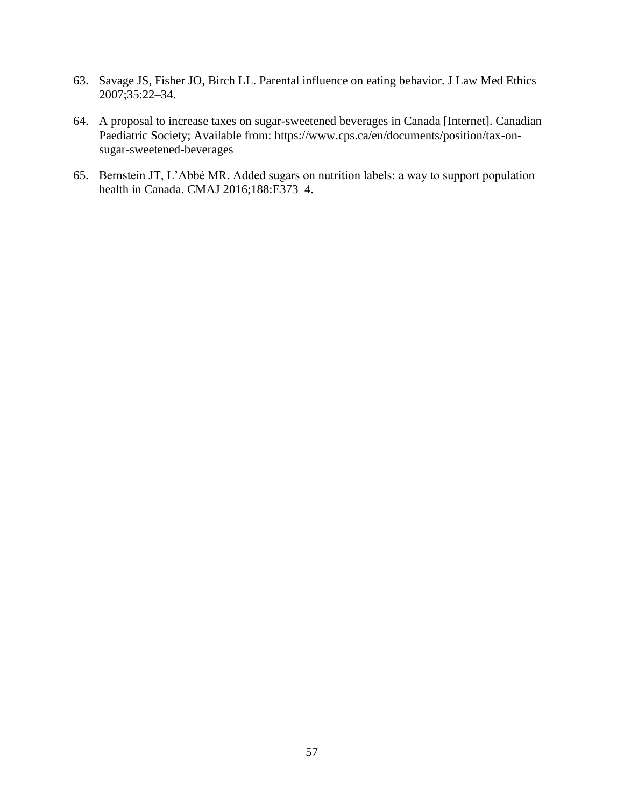- 63. Savage JS, Fisher JO, Birch LL. Parental influence on eating behavior. J Law Med Ethics 2007;35:22–34.
- 64. A proposal to increase taxes on sugar-sweetened beverages in Canada [Internet]. Canadian Paediatric Society; Available from: https://www.cps.ca/en/documents/position/tax-onsugar-sweetened-beverages
- 65. Bernstein JT, L'Abbé MR. Added sugars on nutrition labels: a way to support population health in Canada. CMAJ 2016;188:E373–4.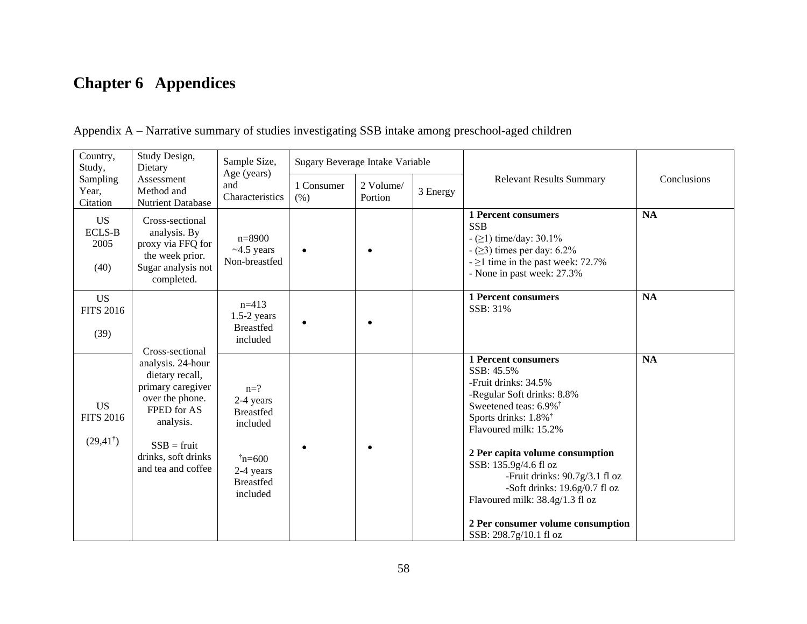# **Chapter 6 Appendices**

| Country,<br>Study Design,<br>Sample Size,<br>Study,<br>Dietary<br>Age (years) |                                                                                                                                                                        | Sugary Beverage Intake Variable                                                                                    |                    |                      |          |                                                                                                                                                                                                                                                                                                                                                                                                            |             |
|-------------------------------------------------------------------------------|------------------------------------------------------------------------------------------------------------------------------------------------------------------------|--------------------------------------------------------------------------------------------------------------------|--------------------|----------------------|----------|------------------------------------------------------------------------------------------------------------------------------------------------------------------------------------------------------------------------------------------------------------------------------------------------------------------------------------------------------------------------------------------------------------|-------------|
| Sampling<br>Year,<br>Citation                                                 | Assessment<br>Method and<br>Nutrient Database                                                                                                                          | and<br>Characteristics                                                                                             | 1 Consumer<br>(% ) | 2 Volume/<br>Portion | 3 Energy | <b>Relevant Results Summary</b>                                                                                                                                                                                                                                                                                                                                                                            | Conclusions |
| <b>US</b><br><b>ECLS-B</b><br>2005<br>(40)                                    | Cross-sectional<br>analysis. By<br>proxy via FFQ for<br>the week prior.<br>Sugar analysis not<br>completed.                                                            | $n = 8900$<br>$~1.5$ years<br>Non-breastfed                                                                        |                    |                      |          | <b>1 Percent consumers</b><br><b>SSB</b><br>$-$ ( $\geq$ 1) time/day: 30.1%<br>$-$ ( $\geq$ 3) times per day: 6.2%<br>$- \ge 1$ time in the past week: 72.7%<br>- None in past week: 27.3%                                                                                                                                                                                                                 | <b>NA</b>   |
| <b>US</b><br><b>FITS 2016</b><br>(39)                                         | Cross-sectional                                                                                                                                                        | $n=413$<br>$1.5-2$ years<br><b>Breastfed</b><br>included                                                           |                    |                      |          | <b>1 Percent consumers</b><br>SSB: 31%                                                                                                                                                                                                                                                                                                                                                                     | <b>NA</b>   |
| <b>US</b><br><b>FITS 2016</b><br>$(29,41^{\dagger})$                          | analysis. 24-hour<br>dietary recall,<br>primary caregiver<br>over the phone.<br>FPED for AS<br>analysis.<br>$SSB = fruit$<br>drinks, soft drinks<br>and tea and coffee | $n=?$<br>2-4 years<br><b>Breastfed</b><br>included<br>$\bar{n} = 600$<br>2-4 years<br><b>Breastfed</b><br>included |                    |                      |          | <b>1 Percent consumers</b><br>SSB: 45.5%<br>-Fruit drinks: 34.5%<br>-Regular Soft drinks: 8.8%<br>Sweetened teas: 6.9% <sup>†</sup><br>Sports drinks: 1.8% <sup>†</sup><br>Flavoured milk: 15.2%<br>2 Per capita volume consumption<br>SSB: 135.9g/4.6 fl oz<br>-Fruit drinks: $90.7g/3.1$ fl oz<br>-Soft drinks: $19.6g/0.7f1$ oz<br>Flavoured milk: 38.4g/1.3 fl oz<br>2 Per consumer volume consumption | <b>NA</b>   |
|                                                                               |                                                                                                                                                                        |                                                                                                                    |                    |                      |          | SSB: 298.7g/10.1 fl oz                                                                                                                                                                                                                                                                                                                                                                                     |             |

Appendix A – Narrative summary of studies investigating SSB intake among preschool-aged children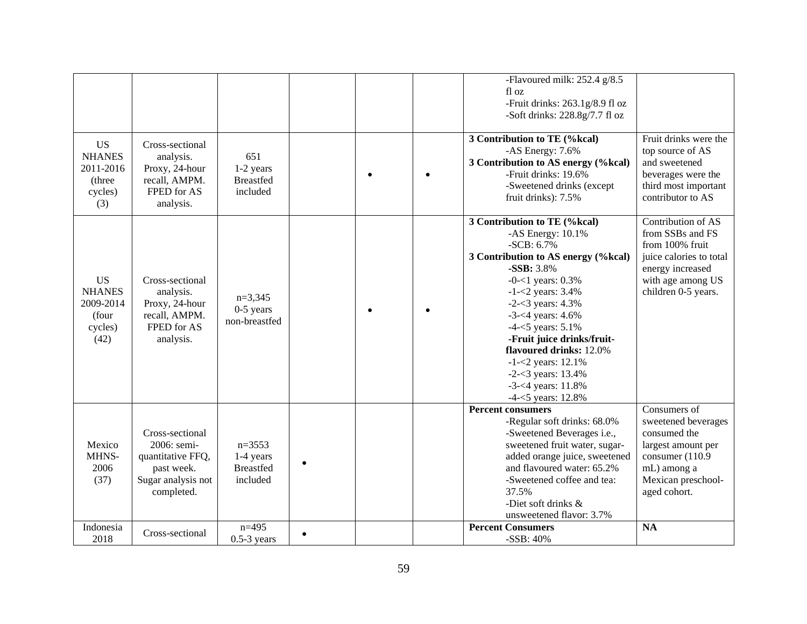|               |                    |                  |  | -Flavoured milk: 252.4 g/8.5        |                         |
|---------------|--------------------|------------------|--|-------------------------------------|-------------------------|
|               |                    |                  |  | fl oz                               |                         |
|               |                    |                  |  | -Fruit drinks: 263.1g/8.9 fl oz     |                         |
|               |                    |                  |  | -Soft drinks: $228.8g/7.7f1$ oz     |                         |
|               |                    |                  |  |                                     |                         |
|               |                    |                  |  | 3 Contribution to TE (%kcal)        | Fruit drinks were the   |
| <b>US</b>     | Cross-sectional    |                  |  | -AS Energy: 7.6%                    | top source of AS        |
| <b>NHANES</b> | analysis.          | 651              |  | 3 Contribution to AS energy (%kcal) | and sweetened           |
| 2011-2016     | Proxy, 24-hour     | 1-2 years        |  | -Fruit drinks: 19.6%                | beverages were the      |
| (three        | recall, AMPM.      | <b>Breastfed</b> |  | -Sweetened drinks (except           | third most important    |
| cycles)       | FPED for AS        | included         |  | fruit drinks): 7.5%                 | contributor to AS       |
| (3)           | analysis.          |                  |  |                                     |                         |
|               |                    |                  |  | 3 Contribution to TE (%kcal)        | Contribution of AS      |
|               |                    |                  |  | -AS Energy: $10.1\%$                | from SSBs and FS        |
|               |                    |                  |  | $-SCB: 6.7%$                        | from 100% fruit         |
|               |                    |                  |  | 3 Contribution to AS energy (%kcal) | juice calories to total |
|               |                    |                  |  | -SSB: 3.8%                          | energy increased        |
| <b>US</b>     | Cross-sectional    |                  |  | $-0$ - $<$ 1 years: 0.3%            | with age among US       |
| <b>NHANES</b> | analysis.          | $n=3,345$        |  | $-1 - 2$ years: 3.4%                | children 0-5 years.     |
| 2009-2014     | Proxy, 24-hour     | $0-5$ years      |  | $-2 - 3$ years: 4.3%                |                         |
| (four         | recall, AMPM.      | non-breastfed    |  | $-3 - 4$ years: $4.6\%$             |                         |
| cycles)       | FPED for AS        |                  |  | $-4 - 5$ years: $5.1\%$             |                         |
| (42)          | analysis.          |                  |  | -Fruit juice drinks/fruit-          |                         |
|               |                    |                  |  | flavoured drinks: 12.0%             |                         |
|               |                    |                  |  | $-1 - 2$ years: 12.1%               |                         |
|               |                    |                  |  | $-2 - 3$ years: 13.4%               |                         |
|               |                    |                  |  | $-3 - 4$ years: 11.8%               |                         |
|               |                    |                  |  | $-4 - 5$ years: 12.8%               |                         |
|               |                    |                  |  | <b>Percent consumers</b>            | Consumers of            |
|               |                    |                  |  | -Regular soft drinks: 68.0%         | sweetened beverages     |
|               | Cross-sectional    |                  |  | -Sweetened Beverages i.e.,          | consumed the            |
| Mexico        | 2006: semi-        | $n=3553$         |  | sweetened fruit water, sugar-       | largest amount per      |
| MHNS-         | quantitative FFQ,  | 1-4 years        |  | added orange juice, sweetened       | consumer (110.9         |
| 2006          | past week.         | <b>Breastfed</b> |  | and flavoured water: 65.2%          | mL) among a             |
| (37)          | Sugar analysis not | included         |  | -Sweetened coffee and tea:          | Mexican preschool-      |
|               | completed.         |                  |  | 37.5%                               | aged cohort.            |
|               |                    |                  |  | -Diet soft drinks &                 |                         |
|               |                    |                  |  | unsweetened flavor: 3.7%            |                         |
| Indonesia     | Cross-sectional    | $n=495$          |  | <b>Percent Consumers</b>            | <b>NA</b>               |
| 2018          |                    | $0.5-3$ years    |  | -SSB: 40%                           |                         |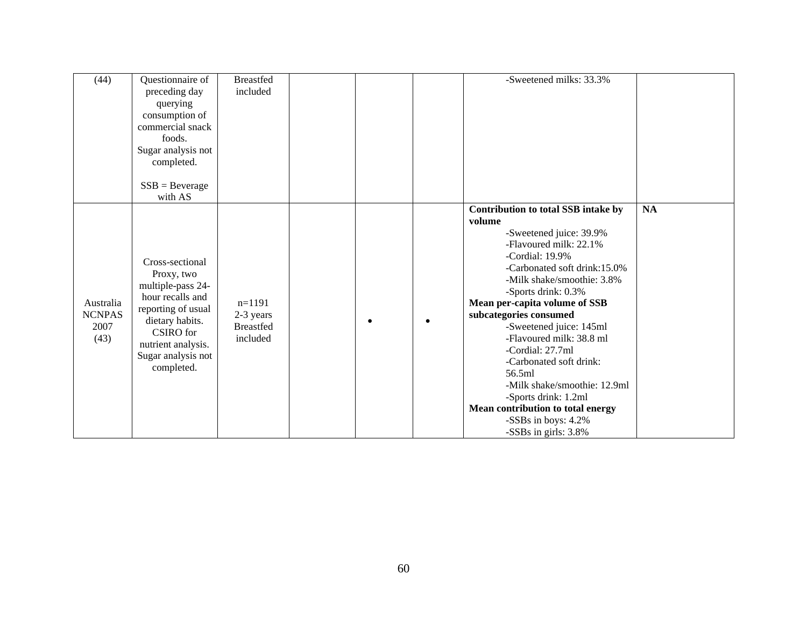| (44)                                       | Questionnaire of<br>preceding day<br>querying<br>consumption of<br>commercial snack<br>foods.<br>Sugar analysis not<br>completed.<br>$SSB = Beverage$                                             | <b>Breastfed</b><br>included                          |  | -Sweetened milks: 33.3%                                                                                                                                                                                                                                                                                                                                                                                                                                                                                                              |           |
|--------------------------------------------|---------------------------------------------------------------------------------------------------------------------------------------------------------------------------------------------------|-------------------------------------------------------|--|--------------------------------------------------------------------------------------------------------------------------------------------------------------------------------------------------------------------------------------------------------------------------------------------------------------------------------------------------------------------------------------------------------------------------------------------------------------------------------------------------------------------------------------|-----------|
| Australia<br><b>NCNPAS</b><br>2007<br>(43) | with AS<br>Cross-sectional<br>Proxy, two<br>multiple-pass 24-<br>hour recalls and<br>reporting of usual<br>dietary habits.<br>CSIRO for<br>nutrient analysis.<br>Sugar analysis not<br>completed. | $n=1191$<br>2-3 years<br><b>Breastfed</b><br>included |  | Contribution to total SSB intake by<br>volume<br>-Sweetened juice: 39.9%<br>-Flavoured milk: 22.1%<br>-Cordial: $19.9\%$<br>-Carbonated soft drink:15.0%<br>-Milk shake/smoothie: 3.8%<br>-Sports drink: 0.3%<br>Mean per-capita volume of SSB<br>subcategories consumed<br>-Sweetened juice: 145ml<br>-Flavoured milk: 38.8 ml<br>-Cordial: 27.7ml<br>-Carbonated soft drink:<br>56.5ml<br>-Milk shake/smoothie: 12.9ml<br>-Sports drink: 1.2ml<br>Mean contribution to total energy<br>-SSBs in boys: 4.2%<br>-SSBs in girls: 3.8% | <b>NA</b> |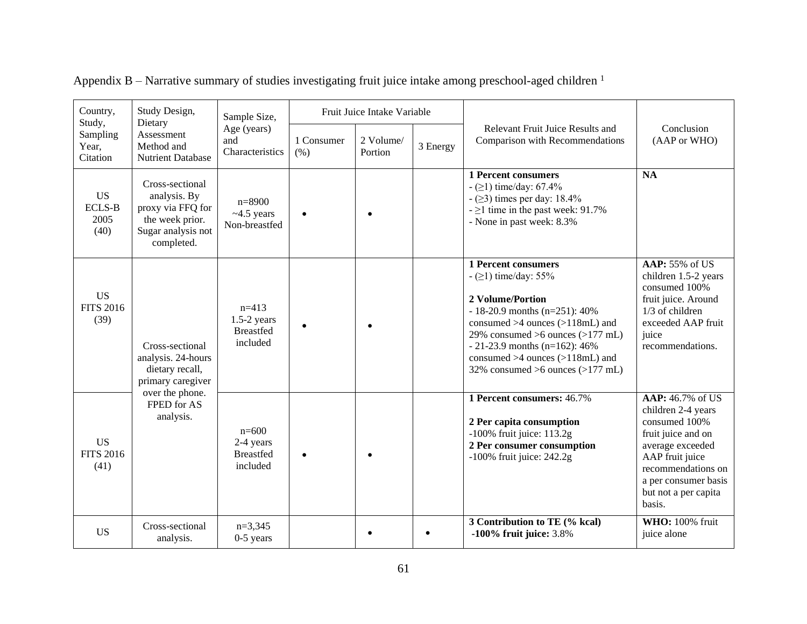| Country,<br>Study Design,<br>Dietary<br>Study, |                                                                                                             | Sample Size,                                             | Fruit Juice Intake Variable |                      |          |                                                                                                                                                                                                                                                                                                                         |                                                                                                                                                                                                      |
|------------------------------------------------|-------------------------------------------------------------------------------------------------------------|----------------------------------------------------------|-----------------------------|----------------------|----------|-------------------------------------------------------------------------------------------------------------------------------------------------------------------------------------------------------------------------------------------------------------------------------------------------------------------------|------------------------------------------------------------------------------------------------------------------------------------------------------------------------------------------------------|
| Sampling<br>Year,<br>Citation                  | Assessment<br>Method and<br>Nutrient Database                                                               | Age (years)<br>and<br>Characteristics                    | 1 Consumer<br>(% )          | 2 Volume/<br>Portion | 3 Energy | <b>Relevant Fruit Juice Results and</b><br>Comparison with Recommendations                                                                                                                                                                                                                                              | Conclusion<br>(AAP or WHO)                                                                                                                                                                           |
| <b>US</b><br><b>ECLS-B</b><br>2005<br>(40)     | Cross-sectional<br>analysis. By<br>proxy via FFQ for<br>the week prior.<br>Sugar analysis not<br>completed. | $n=8900$<br>$~1.5$ years<br>Non-breastfed                |                             |                      |          | <b>1 Percent consumers</b><br>$-$ ( $\geq$ 1) time/day: 67.4%<br>$-$ ( $\geq$ 3) times per day: 18.4%<br>$-21$ time in the past week: 91.7%<br>- None in past week: 8.3%                                                                                                                                                | $\overline{NA}$                                                                                                                                                                                      |
| <b>US</b><br><b>FITS 2016</b><br>(39)          | Cross-sectional<br>analysis. 24-hours<br>dietary recall,<br>primary caregiver                               | $n=413$<br>$1.5-2$ years<br><b>Breastfed</b><br>included |                             | $\bullet$            |          | <b>1 Percent consumers</b><br>$-$ ( $\geq$ 1) time/day: 55%<br>2 Volume/Portion<br>$-18-20.9$ months (n=251): 40%<br>consumed $>4$ ounces ( $>118$ mL) and<br>29% consumed $>6$ ounces ( $>177$ mL)<br>$-21-23.9$ months (n=162): 46%<br>consumed $>4$ ounces ( $>118$ mL) and<br>32% consumed $>6$ ounces ( $>177$ mL) | AAP: 55% of US<br>children 1.5-2 years<br>consumed 100%<br>fruit juice. Around<br>1/3 of children<br>exceeded AAP fruit<br>juice<br>recommendations.                                                 |
| <b>US</b><br><b>FITS 2016</b><br>(41)          | over the phone.<br>FPED for AS<br>analysis.                                                                 | $n=600$<br>2-4 years<br><b>Breastfed</b><br>included     |                             | $\bullet$            |          | 1 Percent consumers: 46.7%<br>2 Per capita consumption<br>$-100\%$ fruit juice: $113.2g$<br>2 Per consumer consumption<br>$-100\%$ fruit juice: 242.2g                                                                                                                                                                  | AAP: 46.7% of US<br>children 2-4 years<br>consumed 100%<br>fruit juice and on<br>average exceeded<br>AAP fruit juice<br>recommendations on<br>a per consumer basis<br>but not a per capita<br>basis. |
| <b>US</b>                                      | Cross-sectional<br>analysis.                                                                                | $n=3,345$<br>$0-5$ years                                 |                             |                      |          | 3 Contribution to TE (% kcal)<br>$-100\%$ fruit juice: 3.8%                                                                                                                                                                                                                                                             | <b>WHO:</b> 100% fruit<br>juice alone                                                                                                                                                                |

Appendix B – Narrative summary of studies investigating fruit juice intake among preschool-aged children  $1$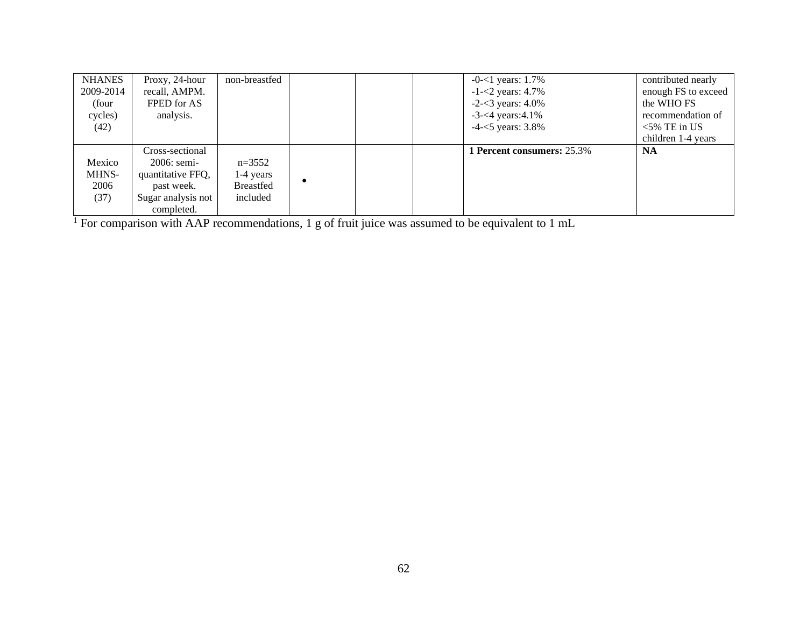| <b>NHANES</b> | Proxy, 24-hour     | non-breastfed    |  | $-0$ - $<$ 1 years: 1.7%          | contributed nearly  |
|---------------|--------------------|------------------|--|-----------------------------------|---------------------|
| 2009-2014     | recall, AMPM.      |                  |  | $-1 - 2$ years: 4.7%              | enough FS to exceed |
| (four         | FPED for AS        |                  |  | $-2 - 3$ years: 4.0%              | the WHO FS          |
| cycles)       | analysis.          |                  |  | $-3 - 4$ years: 4.1%              | recommendation of   |
| (42)          |                    |                  |  | $-4 - 5$ years: 3.8%              | $<$ 5% TE in US     |
|               |                    |                  |  |                                   | children 1-4 years  |
|               | Cross-sectional    |                  |  | <b>1 Percent consumers: 25.3%</b> | <b>NA</b>           |
| Mexico        | 2006: semi-        | $n=3552$         |  |                                   |                     |
| MHNS-         | quantitative FFQ,  | 1-4 years        |  |                                   |                     |
| 2006          | past week.         | <b>Breastfed</b> |  |                                   |                     |
| (37)          | Sugar analysis not | included         |  |                                   |                     |
|               | completed.         |                  |  |                                   |                     |

<sup>1</sup> For comparison with AAP recommendations, 1 g of fruit juice was assumed to be equivalent to 1 mL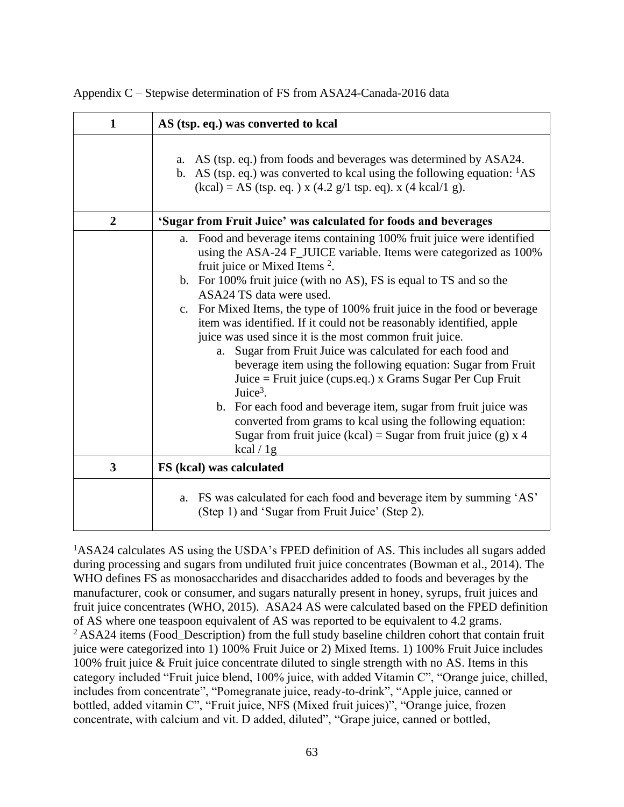| $\mathbf{1}$   | AS (tsp. eq.) was converted to kcal                                                                                                                                                                                                                                                                                                                                                                                                                                                                                                                                                                                                                                                                                                                                                                                                                                                                                                                 |
|----------------|-----------------------------------------------------------------------------------------------------------------------------------------------------------------------------------------------------------------------------------------------------------------------------------------------------------------------------------------------------------------------------------------------------------------------------------------------------------------------------------------------------------------------------------------------------------------------------------------------------------------------------------------------------------------------------------------------------------------------------------------------------------------------------------------------------------------------------------------------------------------------------------------------------------------------------------------------------|
|                | a. AS (tsp. eq.) from foods and beverages was determined by ASA24.<br>b. AS (tsp. eq.) was converted to kcal using the following equation: ${}^{1}AS$<br>$(kcal) = AS (tsp. eq.) x (4.2 g/1 tsp. eq). x (4 kcal/1 g).$                                                                                                                                                                                                                                                                                                                                                                                                                                                                                                                                                                                                                                                                                                                              |
| $\overline{2}$ | 'Sugar from Fruit Juice' was calculated for foods and beverages                                                                                                                                                                                                                                                                                                                                                                                                                                                                                                                                                                                                                                                                                                                                                                                                                                                                                     |
|                | a. Food and beverage items containing 100% fruit juice were identified<br>using the ASA-24 F_JUICE variable. Items were categorized as 100%<br>fruit juice or Mixed Items <sup>2</sup> .<br>b. For 100% fruit juice (with no AS), FS is equal to TS and so the<br>ASA24 TS data were used.<br>c. For Mixed Items, the type of 100% fruit juice in the food or beverage<br>item was identified. If it could not be reasonably identified, apple<br>juice was used since it is the most common fruit juice.<br>Sugar from Fruit Juice was calculated for each food and<br>a.<br>beverage item using the following equation: Sugar from Fruit<br>Juice = Fruit juice (cups.eq.) x Grams Sugar Per Cup Fruit<br>Juice <sup>3</sup> .<br>b. For each food and beverage item, sugar from fruit juice was<br>converted from grams to kcal using the following equation:<br>Sugar from fruit juice (kcal) = Sugar from fruit juice (g) $x$ 4<br>kcal $/$ 1g |
| 3              | FS (kcal) was calculated                                                                                                                                                                                                                                                                                                                                                                                                                                                                                                                                                                                                                                                                                                                                                                                                                                                                                                                            |
|                | a. FS was calculated for each food and beverage item by summing 'AS'<br>(Step 1) and 'Sugar from Fruit Juice' (Step 2).                                                                                                                                                                                                                                                                                                                                                                                                                                                                                                                                                                                                                                                                                                                                                                                                                             |

Appendix C – Stepwise determination of FS from ASA24-Canada-2016 data

<sup>1</sup>ASA24 calculates AS using the USDA's FPED definition of AS. This includes all sugars added during processing and sugars from undiluted fruit juice concentrates (Bowman et al., 2014). The WHO defines FS as monosaccharides and disaccharides added to foods and beverages by the manufacturer, cook or consumer, and sugars naturally present in honey, syrups, fruit juices and fruit juice concentrates (WHO, 2015). ASA24 AS were calculated based on the FPED definition of AS where one teaspoon equivalent of AS was reported to be equivalent to 4.2 grams.  $2$ ASA24 items (Food Description) from the full study baseline children cohort that contain fruit juice were categorized into 1) 100% Fruit Juice or 2) Mixed Items. 1) 100% Fruit Juice includes 100% fruit juice & Fruit juice concentrate diluted to single strength with no AS. Items in this category included "Fruit juice blend, 100% juice, with added Vitamin C", "Orange juice, chilled, includes from concentrate", "Pomegranate juice, ready-to-drink", "Apple juice, canned or bottled, added vitamin C", "Fruit juice, NFS (Mixed fruit juices)", "Orange juice, frozen concentrate, with calcium and vit. D added, diluted", "Grape juice, canned or bottled,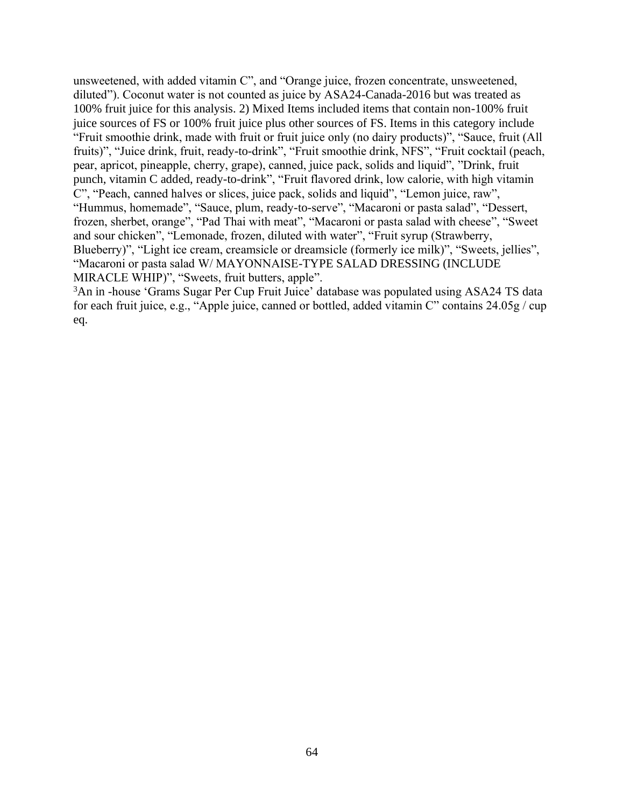unsweetened, with added vitamin C", and "Orange juice, frozen concentrate, unsweetened, diluted"). Coconut water is not counted as juice by ASA24-Canada-2016 but was treated as 100% fruit juice for this analysis. 2) Mixed Items included items that contain non-100% fruit juice sources of FS or 100% fruit juice plus other sources of FS. Items in this category include "Fruit smoothie drink, made with fruit or fruit juice only (no dairy products)", "Sauce, fruit (All fruits)", "Juice drink, fruit, ready-to-drink", "Fruit smoothie drink, NFS", "Fruit cocktail (peach, pear, apricot, pineapple, cherry, grape), canned, juice pack, solids and liquid", "Drink, fruit punch, vitamin C added, ready-to-drink", "Fruit flavored drink, low calorie, with high vitamin C", "Peach, canned halves or slices, juice pack, solids and liquid", "Lemon juice, raw", "Hummus, homemade", "Sauce, plum, ready-to-serve", "Macaroni or pasta salad", "Dessert, frozen, sherbet, orange", "Pad Thai with meat", "Macaroni or pasta salad with cheese", "Sweet and sour chicken", "Lemonade, frozen, diluted with water", "Fruit syrup (Strawberry, Blueberry)", "Light ice cream, creamsicle or dreamsicle (formerly ice milk)", "Sweets, jellies", "Macaroni or pasta salad W/ MAYONNAISE-TYPE SALAD DRESSING (INCLUDE MIRACLE WHIP)", "Sweets, fruit butters, apple".

<sup>3</sup>An in -house 'Grams Sugar Per Cup Fruit Juice' database was populated using ASA24 TS data for each fruit juice, e.g., "Apple juice, canned or bottled, added vitamin C" contains 24.05g / cup eq.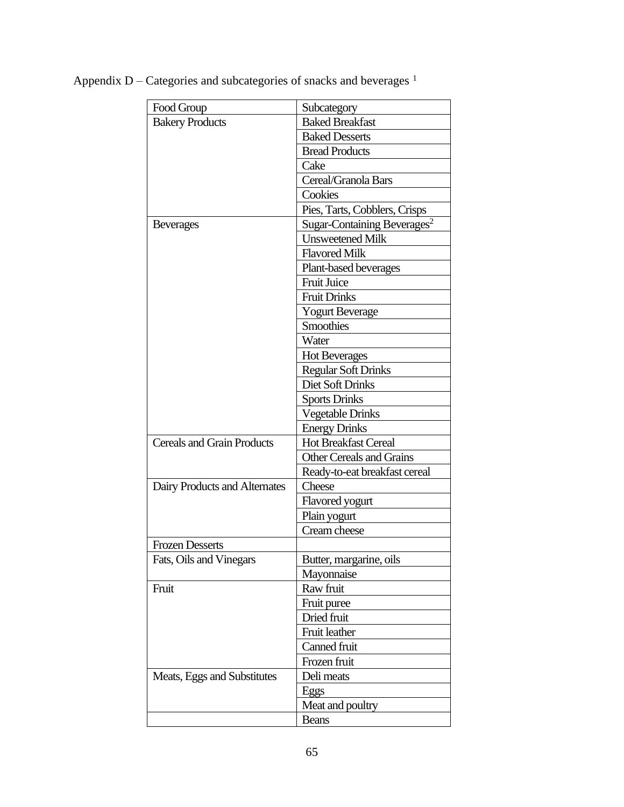| Food Group                        | Subcategory                             |  |  |  |
|-----------------------------------|-----------------------------------------|--|--|--|
| <b>Bakery Products</b>            | <b>Baked Breakfast</b>                  |  |  |  |
|                                   | <b>Baked Desserts</b>                   |  |  |  |
|                                   | <b>Bread Products</b>                   |  |  |  |
|                                   | Cake                                    |  |  |  |
|                                   | Cereal/Granola Bars                     |  |  |  |
|                                   | Cookies                                 |  |  |  |
|                                   | Pies, Tarts, Cobblers, Crisps           |  |  |  |
| <b>Beverages</b>                  | Sugar-Containing Beverages <sup>2</sup> |  |  |  |
|                                   | <b>Unsweetened Milk</b>                 |  |  |  |
|                                   | <b>Flavored Milk</b>                    |  |  |  |
|                                   | Plant-based beverages                   |  |  |  |
|                                   | <b>Fruit Juice</b>                      |  |  |  |
|                                   | <b>Fruit Drinks</b>                     |  |  |  |
|                                   | <b>Yogurt Beverage</b>                  |  |  |  |
|                                   | <b>Smoothies</b>                        |  |  |  |
|                                   | Water                                   |  |  |  |
|                                   | <b>Hot Beverages</b>                    |  |  |  |
|                                   | <b>Regular Soft Drinks</b>              |  |  |  |
|                                   | Diet Soft Drinks                        |  |  |  |
|                                   | <b>Sports Drinks</b>                    |  |  |  |
|                                   | <b>Vegetable Drinks</b>                 |  |  |  |
|                                   | <b>Energy Drinks</b>                    |  |  |  |
| <b>Cereals and Grain Products</b> | Hot Breakfast Cereal                    |  |  |  |
|                                   | <b>Other Cereals and Grains</b>         |  |  |  |
|                                   | Ready-to-eat breakfast cereal           |  |  |  |
| Dairy Products and Alternates     | Cheese                                  |  |  |  |
|                                   | Flavored yogurt                         |  |  |  |
|                                   | Plain yogurt                            |  |  |  |
|                                   | Cream cheese                            |  |  |  |
| <b>Frozen Desserts</b>            |                                         |  |  |  |
| Fats, Oils and Vinegars           | Butter, margarine, oils                 |  |  |  |
|                                   | Mayonnaise                              |  |  |  |
| Fruit                             | Raw fruit                               |  |  |  |
|                                   | Fruit puree                             |  |  |  |
|                                   | Dried fruit                             |  |  |  |
|                                   | Fruit leather                           |  |  |  |
|                                   | Canned fruit                            |  |  |  |
|                                   | Frozen fruit                            |  |  |  |
| Meats, Eggs and Substitutes       | Deli meats                              |  |  |  |
|                                   | Eggs                                    |  |  |  |
|                                   | Meat and poultry                        |  |  |  |
|                                   | <b>Beans</b>                            |  |  |  |

Appendix D – Categories and subcategories of snacks and beverages  $1$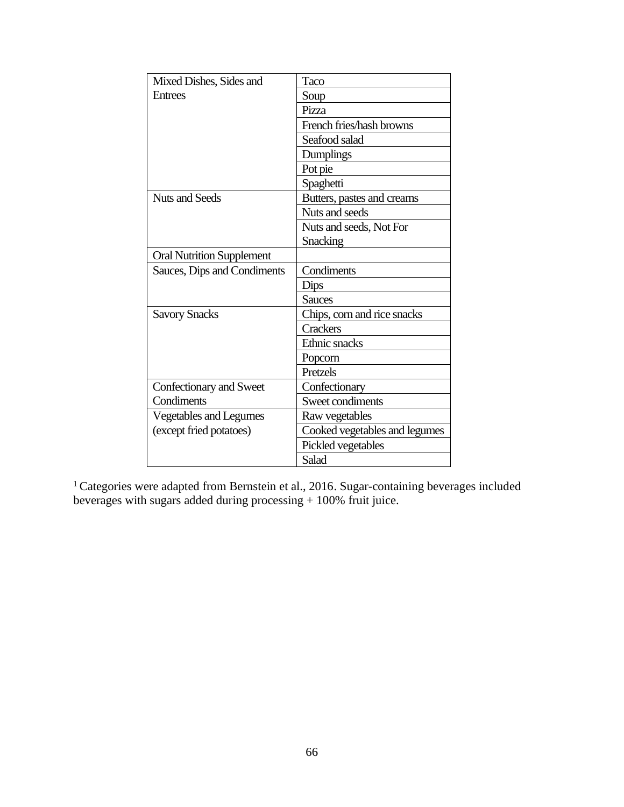| Mixed Dishes, Sides and          | Taco                          |  |  |  |
|----------------------------------|-------------------------------|--|--|--|
| <b>Entrees</b>                   | Soup                          |  |  |  |
|                                  | Pizza                         |  |  |  |
|                                  | French fries/hash browns      |  |  |  |
|                                  | Seafood salad                 |  |  |  |
|                                  | Dumplings                     |  |  |  |
|                                  | Pot pie                       |  |  |  |
|                                  | Spaghetti                     |  |  |  |
| Nuts and Seeds                   | Butters, pastes and creams    |  |  |  |
|                                  | Nuts and seeds                |  |  |  |
|                                  | Nuts and seeds, Not For       |  |  |  |
|                                  | Snacking                      |  |  |  |
| <b>Oral Nutrition Supplement</b> |                               |  |  |  |
| Sauces, Dips and Condiments      | Condiments                    |  |  |  |
|                                  | Dips                          |  |  |  |
|                                  | <b>Sauces</b>                 |  |  |  |
| <b>Savory Snacks</b>             | Chips, corn and rice snacks   |  |  |  |
|                                  | <b>Crackers</b>               |  |  |  |
|                                  | Ethnic snacks                 |  |  |  |
|                                  | Popcorn                       |  |  |  |
|                                  | Pretzels                      |  |  |  |
| Confectionary and Sweet          | Confectionary                 |  |  |  |
| Condiments                       | Sweet condiments              |  |  |  |
| <b>Vegetables and Legumes</b>    | Raw vegetables                |  |  |  |
| (except fried potatoes)          | Cooked vegetables and legumes |  |  |  |
|                                  | Pickled vegetables            |  |  |  |
|                                  | Salad                         |  |  |  |

<sup>1</sup> Categories were adapted from Bernstein et al., 2016. Sugar-containing beverages included beverages with sugars added during processing + 100% fruit juice.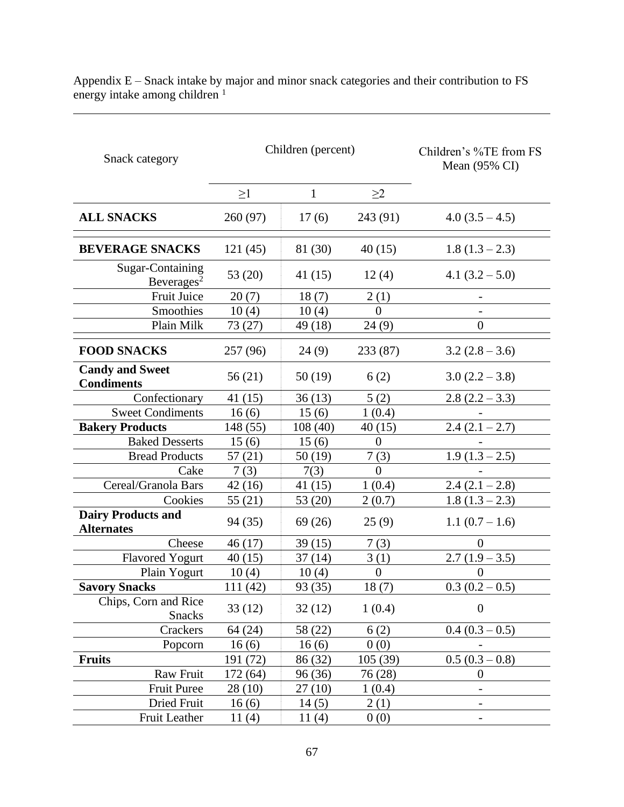| Snack category                                 | Children (percent) |              |                | Children's %TE from FS<br>Mean (95% CI) |
|------------------------------------------------|--------------------|--------------|----------------|-----------------------------------------|
|                                                | $\geq$ 1           | $\mathbf{1}$ | $\geq$ 2       |                                         |
| <b>ALL SNACKS</b>                              | 260 (97)           | 17(6)        | 243 (91)       | $4.0(3.5-4.5)$                          |
| <b>BEVERAGE SNACKS</b>                         | 121(45)            | 81 (30)      | 40(15)         | $1.8(1.3-2.3)$                          |
| Sugar-Containing<br>Beverages <sup>2</sup>     | 53 (20)            | 41 (15)      | 12(4)          | 4.1 $(3.2 - 5.0)$                       |
| Fruit Juice                                    | 20(7)              | 18(7)        | 2(1)           |                                         |
| Smoothies                                      | 10(4)              | 10(4)        | $\Omega$       |                                         |
| Plain Milk                                     | 73 (27)            | 49 (18)      | 24(9)          | $\boldsymbol{0}$                        |
| <b>FOOD SNACKS</b>                             | 257 (96)           | 24(9)        | 233 (87)       | $3.2(2.8-3.6)$                          |
| <b>Candy and Sweet</b><br><b>Condiments</b>    | 56(21)             | 50(19)       | 6(2)           | $3.0(2.2 - 3.8)$                        |
| Confectionary                                  | 41(15)             | 36(13)       | 5(2)           | $2.8(2.2-3.3)$                          |
| <b>Sweet Condiments</b>                        | 16(6)              | 15(6)        | 1(0.4)         |                                         |
| <b>Bakery Products</b>                         | 148 (55)           | 108(40)      | 40(15)         | $2.4(2.1 - 2.7)$                        |
| <b>Baked Desserts</b>                          | 15(6)              | 15(6)        | $\theta$       |                                         |
| <b>Bread Products</b>                          | 57(21)             | 50 (19)      | 7(3)           | $1.9(1.3-2.5)$                          |
| Cake                                           | 7(3)               | 7(3)         | $\theta$       |                                         |
| Cereal/Granola Bars                            | 42(16)             | 41 (15)      | 1(0.4)         | $2.4(2.1-2.8)$                          |
| Cookies                                        | 55(21)             | 53 (20)      | 2(0.7)         | $1.8(1.3-2.3)$                          |
| <b>Dairy Products and</b><br><b>Alternates</b> | 94 (35)            | 69(26)       | 25(9)          | $1.1(0.7-1.6)$                          |
| Cheese                                         | 46(17)             | 39(15)       | 7(3)           | $\Omega$                                |
| <b>Flavored Yogurt</b>                         | 40(15)             | 37(14)       | 3(1)           | $2.7(1.9-3.5)$                          |
| Plain Yogurt                                   | 10(4)              | 10(4)        | $\overline{0}$ | $\Omega$                                |
| <b>Savory Snacks</b>                           | 111 (42)           | 93 (35)      | 18(7)          | $0.3(0.2-0.5)$                          |
| Chips, Corn and Rice<br><b>Snacks</b>          | 33(12)             | 32(12)       | 1(0.4)         | $\boldsymbol{0}$                        |
| Crackers                                       | 64 (24)            | 58 (22)      | 6(2)           | $0.4(0.3-0.5)$                          |
| Popcorn                                        | 16(6)              | 16(6)        | 0(0)           |                                         |
| <b>Fruits</b>                                  | 191 (72)           | 86 (32)      | 105(39)        | $0.5(0.3-0.8)$                          |
| Raw Fruit                                      | 172 (64)           | 96 (36)      | 76 (28)        | $\overline{0}$                          |
| <b>Fruit Puree</b>                             | 28(10)             | 27(10)       | 1(0.4)         |                                         |
| Dried Fruit                                    | 16(6)              | 14(5)        | 2(1)           |                                         |
| <b>Fruit Leather</b>                           | 11(4)              | 11(4)        | 0(0)           |                                         |

Appendix E – Snack intake by major and minor snack categories and their contribution to FS energy intake among children<sup>1</sup>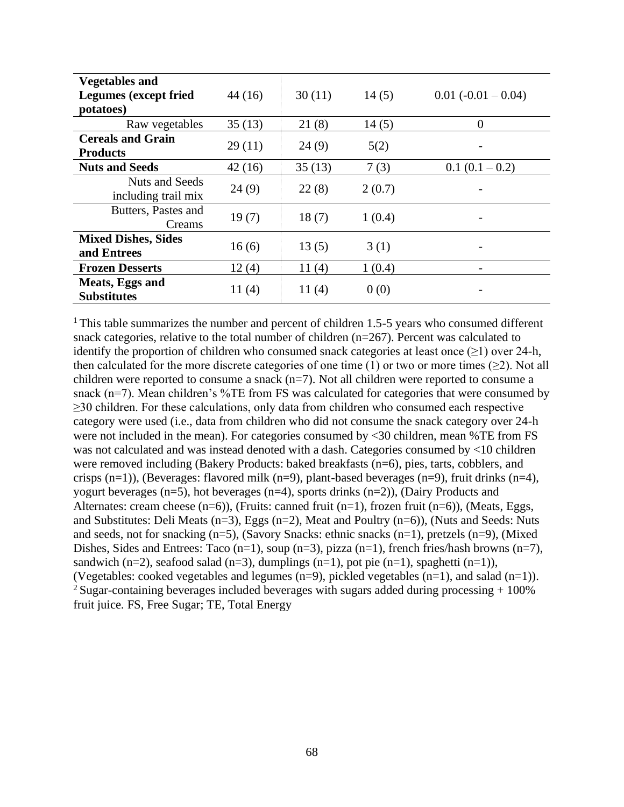| <b>Vegetables and</b>                       |        |        |        |                       |
|---------------------------------------------|--------|--------|--------|-----------------------|
| <b>Legumes</b> (except fried                | 44(16) | 30(11) | 14(5)  | $0.01 (-0.01 - 0.04)$ |
| potatoes)                                   |        |        |        |                       |
| Raw vegetables                              | 35(13) | 21(8)  | 14(5)  | $\overline{0}$        |
| <b>Cereals and Grain</b><br><b>Products</b> | 29(11) | 24(9)  | 5(2)   |                       |
| <b>Nuts and Seeds</b>                       | 42(16) | 35(13) | 7(3)   | $0.1(0.1-0.2)$        |
| Nuts and Seeds<br>including trail mix       | 24(9)  | 22(8)  | 2(0.7) |                       |
| Butters, Pastes and<br>Creams               | 19(7)  | 18(7)  | 1(0.4) |                       |
| <b>Mixed Dishes, Sides</b><br>and Entrees   | 16(6)  | 13(5)  | 3(1)   |                       |
| <b>Frozen Desserts</b>                      | 12(4)  | 11(4)  | 1(0.4) |                       |
| Meats, Eggs and<br><b>Substitutes</b>       | 11(4)  | 11(4)  | 0(0)   |                       |

<sup>1</sup>This table summarizes the number and percent of children 1.5-5 years who consumed different snack categories, relative to the total number of children (n=267). Percent was calculated to identify the proportion of children who consumed snack categories at least once  $(\geq 1)$  over 24-h, then calculated for the more discrete categories of one time  $(1)$  or two or more times  $(\geq 2)$ . Not all children were reported to consume a snack  $(n=7)$ . Not all children were reported to consume a snack (n=7). Mean children's %TE from FS was calculated for categories that were consumed by ≥30 children. For these calculations, only data from children who consumed each respective category were used (i.e., data from children who did not consume the snack category over 24-h were not included in the mean). For categories consumed by <30 children, mean %TE from FS was not calculated and was instead denoted with a dash. Categories consumed by <10 children were removed including (Bakery Products: baked breakfasts (n=6), pies, tarts, cobblers, and crisps (n=1)), (Beverages: flavored milk (n=9), plant-based beverages (n=9), fruit drinks (n=4), yogurt beverages (n=5), hot beverages (n=4), sports drinks (n=2)), (Dairy Products and Alternates: cream cheese  $(n=6)$ ), (Fruits: canned fruit  $(n=1)$ , frozen fruit  $(n=6)$ ), (Meats, Eggs, and Substitutes: Deli Meats (n=3), Eggs (n=2), Meat and Poultry (n=6)), (Nuts and Seeds: Nuts and seeds, not for snacking (n=5), (Savory Snacks: ethnic snacks (n=1), pretzels (n=9), (Mixed Dishes, Sides and Entrees: Taco (n=1), soup (n=3), pizza (n=1), french fries/hash browns (n=7), sandwich (n=2), seafood salad (n=3), dumplings (n=1), pot pie (n=1), spaghetti (n=1)), (Vegetables: cooked vegetables and legumes (n=9), pickled vegetables (n=1), and salad (n=1)). <sup>2</sup> Sugar-containing beverages included beverages with sugars added during processing  $+100\%$ fruit juice. FS, Free Sugar; TE, Total Energy